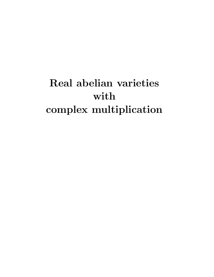# Real abelian varieties with complex multiplication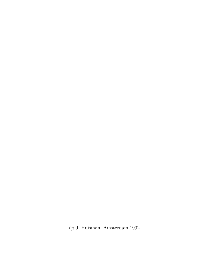c J. Huisman, Amsterdam 1992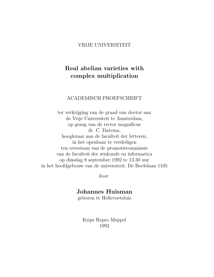#### VRIJE UNIVERSITEIT

### Real abelian varieties with complex multiplication

#### ACADEMISCH PROEFSCHRIFT

ter verkrijging van de graad van doctor aan de Vrije Universiteit te Amsterdam, op gezag van de rector magnificus dr. C. Datema, hoogleraar aan de faculteit der letteren, in het openbaar te verdedigen ten overstaan van de promotiecommissie van de faculteit der wiskunde en informatica op dinsdag 8 september 1992 te 13.30 uur in het hoofdgebouw van de universiteit, De Boelelaan 1105

door

#### Johannes Huisman

geboren te Hellevoetsluis

Krips Repro Meppel 1992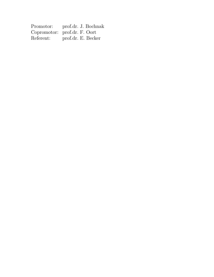| Promotor: | prof.dr. J. Bochnak          |
|-----------|------------------------------|
|           | Copromotor: prof.dr. F. Oort |
| Referent: | prof.dr. E. Becker           |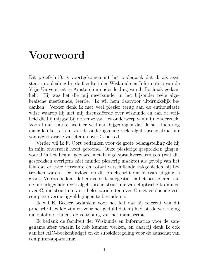# Voorwoord

Dit proefschrift is voortgekomen uit het onderzoek dat ik als assistent in opleiding bij de faculteit der Wiskunde en Informatica van de Vrije Universiteit te Amsterdam onder leiding van J. Bochnak gedaan heb. Hij was het die mij meetkunde, in het bijzonder reële algebra¨ısche meetkunde, leerde. Ik wil hem daarvoor uitdrukkelijk bedanken. Verder denk ik met veel plezier terug aan de enthousiaste wijze waarop hij met mij discussiëerde over wiskunde en aan de vrijheid die hij mij gaf bij de keuze van het onderwerp van mijn onderzoek. Vooral dat laatste heeft er veel aan bijgedragen dat ik het, toen nog maagdelijke, terrein van de onderliggende reële algebraïsche structuur van algebraïsche variëteiten over  $\mathbb C$  betrad.

Verder wil ik F. Oort bedanken voor de grote belangstelling die hij in mijn onderzoek heeft getoond. Onze plezierige gesprekken gingen, vooral in het begin, gepaard met hevige spraakverwarringen (wat die gesprekken overigens niet minder plezierig maakte) als gevolg van het feit dat er twee verwante èn totaal verschillende vakgebieden bij betrokken waren. De invloed op dit proefschrift die hiervan uitging is groot. Voorts bedank ik hem voor de suggestie, na het bestuderen van de onderliggende reële algebraïsche structuur van elliptische krommen over  $\mathbb C$ , die structuur van abelse variëteiten over  $\mathbb C$  met voldoende veel complexe vermenigvuldigingen te bestuderen.

Ik wil E. Becker bedanken voor het feit dat hij referent van dit proefschrift wilde zijn en voor het geduld dat hij had bij de vertraging die ontstond tijdens de voltooiing van het manuscript.

Ik bedank de faculteit der Wiskunde en Informatica voor de aangename sfeer waarin ik heb kunnen werken, en daarbij denk ik ook aan het AIO-boekenbudget en de subsidieregeling voor de aanschaf van computer-apparatuur.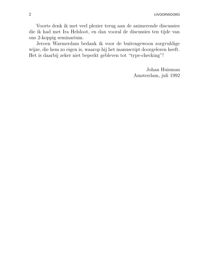2 10VOORWOORD

Voorts denk ik met veel plezier terug aan de animerende discussies die ik had met Ira Helsloot, en dan vooral de discussies ten tijde van ons 2-koppig seminarium.

Jeroen Warmerdam bedank ik voor de buitengewoon zorgvuldige wijze, die hem zo eigen is, waarop hij het manuscript doorgelezen heeft. Het is daarbij zeker niet beperkt gebleven tot "type-checking"!

> Johan Huisman Amsterdam, juli 1992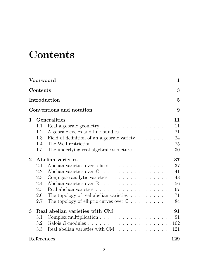# **Contents**

|             | Voorwoord  |                                                                    | $\mathbf 1$    |
|-------------|------------|--------------------------------------------------------------------|----------------|
|             | Contents   |                                                                    | 3              |
|             |            | Introduction                                                       | $\overline{5}$ |
|             |            | Conventions and notation                                           | 9              |
| $\mathbf 1$ |            | <b>Generalities</b>                                                | 11             |
|             | 1.1        |                                                                    | 11             |
|             | 1.2        | Algebraic cycles and line bundles                                  | 21             |
|             | 1.3        | Field of definition of an algebraic variety                        | 24             |
|             | 1.4        |                                                                    | 25             |
|             | 1.5        | The underlying real algebraic structure                            | 30             |
| $\bf{2}$    |            | Abelian varieties                                                  | 37             |
|             | 2.1        | Abelian varieties over a field                                     | 37             |
|             | 2.2        |                                                                    | 41             |
|             | 2.3        |                                                                    | 48             |
|             | 2.4        |                                                                    | 56             |
|             | 2.5        |                                                                    | 67             |
|             | 2.6        | The topology of real abelian varieties $\ldots \ldots \ldots$      | 71             |
|             | 2.7        | The topology of elliptic curves over $\mathbb C$                   | 84             |
| 3           |            | Real abelian varieties with CM                                     | 91             |
|             | 3.1        |                                                                    | 91             |
|             | 3.2        |                                                                    |                |
|             | 3.3        | Real abelian varieties with $CM \dots \dots \dots \dots \dots 121$ |                |
|             | References |                                                                    | 129            |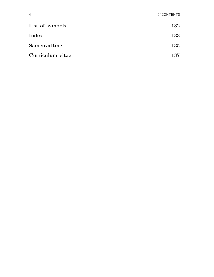| List of symbols  | 132 |
|------------------|-----|
| Index            | 133 |
| Samenvatting     | 135 |
| Curriculum vitae | 137 |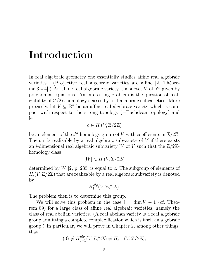# Introduction

In real algebraic geometry one essentially studies affine real algebraic varieties. (Projective real algebraic varieties are affine  $[2,$  Théorème 3.4.4.]) An affine real algebraic variety is a subset V of  $\mathbb{R}^n$  given by polynomial equations. An interesting problem is the question of realizability of  $\mathbb{Z}/2\mathbb{Z}$ -homology classes by real algebraic subvarieties. More precisely, let  $V \subseteq \mathbb{R}^n$  be an affine real algebraic variety which is compact with respect to the strong topology (=Euclidean topology) and let

$$
c \in H_i(V, \mathbb{Z}/2\mathbb{Z})
$$

be an element of the  $i^{th}$  homology group of V with coefficients in  $\mathbb{Z}/2\mathbb{Z}$ . Then,  $c$  is realizable by a real algebraic subvariety of  $V$  if there exists an *i*-dimensional real algebraic subvariety W of V such that the  $\mathbb{Z}/2\mathbb{Z}$ homology class

$$
[W] \in H_i(V, \mathbb{Z}/2\mathbb{Z})
$$

determined by  $W$  [2, p. 235] is equal to c. The subgroup of elements of  $H_i(V, \mathbb{Z}/2\mathbb{Z})$  that are realizable by a real algebraic subvariety is denoted by

$$
H_i^{alg}(V, \mathbb{Z}/2\mathbb{Z}).
$$

The problem then is to determine this group.

We will solve this problem in the case  $i = \dim V - 1$  (cf. Theorem 89) for a large class of affine real algebraic varieties, namely the class of real abelian varieties. (A real abelian variety is a real algebraic group admitting a complete complexification which is itself an algebraic group.) In particular, we will prove in Chapter 2, among other things, that

$$
(0) \neq H_{d-1}^{alg}(V, \mathbb{Z}/2\mathbb{Z}) \neq H_{d-1}(V, \mathbb{Z}/2\mathbb{Z}),
$$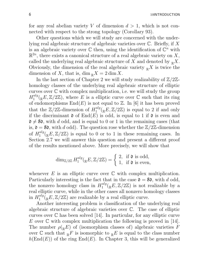for any real abelian variety V of dimension  $d > 1$ , which is not connected with respect to the strong topology (Corollary 93).

Other questions which we will study are concerned with the underlying real algebraic structure of algebraic varieties over  $\mathbb C$ . Briefly, if X is an algebraic variety over  $\mathbb C$  then, using the identification of  $\mathbb C^n$  with  $\mathbb{R}^{2n}$ , there exists a canonical structure of a real algebraic variety on X, called the underlying real algebraic structure of X and denoted by  $\mathbb{R}X$ . Obviously, the dimension of the real algebraic variety  $\mathbb{R}^X$  is twice the dimension of X, that is,  $\dim_{\mathbb{R}} X = 2 \dim X$ .

In the last section of Chapter 2 we will study realizability of  $\mathbb{Z}/2\mathbb{Z}$ homology classes of the underlying real algebraic structure of elliptic curves over  $\mathbb C$  with complex multiplication, i.e. we will study the group  $H_1^{alg}$  $\int_1^{alg}$ ( $_{\mathbb{R}}E, \mathbb{Z}/2\mathbb{Z}$ ), where E is a elliptic curve over  $\mathbb C$  such that its ring of endomorphisms  $End(E)$  is not equal to  $\mathbb{Z}$ . In [6] it has been proved that the  $\mathbb{Z}/2\mathbb{Z}$ -dimension of  $H_1^{alg}$  $1^{\text{alg}}_{1}(\mathbb{R}E, \mathbb{Z}/2\mathbb{Z})$  is equal to 2 if and only if the discriminant  $\mathfrak d$  of  $\text{End}(E)$  is odd, is equal to 1 if  $\mathfrak d$  is even and  $\mathfrak{d} \neq 8\mathfrak{d}$ , with d odd, and is equal to 0 or 1 in the remaining cases (that is,  $\mathfrak{d} = 8\mathfrak{d}$ , with d odd). The question rose whether the  $\mathbb{Z}/2\mathbb{Z}$ -dimension of  $H_1^{alg}$  $1^{\text{aug}}_{1}(\mathbb{R}E, \mathbb{Z}/2\mathbb{Z})$  is equal to 0 or to 1 in these remaining cases. In Section 2.7 we will answer this question and present a different proof of the results mentioned above. More precisely, we will show that

$$
\dim_{\mathbb{Z}/2\mathbb{Z}} H_1^{alg}({}_{\mathbb{R}}E, \mathbb{Z}/2\mathbb{Z}) = \begin{cases} 2, & \text{if } \mathfrak{d} \text{ is odd,} \\ 1, & \text{if } \mathfrak{d} \text{ is even,} \end{cases}
$$

whenever  $E$  is an elliptic curve over  $\mathbb C$  with complex multiplication. Particularly interesting is the fact that in the case  $\mathfrak{d} = 8\mathfrak{d}$ , with d odd, the nonzero homology class in  $H_1^{alg}$  $1^{\text{aug}}_{1}(\mathbb{R}E, \mathbb{Z}/2\mathbb{Z})$  is not realizable by a real elliptic curve, while in the other cases all nonzero homology classes in  $H_1^{alg}$  $1^{\text{alg}}_{1}(\mathbb{R}E, \mathbb{Z}/2\mathbb{Z})$  are realizable by a real elliptic curve.

Another interesting problem is classification of the underlying real algebraic structure of algebraic varieties over C. The case of elliptic curves over  $\mathbb C$  has been solved [14]. In particular, for any elliptic curve E over  $\mathbb C$  with complex multiplication the following is proved in [14]. The number  $\rho({}_{\mathbb{R}}E)$  of (isomorphism classes of) algebraic varieties F over  $\mathbb C$  such that  $_{\mathbb R}F$  is isomorphic to  $_{\mathbb R}E$  is equal to the class number  $h(\text{End}(E))$  of the ring  $\text{End}(E)$ . In Chapter 3, this will be generalized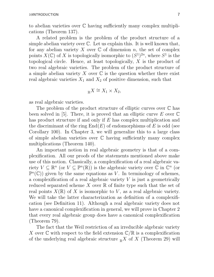to abelian varieties over C having sufficiently many complex multiplications (Theorem 137).

A related problem is the problem of the product structure of a simple abelian variety over  $\mathbb C$ . Let us explain this. It is well known that, for any abelian variety X over  $\mathbb C$  of dimension n, the set of complex points  $X(\mathbb{C})$  of X is topologically isomorphic to  $(S^1)^{2n}$ , where  $S^1$  is the topological circle. Hence, at least topologically, X is the product of two real algebraic varieties. The problem of the product structure of a simple abelian variety  $X$  over  $\mathbb C$  is the question whether there exist real algebraic varieties  $X_1$  and  $X_2$  of positive dimension, such that

$$
{}_{\mathbb{R}}X \cong X_1 \times X_2,
$$

as real algebraic varieties.

The problem of the product structure of elliptic curves over C has been solved in [5]. There, it is proved that an elliptic curve  $E$  over  $\mathbb C$ has product structure if and only if E has complex multiplication and the discriminant of the ring  $End(E)$  of endomorphisms of E is odd (see Corollary 100). In Chapter 3, we will generalize this to a large class of simple abelian varieties over C having sufficiently many complex multiplications (Theorem 140).

An important notion in real algebraic geometry is that of a complexification. All our proofs of the statements mentioned above make use of this notion. Classically, a complexification of a real algebraic variety  $V \subseteq \mathbb{R}^n$  (or  $V \subseteq \mathbb{P}^n(\mathbb{R})$ ) is the algebraic variety over  $\mathbb{C}$  in  $\mathbb{C}^n$  (or  $\mathbb{P}^n(\mathbb{C})$  given by the same equations as V. In terminology of schemes, a complexification of a real algebraic variety  $V$  is just a geometrically reduced separated scheme  $X$  over  $\mathbb R$  of finite type such that the set of real points  $X(\mathbb{R})$  of X is isomorphic to V, as a real algebraic variety. We will take the latter characterization as definition of a complexification (see Definition 11). Although a real algebraic variety does not have a canonical complexification in general, we will prove in Chapter 2 that every real algebraic group does have a canonical complexification (Theorem 79).

The fact that the Weil restriction of an irreducible algebraic variety X over  $\mathbb C$  with respect to the field extension  $\mathbb C/\mathbb R$  is a complexification of the underlying real algebraic structure  $\mathbb{R}^X$  of X (Theorem 29) will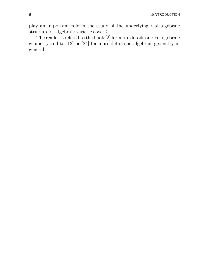play an important role in the study of the underlying real algebraic structure of algebraic varieties over C.

The reader is refered to the book [2] for more details on real algebraic geometry and to [13] or [24] for more details on algebraic geometry in general.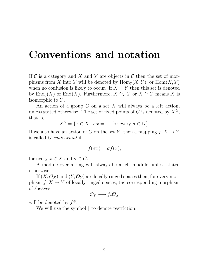# Conventions and notation

If  $\mathcal C$  is a category and X and Y are objects in  $\mathcal C$  then the set of morphisms from X into Y will be denoted by  $\text{Hom}_{\mathcal{C}}(X, Y)$ , or  $\text{Hom}(X, Y)$ when no confusion is likely to occur. If  $X = Y$  then this set is denoted by  $\text{End}_{\mathcal{C}}(X)$  or  $\text{End}(X)$ . Furthermore,  $X \cong_{\mathcal{C}} Y$  or  $X \cong Y$  means X is isomorphic to Y.

An action of a group  $G$  on a set  $X$  will always be a left action, unless stated otherwise. The set of fixed points of G is denoted by  $X^G$ , that is,

$$
X^G = \{ x \in X \mid \sigma x = x, \text{ for every } \sigma \in G \}.
$$

If we also have an action of G on the set Y, then a mapping  $f: X \to Y$ is called G-equivariant if

$$
f(\sigma x) = \sigma f(x),
$$

for every  $x \in X$  and  $\sigma \in G$ .

A module over a ring will always be a left module, unless stated otherwise.

If  $(X, \mathcal{O}_X)$  and  $(Y, \mathcal{O}_Y)$  are locally ringed spaces then, for every morphism  $f: X \to Y$  of locally ringed spaces, the corresponding morphism of sheaves

$$
\mathcal{O}_Y\longrightarrow f_{\star}\mathcal{O}_X
$$

will be denoted by  $f^{\#}$ .

We will use the symbol  $\upharpoonright$  to denote restriction.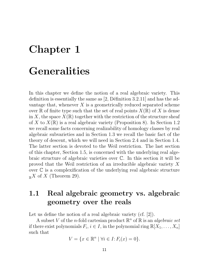# Chapter 1 Generalities

In this chapter we define the notion of a real algebraic variety. This definition is essentially the same as  $[2,$  Définition 3.2.11] and has the advantage that, whenever  $X$  is a geometrically reduced separated scheme over R of finite type such that the set of real points  $X(\mathbb{R})$  of X is dense in X, the space  $X(\mathbb{R})$  together with the restriction of the structure sheaf of X to  $X(\mathbb{R})$  is a real algebraic variety (Proposition 8). In Section 1.2 we recall some facts concerning realizability of homology classes by real algebraic subvarieties and in Section 1.3 we recall the basic fact of the theory of descent, which we will need in Section 2.4 and in Section 1.4. The latter section is devoted to the Weil restriction. The last section of this chapter, Section 1.5, is concerned with the underlying real algebraic structure of algebraic varieties over C. In this section it will be proved that the Weil restriction of an irreducible algebraic variety X over C is a complexification of the underlying real algebraic structure  $\mathbb{R}^X$  of X (Theorem 29).

## 1.1 Real algebraic geometry vs. algebraic geometry over the reals

Let us define the notion of a real algebraic variety (cf. [2]).

A subset V of the *n*-fold cartesian product  $\mathbb{R}^n$  of  $\mathbb{R}$  is an *algebraic set* if there exist polynomials  $F_i, i \in I$ , in the polynomial ring  $\mathbb{R}[X_1, \ldots, X_n]$ such that

$$
V = \{x \in \mathbb{R}^n \mid \forall i \in I : F_i(x) = 0\}.
$$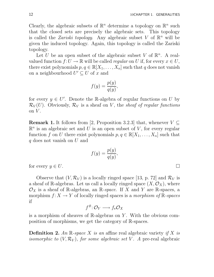Clearly, the algebraic subsets of  $\mathbb{R}^n$  determine a topology on  $\mathbb{R}^n$  such that the closed sets are precisely the algebraic sets. This topology is called the *Zariski topology*. Any algebraic subset V of  $\mathbb{R}^n$  will be given the induced topology. Again, this topology is called the Zariski topology.

Let U be an open subset of the algebraic subset V of  $\mathbb{R}^n$ . A realvalued function  $f: U \to \mathbb{R}$  will be called *regular* on U if, for every  $x \in U$ , there exist polynomials  $p, q \in \mathbb{R}[X_1, \ldots, X_n]$  such that q does not vanish on a neighbourhood  $U' \subseteq U$  of x and

$$
f(y) = \frac{p(y)}{q(y)},
$$

for every  $y \in U'$ . Denote the R-algebra of regular functions on U by  $\mathcal{R}_V(U)$ . Obviously,  $\mathcal{R}_V$  is a sheaf on V, the sheaf of regular functions on  $V$ .

**Remark 1.** It follows from [2, Proposition 3.2.3] that, whenever  $V \subseteq$  $\mathbb{R}^n$  is an algebraic set and U is an open subset of V, for every regular function f on U there exist polynomials  $p, q \in \mathbb{R}[X_1, \ldots, X_n]$  such that q does not vanish on U and

$$
f(y) = \frac{p(y)}{q(y)},
$$

for every  $y \in U$ .

Observe that  $(V, \mathcal{R}_V)$  is a locally ringed space [13, p. 72] and  $\mathcal{R}_V$  is a sheaf of R-algebras. Let us call a locally ringed space  $(X, \mathcal{O}_X)$ , where  $\mathcal{O}_X$  is a sheaf of R-algebras, an R-space. If X and Y are R-spaces, a morphism  $f: X \to Y$  of locally ringed spaces is a *morphism of*  $\mathbb{R}$ -spaces if

$$
f^{\#}\colon \mathcal{O}_Y\longrightarrow f_{\star}\mathcal{O}_X
$$

is a morphism of sheaves of R-algebras on Y. With the obvious composition of morphisms, we get the category of R-spaces.

**Definition 2.** An R-space X is an affine real algebraic variety if X is isomorphic to  $(V, \mathcal{R}_V)$ , for some algebraic set V. A pre-real algebraic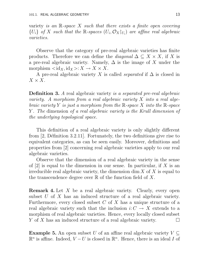variety is an  $\mathbb{R}$ -space X such that there exists a finite open covering  ${U_i}$  of X such that the R-spaces  $(U_i, \mathcal{O}_X|_{U_i})$  are affine real algebraic varieties.

Observe that the category of pre-real algebraic varieties has finite products. Therefore we can define the *diagonal*  $\Delta \subseteq X \times X$ , if X is a pre-real algebraic variety. Namely,  $\Delta$  is the image of X under the morphism  $\langle id_X, id_X \rangle: X \to X \times X$ .

A pre-real algebraic variety X is called *separated* if  $\Delta$  is closed in  $X \times X$ .

**Definition 3.** A real algebraic variety is a separated pre-real algebraic variety. A morphism from a real algebraic variety X into a real algebraic variety Y is just a morphism from the  $\mathbb{R}$ -space X into the  $\mathbb{R}$ -space Y . The dimension of a real algebraic variety is the Krull dimension of the underlying topological space.

This definition of a real algebraic variety is only slightly different from  $[2,$  Définition 3.2.11]. Fortunately, the two definitions give rise to equivalent categories, as can be seen easily. Moreover, definitions and properties from [2] concerning real algebraic varieties apply to our real algebraic varieties.

Observe that the dimension of a real algebraic variety in the sense of  $[2]$  is equal to the dimension in our sense. In particular, if X is an irreducible real algebraic variety, the dimension  $\dim X$  of X is equal to the transcendence degree over  $\mathbb R$  of the function field of X.

**Remark 4.** Let X be a real algebraic variety. Clearly, every open subset U of X has an induced structure of a real algebraic variety. Furthermore, every closed subset  $C$  of  $X$  has a unique structure of a real algebraic variety such that the inclusion  $i: C \to X$  extends to a morphism of real algebraic varieties. Hence, every locally closed subset Y of X has an induced structure of a real algebraic variety.  $\Box$ 

**Example 5.** An open subset U of an affine real algebraic variety  $V \subseteq$  $\mathbb{R}^n$  is affine. Indeed,  $V-U$  is closed in  $\mathbb{R}^n$ . Hence, there is an ideal I of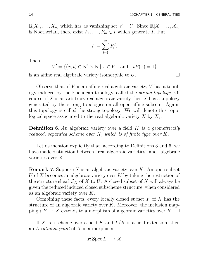$\mathbb{R}[X_1,\ldots,X_n]$  which has as vanishing set  $V-U$ . Since  $\mathbb{R}[X_1,\ldots,X_n]$ is Noetherian, there exist  $F_1, \ldots, F_m \in I$  which generate I. Put

$$
F = \sum_{i=1}^{m} F_i^2.
$$

Then,

$$
V' = \{(x, t) \in \mathbb{R}^n \times \mathbb{R} \mid x \in V \text{ and } tF(x) = 1\}
$$

is an affine real algebraic variety isomorphic to  $U$ .

Observe that, if  $V$  is an affine real algebraic variety,  $V$  has a topology induced by the Euclidean topology, called the strong topology. Of course, if X is an arbitrary real algebraic variety then X has a topology generated by the strong topologies on all open affine subsets. Again, this topology is called the strong topology. We will denote this topological space associated to the real algebraic variety  $X$  by  $X_s$ .

**Definition 6.** An algebraic variety over a field  $K$  is a geometrically reduced, separated scheme over K, which is of finite type over K.

Let us mention explicitly that, according to Definitions 3 and 6, we have made distinction between "real algebraic varieties" and "algebraic varieties over  $\mathbb{R}^n$ .

**Remark 7.** Suppose X is an algebraic variety over  $K$ . An open subset U of X becomes an algebraic variety over K by taking the restriction of the structure sheaf  $\mathcal{O}_X$  of X to U. A closed subset of X will always be given the reduced induced closed subscheme structure, when considered as an algebraic variety over K.

Combining these facts, every locally closed subset  $Y$  of  $X$  has the structure of an algebraic variety over  $K$ . Moreover, the inclusion mapping  $i: Y \to X$  extends to a morphism of algebraic varieties over K.  $\Box$ 

If X is a scheme over a field K and  $L/K$  is a field extension, then an L-rational point of  $X$  is a morphism

$$
x: \operatorname{Spec} L \longrightarrow X
$$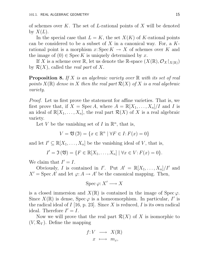of schemes over K. The set of L-rational points of X will be denoted by  $X(L)$ .

In the special case that  $L = K$ , the set  $X(K)$  of K-rational points can be considered to be a subset of X in a canonical way. For, a  $K$ rational point is a morphism x: Spec  $K \to X$  of schemes over K and the image of  $(0) \in \text{Spec } K$  is uniquely determined by x.

If X is a scheme over R, let us denote the R-space  $(X(\mathbb{R}), \mathcal{O}_X|_{X(\mathbb{R})})$ by  $\mathcal{R}(X)$ , called the *real part* of X.

**Proposition 8.** If X is an algebraic variety over  $\mathbb{R}$  with its set of real points  $X(\mathbb{R})$  dense in X then the real part  $\mathcal{R}(X)$  of X is a real algebraic variety.

*Proof.* Let us first prove the statement for affine varieties. That is, we first prove that, if  $X = \operatorname{Spec} A$ , where  $A = \mathbb{R}[X_1, \ldots, X_n]/I$  and I is an ideal of  $\mathbb{R}[X_1,\ldots,X_n]$ , the real part  $\mathcal{R}(X)$  of X is a real algebraic variety.

Let V be the vanishing set of I in  $\mathbb{R}^n$ , that is,

$$
V = \mathfrak{V}(\mathfrak{I}) = \{ x \in \mathbb{R}^n \mid \forall F \in I : F(x) = 0 \}
$$

and let  $I' \subseteq \mathbb{R}[X_1, \ldots, X_n]$  be the vanishing ideal of V, that is,

$$
I' = \mathfrak{I}(\mathfrak{V}) = \{ F \in \mathbb{R}[X_1, \ldots, X_n] \mid \forall x \in V : F(x) = 0 \}.
$$

We claim that  $I' = I$ .

Obviously, I is contained in I'. Put  $A' = \mathbb{R}[X_1, \ldots, X_n]/I'$  and  $X' = \text{Spec } A'$  and let  $\varphi: A \to A'$  be the canonical mapping. Then,

 $\operatorname{Spec} \varphi: X' \longrightarrow X$ 

is a closed immersion and  $X(\mathbb{R})$  is contained in the image of Spec  $\varphi$ . Since  $X(\mathbb{R})$  is dense, Spec  $\varphi$  is a homeomorphism. In particular, I' is the radical ideal of  $I$  [16, p. 23]. Since X is reduced, I is its own radical ideal. Therefore  $I' = I$ .

Now we will prove that the real part  $\mathcal{R}(X)$  of X is isomorphic to  $(V, \mathcal{R}_V)$ . Define the mapping

$$
f: V \longrightarrow X(\mathbb{R})
$$

$$
x \longmapsto m_x,
$$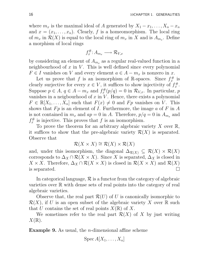where  $m_x$  is the maximal ideal of A generated by  $X_1 - x_1, \ldots, X_n - x_n$ and  $x = (x_1, \ldots, x_n)$ . Clearly, f is a homeomorphism. The local ring of  $m_x$  in  $\mathcal{R}(X)$  is equal to the local ring of  $m_x$  in X and is  $A_{m_x}$ . Define a morphism of local rings

$$
f_x^{\#}: A_{m_x} \longrightarrow \mathcal{R}_{V,x}
$$

by considering an element of  $A_{m_x}$  as a regular real-valued function in a neighbourhood of  $x$  in  $V$ . This is well defined since every polynomial  $F \in I$  vanishes on V and every element  $a \in A - m_x$  is nonzero in x.

Let us prove that f is an isomorphism of R-spaces. Since  $f_x^{\#}$  $\dot{x}^{\#}$  is clearly surjective for every  $x \in V$ , it suffices to show injectivity of  $f_x^{\#}$  $x^*$ . Suppose  $p \in A$ ,  $q \in A - m_x$  and  $f_x^{\#}$  $\mathcal{R}_{x}^{#}(p/q) = 0$  in  $\mathcal{R}_{V,x}$ . In particular, p vanishes in a neigbourhood of  $x$  in  $V$ . Hence, there exists a polynomial  $F \in \mathbb{R}[X_1,\ldots,X_n]$  such that  $F(x) \neq 0$  and  $F_p$  vanishes on V. This shows that  $Fp$  is an element of I. Furthermore, the image  $a$  of  $F$  in  $A$ is not contained in  $m_x$  and  $ap = 0$  in A. Therefore,  $p/q = 0$  in  $A_{m_x}$  and  $f^\#_x$  $\chi^{\#}_{x}$  is injective. This proves that f is an isomorphism.

To prove the theorem for an arbitrary algebraic variety X over  $\mathbb{R}$ , it suffices to show that the pre-algebraic variety  $\mathcal{R}(X)$  is separated. Observe that

$$
\mathcal{R}(X \times X) \cong \mathcal{R}(X) \times \mathcal{R}(X)
$$

and, under this isomorphism, the diagonal  $\Delta_{\mathcal{R}(X)} \subseteq \mathcal{R}(X) \times \mathcal{R}(X)$ corresponds to  $\Delta_X \cap \mathcal{R}(X \times X)$ . Since X is separated,  $\Delta_X$  is closed in  $X \times X$ . Therefore,  $\Delta_X \cap \mathcal{R}(X \times X)$  is closed in  $\mathcal{R}(X \times X)$  and  $\mathcal{R}(X)$  is separated. is separated.

In categorical language,  $\mathcal R$  is a functor from the category of algebraic varieties over  $\mathbb R$  with dense sets of real points into the category of real algebraic varieties.

Observe that, the real part  $\mathcal{R}(U)$  of U is canonically isomorphic to  $\mathcal{R}(X)$ , if U is an open subset of the algebraic variety X over R such that U contains the set of real points  $X(\mathbb{R})$  of X.

We sometimes refer to the real part  $\mathcal{R}(X)$  of X by just writing  $X(\mathbb{R}).$ 

**Example 9.** As usual, the *n*-dimensional affine scheme

$$
Spec\ A[X_1,\ldots,X_n]
$$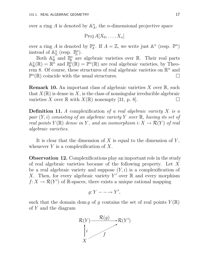over a ring A is denoted by  $\mathbb{A}_{\mathcal{A}}^n$  $n_A^n$ , the *n*-dimensional projective space

$$
\operatorname{Proj} A[X_0,\ldots,X_n]
$$

over a ring A is denoted by  $\mathbb{P}_{\mathcal{A}}^n$  $A^{\text{pn}}$ . If  $A = \mathbb{Z}$ , we write just  $\mathbb{A}^n$  (resp.  $\mathbb{P}^n$ ) instead of  $\mathbb{A}^n_{\mathbb{Z}}$  $\mathbb{Z}$  (resp.  $\mathbb{P}^n_{\mathbb{Z}}$  $_{\mathbb{Z}}^{\mathbb{D}n}).$ 

Both  $\mathbb{A}^n_{\mathbb{R}}$  $\mathbb{R}$  and  $\mathbb{P}^n_{\mathbb{R}}$  $\mathbb{R}^n$  are algebraic varieties over  $\mathbb{R}$ . Their real parts  $\mathbb{A}^n_{\mathbb{R}}$  $\mathbb{R}^n(\mathbb{R}) = \mathbb{R}^n$  and  $\mathbb{P}^n_{\mathbb{R}}$  $\mathbb{R}^n(\mathbb{R}) = \mathbb{P}^n(\mathbb{R})$  are real algebraic varieties, by Theorem 8. Of course, these structures of real algebraic varieties on  $\mathbb{R}^n$  and  $\mathbb{P}^n(\mathbb{R})$  coincide with the usual structures.

**Remark 10.** An important class of algebraic varieties  $X$  over  $\mathbb{R}$ , such that  $X(\mathbb{R})$  is dense in X, is the class of nonsingular irreducible algebraic varieties X over  $\mathbb R$  with  $X(\mathbb R)$  nonempty [31, p. 8].

**Definition 11.** A complexification of a real algebraic variety  $X$  is a pair  $(Y, i)$  consisting of an algebraic variety Y over R, having its set of real points  $Y(\mathbb{R})$  dense in Y, and an isomorphism  $i: X \to \mathcal{R}(Y)$  of real algebraic varieties.

It is clear that the dimension of  $X$  is equal to the dimension of  $Y$ , whenever  $Y$  is a complexification of  $X$ .

Observation 12. Complexifications play an important role in the study of real algebraic varieties because of the following property. Let X be a real algebraic variety and suppose  $(Y, i)$  is a complexification of X. Then, for every algebraic variety Y' over  $\mathbb R$  and every morphism  $f: X \to \mathcal{R}(Y')$  of R-spaces, there exists a unique rational mapping

$$
g: Y \longrightarrow Y',
$$

such that the domain dom g of g contains the set of real points  $Y(\mathbb{R})$ of  $Y$  and the diagram

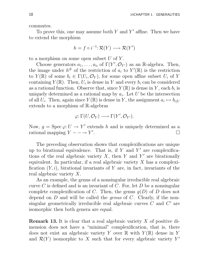commutes.

To prove this, one may assume both  $Y$  and  $Y'$  affine. Then we have to extend the morphism

$$
h = f \circ i^{-1} : \mathcal{R}(Y) \longrightarrow \mathcal{R}(Y')
$$

to a morphism on some open subset  $U$  of  $Y$ .

Choose generators  $a_1, \ldots, a_n$  of  $\Gamma(Y', \mathcal{O}_{Y'})$  as an R-algebra. Then, the image under  $h^{\#}$  of the restriction of  $a_i$  to  $Y'(\mathbb{R})$  is the restriction to  $Y(\mathbb{R})$  of some  $b_i \in \Gamma(U_i, \mathcal{O}_Y)$ , for some open affine subset  $U_i$  of Y containing  $Y(\mathbb{R})$ . Then,  $U_i$  is dense in Y and every  $b_i$  can be considered as a rational function. Observe that, since  $Y(\mathbb{R})$  is dense in Y, each  $b_i$  is uniquely determined as a rational map by  $a_i$ . Let U be the intersection of all  $U_i$ . Then, again since  $Y(\mathbb{R})$  is dense in Y, the assignment  $a_i \mapsto b_{i|U}$ extends to a morphism of R-algebras

$$
\varphi\colon \Gamma(U, \mathcal{O}_Y) \longrightarrow \Gamma(Y', \mathcal{O}_{Y'}).
$$

Now,  $g = \text{Spec } \varphi: U \to Y'$  extends h and is uniquely determined as a rational mapping  $Y - \rightarrow Y'$ .

The preceding observation shows that complexifications are unique up to birational equivalence. That is, if  $Y$  and  $Y'$  are complexifications of the real algebraic variety  $X$ , then Y and Y' are birationally equivalent. In particular, if a real algebraic variety  $X$  has a complexification  $(Y, i)$ , birational invariants of Y are, in fact, invariants of the real algebraic variety X.

As an example, the genus of a nonsingular irreducible real algebraic curve  $C$  is defined and is an invariant of  $C$ . For, let  $D$  be a nonsingular complete complexification of C. Then, the genus  $q(D)$  of D does not depend on  $D$  and will be called the *genus* of  $C$ . Clearly, if the nonsingular geometrically irreducible real algebraic curves  $C$  and  $C'$  are isomorphic then both genera are equal.

**Remark 13.** It is clear that a real algebraic variety  $X$  of positive dimension does not have a "minimal" complexification, that is, there does not exist an algebraic variety Y over  $\mathbb R$  with  $Y(\mathbb R)$  dense in Y and  $\mathcal{R}(Y)$  isomorphic to X such that for every algebraic variety Y'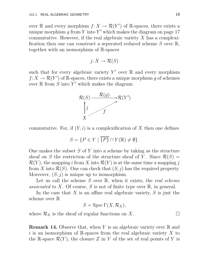over R and every morphism  $f: X \to \mathcal{R}(Y')$  of R-spaces, there exists a unique morphism g from Y into Y' which makes the diagram on page 17 commutative. However, if the real algebraic variety  $X$  has a complexification then one can construct a seperated reduced scheme S over R, together with an isomorphism of R-spaces

$$
j: X \to \mathcal{R}(S)
$$

such that for every algebraic variety  $Y'$  over  $\mathbb R$  and every morphism  $f: X \to \mathcal{R}(Y')$  of R-spaces, there exists a unique morphism g of schemes over  $\mathbb R$  from  $S$  into  $Y'$  which makes the diagram



commutative. For, if  $(Y, i)$  is a complexification of X then one defines

$$
S = \{ P \in Y \mid \overline{\{P\}} \cap Y(\mathbb{R}) \neq \emptyset \}.
$$

One makes the subset  $S$  of  $Y$  into a scheme by taking as the structure sheaf on S the restriction of the structure sheaf of Y. Since  $\mathcal{R}(S)$  =  $\mathcal{R}(Y)$ , the mapping i from X into  $\mathcal{R}(Y)$  is at the same time a mapping j from X into  $\mathcal{R}(S)$ . One can check that  $(S, j)$  has the required property. Moreover,  $(S, j)$  is unique up to isomorphism.

Let us call the scheme  $S$  over  $\mathbb{R}$ , when it exists, the *real scheme* associated to X. Of course, S is not of finite type over  $\mathbb{R}$ , in general.

In the case that  $X$  is an affine real algebraic variety,  $S$  is just the scheme over R

$$
S = \operatorname{Spec} \Gamma(X, \mathcal{R}_X),
$$

where  $\mathcal{R}_X$  is the sheaf of regular functions on X.

**Remark 14.** Observe that, when Y is an algebraic variety over  $\mathbb{R}$  and i is an isomorphism of R-spaces from the real algebraic variety  $X$  to the R-space  $\mathcal{R}(Y)$ , the closure Z in Y of the set of real points of Y is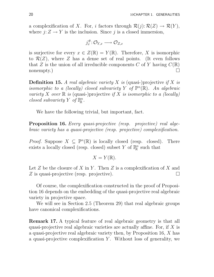a complexification of X. For, i factors through  $\mathcal{R}(j): \mathcal{R}(Z) \to \mathcal{R}(Y)$ , where  $j: Z \to Y$  is the inclusion. Since j is a closed immersion,

$$
j_x^{\#} : \mathcal{O}_{Y,x} \longrightarrow \mathcal{O}_{Z,x}
$$

is surjective for every  $x \in Z(\mathbb{R}) = Y(\mathbb{R})$ . Therefore, X is isomorphic to  $\mathcal{R}(Z)$ , where Z has a dense set of real points. (It even follows that Z is the union of all irreducible components C of Y having  $C(\mathbb{R})$ nonempty.)  $\Box$ 

**Definition 15.** A real algebraic variety X is (quasi-)projective if X is isomorphic to a (locally) closed subvariety Y of  $\mathbb{P}^n(\mathbb{R})$ . An algebraic variety X over  $\mathbb R$  is (quasi-)projective if X is isomorphic to a (locally) closed subvariety Y of  $\mathbb{P}^n_{\mathbb{R}}$  $_{\mathbb{R}}^{n}.$ 

We have the following trivial, but important, fact.

Proposition 16. Every quasi-projective (resp. projective) real algebraic variety has a quasi-projective (resp. projective) complexification.

*Proof.* Suppose  $X \subseteq \mathbb{P}^n(\mathbb{R})$  is locally closed (resp. closed). There exists a locally closed (resp. closed) subset Y of  $\mathbb{P}^n$  $\mathbb{R}^n$  such that

$$
X=Y(\mathbb{R}).
$$

Let  $Z$  be the closure of  $X$  in  $Y$ . Then  $Z$  is a complexification of  $X$  and Z is quasi-projective (resp. projective).

Of course, the complexification constructed in the proof of Proposition 16 depends on the embedding of the quasi-projective real algebraic variety in projective space.

We will see in Section 2.5 (Theorem 29) that real algebraic groups have canonical complexifications.

Remark 17. A typical feature of real algebraic geometry is that all quasi-projective real algebraic varieties are actually affine. For, if X is a quasi-projective real algebraic variety then, by Proposition 16, X has a quasi-projective complexification  $Y$ . Without loss of generality, we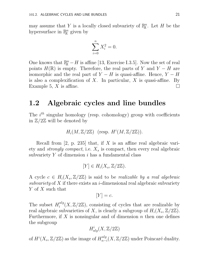may assume that Y is a locally closed subvariety of  $\mathbb{P}^n_{\mathbb{R}}$  $\mathbb{R}^n$ . Let H be the hypersurface in  $\mathbb{P}^n_{\mathbb{R}}$  $\mathbb{R}^n$  given by

$$
\sum_{i=0}^{n} X_i^2 = 0.
$$

One knows that  $\mathbb{P}^n$  – H is affine [13, Exercise I.3.5]. Now the set of real points  $H(\mathbb{R})$  is empty. Therefore, the real parts of Y and Y – H are isomorphic and the real part of  $Y - H$  is quasi-affine. Hence,  $Y - H$ is also a complexification of  $X$ . In particular,  $X$  is quasi-affine. By Example 5, X is affine.

#### 1.2 Algebraic cycles and line bundles

The  $i^{th}$  singular homology (resp. cohomology) group with coefficients in  $\mathbb{Z}/2\mathbb{Z}$  will be denoted by

$$
H_i(M, \mathbb{Z}/2\mathbb{Z}) \quad (\text{resp. } H^i(M, \mathbb{Z}/2\mathbb{Z})).
$$

Recall from  $[2, p. 235]$  that, if X is an affine real algebraic variety and *strongly compact*, i.e.  $X_s$  is compact, then every real algebraic subvariety  $Y$  of dimension  $i$  has a fundamental class

$$
[Y] \in H_i(X_s, \mathbb{Z}/2\mathbb{Z}).
$$

A cycle  $c \in H_i(X_s, \mathbb{Z}/2\mathbb{Z})$  is said to be *realizable by a real algebraic* subvariety of X if there exists an *i*-dimensional real algebraic subvariety Y of X such that

$$
[Y] = c.
$$

The subset  $H_i^{alg}$  $i^{alg}(X, \mathbb{Z}/2\mathbb{Z})$ , consisting of cycles that are realizable by real algebraic subvarieties of X, is clearly a subgroup of  $H_i(X_s, \mathbb{Z}/2\mathbb{Z})$ . Furthermore, if  $X$  is nonsingular and of dimension  $n$  then one defines the subgroup

$$
H^i_{alg}(X, \mathbb{Z}/2\mathbb{Z})
$$

of  $H^i(X_s, \mathbb{Z}/2\mathbb{Z})$  as the image of  $H^{alg}_{n-}$  $_{n-i}^{aug}(X,\mathbb{Z}/2\mathbb{Z})$  under Poincaré duality.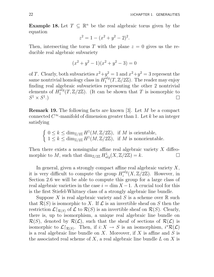**Example 18.** Let  $T \subseteq \mathbb{R}^n$  be the real algebraic torus given by the equation

$$
z^2 = 1 - (x^2 + y^2 - 2)^2.
$$

Then, intersecting the torus T with the plane  $z = 0$  gives us the reducible real algebraic subvariety

$$
(x^2 + y^2 - 1)(x^2 + y^2 - 3) = 0
$$

of T. Clearly, both subvarieties  $x^2 + y^2 = 1$  and  $x^2 + y^2 = 3$  represent the same nontrivial homology class in  $H_1^{alg}$  $i_1^{alg}(T, \mathbb{Z}/2\mathbb{Z})$ . The reader may enjoy finding real algebraic subvarieties representing the other 2 nontrivial elements of  $H_1^{alg}$  $1^{alg}(T, \mathbb{Z}/2\mathbb{Z})$ . (It can be shown that T is isomorphic to  $S^1 \times S^1$ .)

Remark 19. The following facts are known [3]. Let M be a compact connected  $C^{\infty}$ -manifold of dimension greater than 1. Let k be an integer satisfying

$$
\begin{cases} 0 \leq k \leq \dim_{\mathbb{Z}/2\mathbb{Z}} H^1(M,\mathbb{Z}/2\mathbb{Z}), \text{ if } M \text{ is orientable,} \\ 1 \leq k \leq \dim_{\mathbb{Z}/2\mathbb{Z}} H^1(M,\mathbb{Z}/2\mathbb{Z}), \text{ if } M \text{ is nonorientable.} \end{cases}
$$

Then there exists a nonsingular affine real algebraic variety  $X$  diffeomorphic to M, such that  $\dim_{\mathbb{Z}/2\mathbb{Z}} H^1_{alg}(X, \mathbb{Z}/2\mathbb{Z}) = k.$ 

In general, given a strongly compact affine real algebraic variety  $X$ , it is very difficult to compute the group  $H_i^{alg}$  $i_i^{aug}(X, \mathbb{Z}/2\mathbb{Z})$ . However, in Section 2.6 we will be able to compute this group for a large class of real algebraic varieties in the case  $i = \dim X - 1$ . A crucial tool for this is the first Stiefel-Whitney class of a strongly algebraic line bundle.

Suppose X is real algebraic variety and S is a scheme over  $\mathbb R$  such that  $\mathcal{R}(S)$  is isomorphic to X. If  $\mathcal L$  is an invertible sheaf on S then the restriction  $\mathcal{L}|_{\mathcal{R}(S)}$  of  $\mathcal L$  to  $\mathcal{R}(S)$  is an invertible sheaf on  $\mathcal{R}(S)$ . Clearly, there is, up to isomorphism, a unique real algebraic line bundle on  $\mathcal{R}(S)$ , denoted by  $\mathcal{R}(\mathcal{L})$ , such that the sheaf of sections of  $\mathcal{R}(\mathcal{L})$  is isomorphic to  $\mathcal{L}|_{\mathcal{R}(S)}$ . Then, if  $i: X \to S$  is an isomorphism,  $i^*\mathcal{R}(\mathcal{L})$ is a real algebraic line bundle on  $X$ . Moreover, if  $X$  is affine and  $S$  is the associated real scheme of  $X$ , a real algebraic line bundle  $L$  on  $X$  is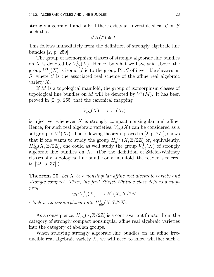strongly algebraic if and only if there exists an invertible sheaf  $\mathcal L$  on  $S$ such that

$$
i^{\star}\mathcal{R}(\mathcal{L}) \cong L.
$$

This follows immediately from the definition of strongly algebraic line bundles [2, p. 259].

The group of isomorphism classes of strongly algebraic line bundles on X is denoted by  $V_{al}^1$  $\chi_{alg}^1(X)$ . Hence, by what we have said above, the group  $V_{al}^1$  $\chi_{alg}^1(X)$  is isomorphic to the group Pic S of invertible sheaves on  $S$ , where  $S$  is the associated real scheme of the affine real algebraic variety  $X$ .

If M is a topological manifold, the group of isomorphism classes of topological line bundles on M will be denoted by  $V^1(M)$ . It has been proved in [2, p. 265] that the canonical mapping

$$
V_{alg}^1(X) \longrightarrow V^1(X_s)
$$

is injective, whenever  $X$  is strongly compact nonsingular and affine. Hence, for such real algebraic varieties,  $V_{al}^1$  $\chi_{alg}^1(X)$  can be considered as a subgroup of  $V^1(X_s)$ . The following theorem, proved in [2, p. 271], shows that if one wants to study the group  $H_{n-}^{alg}$  $\frac{f_{n-1}(X, \mathbb{Z}/2\mathbb{Z})}{\prod_{i=1}^{n} (X_i)}$  or, equivalently,  $H^1_{alg}(X,\mathbb{Z}/2\mathbb{Z})$ , one could as well study the group  $V^1_{al}$  $\chi^1_{alg}(X)$  of strongly algebraic line bundles on  $X$ . (For the definition of Stiefel-Whitney classes of a topological line bundle on a manifold, the reader is refered to [22, p. 37].)

**Theorem 20.** Let X be a nonsingular affine real algebraic variety and strongly compact. Then, the first Stiefel-Whitney class defines a mapping

> $w_1$ :  $V^1_{al}$  $H^1(X_s, \mathbb{Z}/2\mathbb{Z}) \longrightarrow H^1(X_s, \mathbb{Z}/2\mathbb{Z})$

which is an isomorphism onto  $H^1_{alg}(X,\mathbb{Z}/2\mathbb{Z})$ .

As a consequence,  $H^1_{alg}(\cdot, \mathbb{Z}/2\mathbb{Z})$  is a contravariant functor from the category of strongly compact nonsingular affine real algebraic varieties into the category of abelian groups.

When studying strongly algebraic line bundles on an affine irreducible real algebraic variety  $X$ , we will need to know whether such a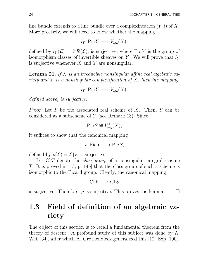line bundle extends to a line bundle over a complexification  $(Y, i)$  of X. More precisely, we will need to know whether the mapping

$$
l_Y: \text{Pic } Y \longrightarrow V_{alg}^1(X),
$$

defined by  $l_Y(\mathcal{L}) = i^* \mathcal{R}(\mathcal{L})$ , is surjective, where Pic Y is the group of isomorphism classes of invertible sheaves on Y. We will prove that  $l<sub>Y</sub>$ is surjective whenever  $X$  and  $Y$  are nonsingular.

**Lemma 21.** If X is an irreducible nonsingular affine real algebraic variety and Y is a nonsingular complexification of X, then the mapping

$$
l_Y: \text{Pic } Y \longrightarrow V_{alg}^1(X),
$$

defined above, is surjective.

Proof. Let S be the associated real scheme of X. Then, S can be considered as a subscheme of Y (see Remark 13). Since

$$
\operatorname{Pic} S \cong V_{alg}^1(X),
$$

it suffices to show that the canonical mapping

$$
\rho: \operatorname{Pic} Y \longrightarrow \operatorname{Pic} S,
$$

defined by  $\rho(\mathcal{L}) = \mathcal{L}|_S$ , is surjective.

Let  $ClT$  denote the *class group* of a nonsingular integral scheme T. It is proved in [13, p. 145] that the class group of such a scheme is isomorphic to the Picard group. Clearly, the canonical mapping

$$
\text{Cl}\,Y\longrightarrow\text{Cl}\,S
$$

is surjective. Therefore,  $\rho$  is surjective. This proves the lemma.  $\Box$ 

## 1.3 Field of definition of an algebraic variety

The object of this section is to recall a fundamental theorem from the theory of descent. A profound study of this subject was done by A. Weil [34], after which A. Grothendieck generalized this [12, Exp. 190].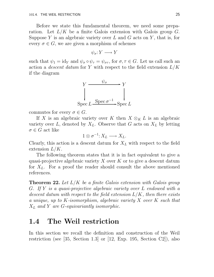Before we state this fundamental theorem, we need some preparation. Let  $L/K$  be a finite Galois extension with Galois group  $G$ . Suppose Y is an algebraic variety over  $L$  and  $G$  acts on Y, that is, for every  $\sigma \in G$ , we are given a morphism of schemes

$$
\psi_{\sigma}: Y \longrightarrow Y
$$

such that  $\psi_1 = id_Y$  and  $\psi_{\sigma} \circ \psi_{\tau} = \psi_{\sigma\tau}$ , for  $\sigma, \tau \in G$ . Let us call such an action a *descent datum* for Y with respect to the field extension  $L/K$ if the diagram



commutes for every  $\sigma \in G$ .

If X is an algebraic variety over K then  $X \otimes_K L$  is an algebraic variety over L, denoted by  $X_L$ . Observe that G acts on  $X_L$  by letting  $\sigma \in G$  act like

$$
1\otimes \sigma^{-1}: X_L\longrightarrow X_L.
$$

Clearly, this action is a descent datum for  $X_L$  with respect to the field extension  $L/K$ .

The following theorem states that it is in fact equivalent to give a quasi-projective algebraic variety  $X$  over  $K$  or to give a descent datum for  $X_L$ . For a proof the reader should consult the above mentioned references.

**Theorem 22.** Let  $L/K$  be a finite Galois extension with Galois group G. If Y is a quasi-projective algebraic variety over L endowed with a descent datum with respect to the field extension  $L/K$ , then there exists a unique, up to K-isomorphism, algebraic variety X over K such that  $X_L$  and Y are G-equivariantly isomorphic.

### 1.4 The Weil restriction

In this section we recall the definition and construction of the Weil restriction (see [35, Section 1.3] or [12, Exp. 195, Section C2]), also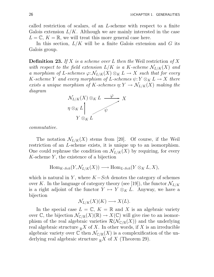called restriction of scalars, of an L-scheme with respect to a finite Galois extension  $L/K$ . Although we are mainly interested in the case  $L = \mathbb{C}, K = \mathbb{R}$ , we will treat this more general case here.

In this section,  $L/K$  will be a finite Galois extension and G its Galois group.

**Definition 23.** If X is a scheme over L then the Weil restriction of X with respect to the field extension  $L/K$  is a K-scheme  $\mathcal{N}_{L/K}(X)$  and a morphism of L-schemes  $\varphi: \mathcal{N}_{L/K}(X) \otimes_K L \to X$  such that for every K-scheme Y and every morphism of L-schemes  $\psi: Y \otimes_K L \to X$  there exists a unique morphism of K-schemes  $\eta: Y \to \mathcal{N}_{L/K}(X)$  making the diagram



commutative.

The notation  $\mathcal{N}_{L/K}(X)$  stems from [20]. Of course, if the Weil restriction of an L-scheme exists, it is unique up to an isomorphism. One could rephrase the condition on  $\mathcal{N}_{L/K}(X)$  by requiring, for every  $K$ -scheme  $Y$ , the existence of a bijection

$$
\operatorname{Hom}_{K\operatorname{-Sch}}(Y,\mathcal{N}_{L/K}(X))\longrightarrow \operatorname{Hom}_{L\operatorname{-Sch}}(Y\otimes_K L,X),
$$

which is natural in Y, where  $K-Sch$  denotes the category of schemes over K. In the language of category theory (see [19]), the functor  $\mathcal{N}_{L/K}$ is a right adjoint of the functor  $Y \mapsto Y \otimes_K L$ . Anyway, we have a bijection

$$
\mathcal{N}_{L/K}(X)(K) \longrightarrow X(L).
$$

In the special case  $L = \mathbb{C}$ ,  $K = \mathbb{R}$  and X is an algebraic variety over C, the bijection  $\mathcal{N}_{\mathbb{C}/\mathbb{R}}(X)(\mathbb{R}) \to X(\mathbb{C})$  will give rise to an isomorphism of the real algebraic varieties  $\mathcal{R}(\mathcal{N}_{\mathbb{C}/\mathbb{R}}(X))$  and the underlying real algebraic structure  $\mathbb{R}^X$  of X. In other words, if X is an irreducible algebraic variety over  $\mathbb C$  then  $\mathcal N_{\mathbb C/\mathbb R}(X)$  is a complexification of the underlying real algebraic structure  $\mathbb{R}^X$  of X (Theorem 29).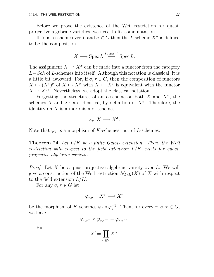Before we prove the existence of the Weil restriction for quasiprojective algebraic varieties, we need to fix some notation.

If X is a scheme over L and  $\sigma \in G$  then the L-scheme  $X^{\sigma}$  is defined to be the composition

$$
X \longrightarrow \operatorname{Spec} L \stackrel{\operatorname{Spec} \sigma^{-1}}{\longrightarrow} \operatorname{Spec} L.
$$

The assignment  $X \mapsto X^{\sigma}$  can be made into a functor from the category  $L-Sch$  of L-schemes into itself. Although this notation is classical, it is a little bit awkward. For, if  $\sigma, \tau \in G$ , then the composition of functors  $X \mapsto (X^{\tau})^{\sigma}$  of  $X \mapsto X^{\sigma}$  with  $X \mapsto X^{\tau}$  is equivalent with the functor  $X \mapsto X^{\sigma\tau}$ . Nevertheless, we adopt the classical notation.

Forgetting the structures of an L-scheme on both X and  $X^{\sigma}$ , the schemes X and  $X^{\sigma}$  are identical, by definition of  $X^{\sigma}$ . Therefore, the identity on  $X$  is a morphism of schemes

$$
\varphi_{\sigma} \colon X \longrightarrow X^{\sigma}.
$$

Note that  $\varphi_{\sigma}$  is a morphism of K-schemes, not of L-schemes.

**Theorem 24.** Let  $L/K$  be a finite Galois extension. Then, the Weil restriction with respect to the field extension L/K exists for quasiprojective algebraic varieties.

*Proof.* Let X be a quasi-projective algebraic variety over L. We will give a construction of the Weil restriction  $\mathcal{N}_{L/K}(X)$  of X with respect to the field extension  $L/K$ .

For any  $\sigma, \tau \in G$  let

$$
\varphi_{\tau,\sigma^{-1}}:X^{\sigma}\longrightarrow X^{\tau}
$$

be the morphism of K-schemes  $\varphi_{\tau} \circ \varphi_{\sigma}^{-1}$ . Then, for every  $\pi, \sigma, \tau \in G$ , we have

$$
\varphi_{\tau,\sigma^{-1}}\circ\varphi_{\sigma,\pi^{-1}}=\varphi_{\tau,\pi^{-1}}.
$$

Put

$$
X' = \prod_{\alpha \in G} X^{\alpha},
$$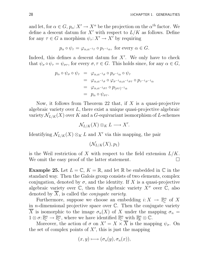and let, for  $\alpha \in G$ ,  $p_{\alpha}: X' \to X^{\alpha}$  be the projection on the  $\alpha^{\text{th}}$  factor. We define a descent datum for  $X'$  with respect to  $L/K$  as follows. Define for any  $\tau \in G$  a morphism  $\psi_{\tau}: X' \to X'$  by requiring

$$
p_{\alpha} \circ \psi_{\tau} = \varphi_{\alpha, \alpha^{-1} \tau} \circ p_{\tau^{-1} \alpha}
$$
, for every  $\alpha \in G$ .

Indeed, this defines a descent datum for  $X'$ . We only have to check that  $\psi_{\sigma} \circ \psi_{\tau} = \psi_{\sigma\tau}$ , for every  $\sigma, \tau \in G$ . This holds since, for any  $\alpha \in G$ ,

$$
p_{\alpha} \circ \psi_{\sigma} \circ \psi_{\tau} = \varphi_{\alpha,\alpha^{-1}\sigma} \circ p_{\sigma^{-1}\alpha} \circ \psi_{\tau}
$$
  
= 
$$
\varphi_{\alpha,\alpha^{-1}\sigma} \circ \varphi_{\sigma^{-1}\alpha,\alpha^{-1}\sigma\tau} \circ p_{\tau^{-1}\sigma^{-1}\alpha}
$$
  
= 
$$
\varphi_{\alpha,\alpha^{-1}\sigma\tau} \circ p_{(\sigma\tau)^{-1}\alpha}
$$
  
= 
$$
p_{\alpha} \circ \psi_{\sigma\tau}.
$$

Now, it follows from Theorem 22 that, if X is a quasi-projective algebraic variety over L, there exist a unique quasi-projective algebraic variety  $\mathcal{N}_{L/K}(X)$  over K and a G-equivariant isomorphism of L-schemes

$$
\mathcal{N}_{L/K}(X)\otimes_K L\longrightarrow X'.
$$

Identifying  $\mathcal{N}_{L/K}(X) \otimes_K L$  and X' via this mapping, the pair

$$
(\mathcal{N}_{L/K}(X), p_1)
$$

is the Weil restriction of X with respect to the field extension  $L/K$ . We omit the easy proof of the latter statement.  $\Box$ 

**Example 25.** Let  $L = \mathbb{C}$ ,  $K = \mathbb{R}$ , and let  $\mathbb{R}$  be embedded in  $\mathbb{C}$  in the standard way. Then the Galois group consists of two elements, complex conjugation, denoted by  $\sigma$ , and the identity. If X is a quasi-projective algebraic variety over  $\mathbb{C}$ , then the algebraic variety  $X^{\sigma}$  over  $\mathbb{C}$ , also denoted by  $\overline{X}$ , is called the *conjugate variety*.

Furthermore, suppose we choose an embedding  $i: X \to \mathbb{P}_{\mathbb{C}}^n$  $_{\mathbb{C}}^n$  of  $X$ in *n*-dimensional projective space over  $\mathbb{C}$ . Then the conjugate variety  $\overline{X}$  is isomorphic to the image  $\sigma_n(X)$  of X under the mapping  $\sigma_n =$  $1 \otimes \sigma : \mathbb{P}^n_{\mathbb{C}} \to \mathbb{P}^n_{\mathbb{C}}$  $\mathbb{C}^n$ , where we have identified  $\mathbb{P}^n_{\mathbb{C}}$  with  $\mathbb{P}^n_{\mathbb{R}} \otimes \mathbb{C}$ .

Moreover, the action of  $\sigma$  on  $X' = X \times \overline{X}$  is the mapping  $\psi_{\sigma}$ . On the set of complex points of  $X'$ , this is just the mapping

$$
(x,y)\longmapsto (\sigma_n(y),\sigma_n(x)),
$$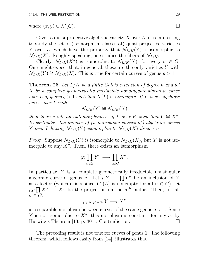where  $(x, y) \in X'(\mathbb{C})$ .  $(\mathbb{C})$ .

Given a quasi-projective algebraic variety  $X$  over  $L$ , it is interesting to study the set of (isomorphism classes of) quasi-projective varieties Y over L, which have the property that  $\mathcal{N}_{L/K}(Y)$  is isomorphic to  $\mathcal{N}_{L/K}(X)$ . Roughly speaking, one studies the fibers of  $\mathcal{N}_{L/K}$ .

Clearly,  $\mathcal{N}_{L/K}(X^{\sigma})$  is isomorphic to  $\mathcal{N}_{L/K}(X)$ , for every  $\sigma \in G$ . One might expect that, in general, these are the only varieties  $Y$  with  $\mathcal{N}_{L/K}(Y) \cong \mathcal{N}_{L/K}(X)$ . This is true for certain curves of genus  $g > 1$ .

**Theorem 26.** Let  $L/K$  be a finite Galois extension of degree n and let X be a complete geometrically irreducible nonsingular algebraic curve over L of genus  $q > 1$  such that  $X(L)$  is nonempty. If Y is an algebraic curve over L with

$$
\mathcal{N}_{L/K}(Y) \cong \mathcal{N}_{L/K}(X)
$$

then there exists an automorphism  $\sigma$  of L over K such that  $Y \cong X^{\sigma}$ . In particular, the number of (isomorphism classes of) algebraic curves Y over L having  $\mathcal{N}_{L/K}(Y)$  isomorphic to  $\mathcal{N}_{L/K}(X)$  divides n.

*Proof.* Suppose  $\mathcal{N}_{L/K}(Y)$  is isomorphic to  $\mathcal{N}_{L/K}(X)$ , but Y is not isomorphic to any  $X^{\sigma}$ . Then, there exists an isomorphism

$$
\varphi: \prod_{\alpha \in G} Y^{\alpha} \longrightarrow \prod_{\alpha \in G} X^{\alpha}.
$$

In particular, Y is a complete geometrically irreducible nonsingular algebraic curve of genus g. Let  $i: Y \to \prod Y^{\alpha}$  be an inclusion of Y as a factor (which exists since  $Y^{\alpha}(L)$  is nonempty for all  $\alpha \in G$ ), let  $p_{\sigma} \colon \prod_{\alpha} X^{\alpha} \to X^{\sigma}$  be the projection on the  $\sigma^{\text{th}}$  factor. Then, for all  $\sigma \in G$ ,

$$
p_{\sigma} \circ \varphi \circ i: Y \longrightarrow X^{\sigma}
$$

is a separable morphism between curves of the same genus  $q > 1$ . Since Y is not isomorphic to  $X^{\sigma}$ , this morphism is constant, for any  $\sigma$ , by Hurwitz's Theorem [13, p. 301]. Contradiction.

The preceding result is not true for curves of genus 1. The following theorem, which follows easily from [14], illustrates this.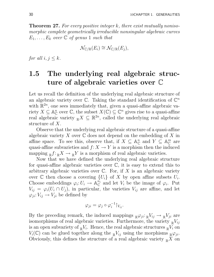**Theorem 27.** For every positive integer k, there exist mutually nonisomorphic complete geometrically irreducible nonsingular algebraic curves  $E_1, \ldots, E_k$  over  $\mathbb C$  of genus 1 such that

$$
\mathcal{N}_{\mathbb{C}/\mathbb{R}}(E_i) \cong \mathcal{N}_{\mathbb{C}/\mathbb{R}}(E_j),
$$

for all  $i, j \leq k$ .

## 1.5 The underlying real algebraic structure of algebraic varieties over C

Let us recall the definition of the underlying real algebraic structure of an algebraic variety over  $\mathbb{C}$ . Taking the standard identification of  $\mathbb{C}^n$ with  $\mathbb{R}^{2n}$ , one sees immediately that, given a quasi-affine algebraic variety  $X \subseteq \mathbb{A}_{\mathbb{C}}^n$  $\mathcal{C}$  over  $\mathbb{C}$ , the subset  $X(\mathbb{C}) \subseteq \mathbb{C}^n$  gives rise to a quasi-affine real algebraic variety  $_{\mathbb{R}}X \subseteq \mathbb{R}^{2n}$ , called the underlying real algebraic structure of X.

Observe that the underlying real algebraic structure of a quasi-affine algebraic variety X over  $\mathbb C$  does not depend on the embedding of X in affine space. To see this, observe that, if  $X \subseteq \mathbb{A}_{\mathbb{C}}^n$  $_{\mathbb{C}}^{n}$  and  $Y \subseteq \mathbb{A}_{\mathbb{C}}^{m}$  $_{\mathbb{C}}^{m}$  are quasi-affine subvarieties and  $f: X \to Y$  is a morphism then the induced mapping  $_{\mathbb{R}}f:_{\mathbb{R}}X \to {_{\mathbb{R}}Y}$  is a morphism of real algebraic varieties.

Now that we have defined the underlying real algebraic structure for quasi-affine algebraic varieties over  $\mathbb{C}$ , it is easy to extend this to arbitrary algebraic varieties over  $\mathbb C$ . For, if X is an algebraic variety over  $\mathbb C$  then choose a covering  $\{U_i\}$  of X by open affine subsets  $U_i$ . Choose embeddings  $\varphi_i: U_i \to \mathbb{A}_{\mathbb{C}}^{n_i}$  $\mathcal{C}^{n_i}$  and let  $V_i$  be the image of  $\varphi_i$ . Put  $V_{ij} = \varphi_i(U_i \cap U_j)$ , in particular, the varieties  $V_{ij}$  are affine, and let  $\varphi_{ji}: V_{ij} \to V_{ji}$  be defined by

$$
\varphi_{ji} = \varphi_j \circ \varphi_i^{-1} \upharpoonright_{V_{ij}}.
$$

By the preceding remark, the induced mappings  $_{\mathbb{R}}\varphi_{ji}:\mathbb{R}V_{ij}\to_{\mathbb{R}}V_{ji}$  are isomorphisms of real algebraic varieties. Furthermore, the variety  $\mathbb{R}V_{ij}$ is an open subvariety of  $_{\mathbb{R}}V_i$ . Hence, the real algebraic structures  $_{\mathbb{R}}V_i$  on  $V_i(\mathbb{C})$  can be glued together along the  $\mathbb{R}^{V_{ij}}$  using the morphisms  $\mathbb{R}^{\varphi_{ji}}$ . Obviously, this defines the structure of a real algebraic variety  $\mathbb{R}^X$  on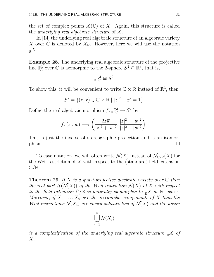the set of complex points  $X(\mathbb{C})$  of X. Again, this structure is called the underlying real algebraic structure of X.

In [14] the underlying real algebraic structure of an algebraic variety X over  $\mathbb C$  is denoted by  $X_{\mathbb R}$ . However, here we will use the notation  $R_{\mathbb{R}}X$  .

Example 28. The underlying real algebraic structure of the projective line  $\mathbb{P}^1_{\mathbb{C}}$ <sup>p1</sup> over  $\mathbb C$  is isomorphic to the 2-sphere  $S^2 \subseteq \mathbb R^3$ , that is,

$$
{}_{\mathbb{R}}\mathbb{P}^1_{\mathbb{C}}\cong S^2.
$$

To show this, it will be convenient to write  $\mathbb{C} \times \mathbb{R}$  instead of  $\mathbb{R}^3$ , then

$$
S^{2} = \{(z, x) \in \mathbb{C} \times \mathbb{R} \mid |z|^{2} + x^{2} = 1\}.
$$

Define the real algebraic morphism  $f: \mathbb{R}^{\mathbb{P}^1} \to S^2$  by

$$
f: (z:w) \longrightarrow \left(\frac{2z\overline{w}}{|z|^2 + |w|^2}, \frac{|z|^2 - |w|^2}{|z|^2 + |w|^2}\right).
$$

This is just the inverse of stereographic projection and is an isomor- $\Box$ 

To ease notation, we will often write  $\mathcal{N}(X)$  instead of  $\mathcal{N}_{\mathbb{C}/\mathbb{R}}(X)$  for the Weil restriction of  $X$  with respect to the (standard) field extension  $\mathbb{C}/\mathbb{R}$ .

**Theorem 29.** If X is a quasi-projective algebraic variety over  $\mathbb C$  then the real part  $\mathcal{R}(\mathcal{N}(X))$  of the Weil restriction  $\mathcal{N}(X)$  of X with respect to the field extension  $\mathbb{C}/\mathbb{R}$  is naturally isomorphic to  $\mathbb{R}X$  as  $\mathbb{R}$ -spaces. Moreover, if  $X_1, \ldots, X_n$  are the irreducible components of X then the Weil restrictions  $\mathcal{N}(X_i)$  are closed subvarieties of  $\mathcal{N}(X)$  and the union

$$
\bigcup_{i=1}^n \mathcal{N}(X_i)
$$

is a complexification of the underlying real algebraic structure  $\mathbb{R}^X$  of  $X$ .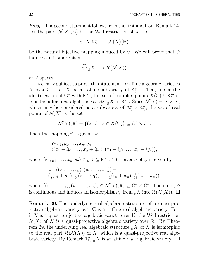Proof. The second statement follows from the first and from Remark 14. Let the pair  $(\mathcal{N}(X), \varphi)$  be the Weil restriction of X. Let

 $\psi: X(\mathbb{C}) \longrightarrow \mathcal{N}(X)(\mathbb{R})$ 

be the natural bijective mapping induced by  $\varphi$ . We will prove that  $\psi$ induces an isomorphism

$$
\widetilde{\psi}: {}_{\mathbb{R}}X \longrightarrow \mathcal{R}(\mathcal{N}(X))
$$

of R-spaces.

It clearly suffices to prove this statement for affine algebraic varieties X over C. Let X be an affine subvariety of  $\mathbb{A}^n_{\mathbb{C}}$  $_{\mathbb{C}}^n$ . Then, under the identification of  $\mathbb{C}^n$  with  $\mathbb{R}^{2n}$ , the set of complex points  $X(\mathbb{C}) \subseteq \mathbb{C}^n$  of X is the affine real algebraic variety  $\mathbb{R}^X$  in  $\mathbb{R}^{2n}$ . Since  $\mathcal{N}(X) = X \times \overline{X}$ , which may be considered as a subvariety of  $\mathbb{A}^n_{\mathbb{C}} \times \mathbb{A}^n_{\mathbb{C}}$  $_{\mathbb{C}}^{n}$ , the set of real points of  $\mathcal{N}(X)$  is the set

$$
\mathcal{N}(X)(\mathbb{R}) = \{(z,\overline{z}) \mid z \in X(\mathbb{C})\} \subseteq \mathbb{C}^n \times \mathbb{C}^n.
$$

Then the mapping  $\psi$  is given by

$$
\psi(x_1, y_1, \dots, x_n, y_n) = ((x_1 + iy_1, \dots, x_n + iy_n), (x_1 - iy_1, \dots, x_n - iy_n)),
$$

where  $(x_1, y_1, \ldots, x_n, y_n) \in \mathbb{R}^X \subseteq \mathbb{R}^{2n}$ . The inverse of  $\psi$  is given by

$$
\psi^{-1}((z_1,\ldots,z_n),(w_1,\ldots,w_n)) =
$$
  
\n
$$
(\frac{1}{2}(z_1+w_1),\frac{1}{2i}(z_1-w_1),\ldots,\frac{1}{2}(z_n+w_n),\frac{1}{2i}(z_n-w_n)),
$$

where  $((z_1, \ldots, z_n), (w_1, \ldots, w_n)) \in \mathcal{N}(X)(\mathbb{R}) \subseteq \mathbb{C}^n \times \mathbb{C}^n$ . Therefore,  $\psi$ is continuous and induces an isomorphism  $\psi$  from  $\mathbb{R}X$  into  $\mathcal{R}(\mathcal{N}(X))$ .  $\Box$ 

Remark 30. The underlying real algebraic structure of a quasi-projective algebraic variety over  $\mathbb C$  is an affine real algebraic variety. For, if X is a quasi-projective algebraic variety over  $\mathbb{C}$ , the Weil restriction  $\mathcal{N}(X)$  of X is a quasi-projective algebraic variety over R. By Theorem 29, the underlying real algebraic structure  $\mathbb{R}^X$  of X is isomorphic to the real part  $\mathcal{R}(\mathcal{N}(X))$  of X, which is a quasi-projective real algebraic variety. By Remark 17,  $_{\mathbb{R}} X$  is an affine real algebraic variety.  $\Box$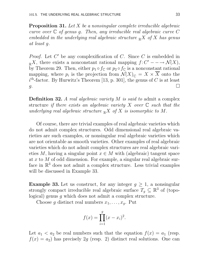**Proposition 31.** Let X be a nonsingular complete irreducible algebraic curve over  $\mathbb C$  of genus g. Then, any irreducible real algebraic curve  $C$ embedded in the underlying real algebraic structure  $\mathbb{R}^X$  of X has genus at least g.

*Proof.* Let  $C'$  be any complexification of  $C$ . Since  $C$  is embedded in  $R^X$ , there exists a nonconstant rational mapping  $f: C' \longrightarrow \mathcal{N}(X)$ , by Theorem 29. Then, either  $p_1 \circ f_{\mathbb{C}}$  or  $p_2 \circ f_{\mathbb{C}}$  is a nonconstant rational mapping, where  $p_i$  is the projection from  $\mathcal{N}(X)_{\mathbb{C}} = X \times X$  onto the  $i<sup>th</sup>$ -factor. By Hurwitz's Theorem [13, p. 301], the genus of C is at least  $g$ .

**Definition 32.** A real algebraic variety  $M$  is said to admit a complex structure if there exists an algebraic variety  $X$  over  $\mathbb C$  such that the underlying real algebraic structure  $\mathbb{R}X$  of X is isomorphic to M.

Of course, there are trivial examples of real algebraic varieties which do not admit complex structures. Odd dimensional real algebraic varieties are such examples, or nonsingular real algebraic varieties which are not orientable as smooth varieties. Other examples of real algebraic varieties which do not admit complex structures are real algebraic varieties M, having a singular point  $x \in M$  with (algebraic) tangent space at x to M of odd dimension. For example, a singular real algebraic surface in  $\mathbb{R}^3$  does not admit a complex structure. Less trivial examples will be discussed in Example 33.

**Example 33.** Let us construct, for any integer  $g \geq 1$ , a nonsingular strongly compact irreducible real algebraic surface  $T_g \subseteq \mathbb{R}^3$  of (topological) genus g which does not admit a complex structure.

Choose g distinct real numbers  $x_1, \ldots, x_g$ . Put

$$
f(x) = \prod_{i=1}^{g} (x - x_i)^2.
$$

Let  $a_1 < a_2$  be real numbers such that the equation  $f(x) = a_1$  (resp.  $f(x) = a_2$ ) has precisely 2g (resp. 2) distinct real solutions. One can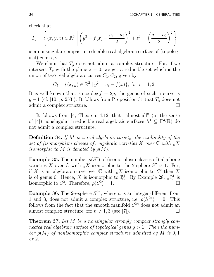check that

$$
T_g = \left\{ (x, y, z) \in \mathbb{R}^3 \middle| \left( y^2 + f(x) - \frac{a_1 + a_2}{2} \right)^2 + z^2 = \left( \frac{a_1 - a_2}{2} \right)^2 \right\}
$$

is a nonsingular compact irreducible real algebraic surface of (topological) genus g.

We claim that  $T_q$  does not admit a complex structure. For, if we intersect  $T_q$  with the plane  $z = 0$ , we get a reducible set which is the union of two real algebraic curves  $C_1, C_2$ , given by

$$
C_i = \{(x, y) \in \mathbb{R}^2 \mid y^2 = a_i - f(x)\}, \text{ for } i = 1, 2.
$$

It is well known that, since deg  $f = 2g$ , the genus of such a curve is  $g-1$  (cf. [10, p. 253]). It follows from Proposition 31 that  $T_g$  does not admit a complex structure admit a complex structure.

It follows from [4, Theorem 4.12] that "almost all" (in the sense of [4]) nonsingular irreducible real algebraic surfaces  $M \subseteq \mathbb{P}^3(\mathbb{R})$  do not admit a complex structure.

Definition 34. If M is a real algebraic variety, the cardinality of the set of (isomorphism classes of) algebraic varieties X over  $\mathbb C$  with  $\mathbb R X$ isomorphic to M is denoted by  $\rho(M)$ .

**Example 35.** The number  $\rho(S^2)$  of (isomorphism classes of) algebraic varieties X over  $\mathbb C$  with  $\mathbb R X$  isomorphic to the 2-sphere  $S^2$  is 1. For, if X is an algebraic curve over  $\mathbb C$  with  $\mathbb R X$  isomorphic to  $S^2$  then X is of genus 0. Hence, X is isomorphic to  $\mathbb{P}^1_{\mathbb{C}}$  $_{\mathbb{C}}^{\mathfrak{d}}$ . By Example 28,  $_{\mathbb{R}}\mathbb{P}_{\mathbb{C}}^{\mathfrak{d}}$  $_{\mathbb{C}}^{\mathsf{pl}}$  is isomorphic to  $S^2$ . Therefore,  $\rho(S^2) = 1$ .

**Example 36.** The 2*n*-sphere  $S^{2n}$ , where *n* is an integer different from 1 and 3, does not admit a complex structure, i.e.  $\rho(S^{2n}) = 0$ . This follows from the fact that the smooth manifold  $S^{2n}$  does not admit an almost complex structure, for  $n \neq 1, 3$  (see [7]).

Theorem 37. Let M be a nonsingular strongly compact strongly connected real algebraic surface of topological genus  $q > 1$ . Then the number  $\rho(M)$  of nonisomorphic complex structures admitted by M is 0,1 or 2.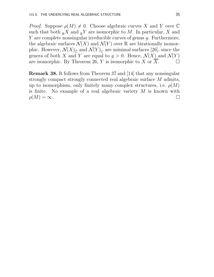*Proof.* Suppose  $\rho(M) \neq 0$ . Choose algebraic curves X and Y over C such that both  $\mathbb{R}X$  and  $\mathbb{R}Y$  are isomorphic to M. In particular, X and Y are complete nonsingular irreducible curves of genus g. Furthermore, the algebraic surfaces  $\mathcal{N}(X)$  and  $\mathcal{N}(Y)$  over R are birationally isomorphic. However,  $\mathcal{N}(X)_{\mathbb{C}}$  and  $\mathcal{N}(Y)_{\mathbb{C}}$  are minimal surfaces [26], since the genera of both X and Y are equal to  $g > 0$ . Hence,  $\mathcal{N}(X)$  and  $\mathcal{N}(Y)$  are isomorphic. By Theorem 26, Y is isomorphic to X or  $\overline{X}$ . are isomorphic. By Theorem 26, Y is isomorphic to X or  $\overline{X}$ .

Remark 38. It follows from Theorem 37 and [14] that any nonsingular strongly compact strongly connected real algebraic surface M admits, up to isomorphism, only finitely many complex structures, i.e.  $\rho(M)$ is finite. No example of a real algebraic variety  $M$  is known with  $\rho(M) = \infty.$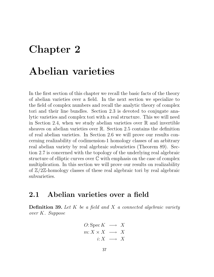# Chapter 2

## Abelian varieties

In the first section of this chapter we recall the basic facts of the theory of abelian varieties over a field. In the next section we specialize to the field of complex numbers and recall the analytic theory of complex tori and their line bundles. Section 2.3 is devoted to conjugate analytic varieties and complex tori with a real structure. This we will need in Section 2.4, when we study abelian varieties over  $\mathbb R$  and invertible sheaves on abelian varieties over R. Section 2.5 contains the definition of real abelian varieties. In Section 2.6 we will prove our results concerning realizability of codimension-1 homology classes of an arbitrary real abelian variety by real algebraic subvarieties (Theorem 89). Section 2.7 is concerned with the topology of the underlying real algebraic structure of elliptic curves over  $\mathbb C$  with emphasis on the case of complex multiplication. In this section we will prove our results on realizability of  $\mathbb{Z}/2\mathbb{Z}$ -homology classes of these real algebraic tori by real algebraic subvarieties.

### 2.1 Abelian varieties over a field

**Definition 39.** Let  $K$  be a field and  $X$  a connected algebraic variety over K. Suppose

$$
O: \operatorname{Spec} K \longrightarrow X
$$
  

$$
m: X \times X \longrightarrow X
$$
  

$$
i: X \longrightarrow X
$$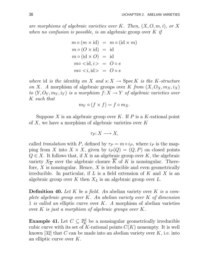are morphisms of algebraic varieties over K. Then,  $(X, O, m, i)$ , or X when no confusion is possible, is an algebraic group over  $K$  if

$$
m \circ (m \times id) = m \circ (id \times m)
$$
  
\n
$$
m \circ (O \times id) = id
$$
  
\n
$$
m \circ (id \times O) = id
$$
  
\n
$$
m \circ (id, i) = O \circ s
$$
  
\n
$$
m \circ \langle i, id \rangle = O \circ s
$$

where id is the identity on X and  $s: X \rightarrow \text{Spec } K$  is the K-structure on X. A morphism of algebraic groups over K from  $(X, O_X, m_X, i_X)$ to  $(Y, O_Y, m_Y, i_Y)$  is a morphism  $f: X \to Y$  of algebraic varieties over K such that

$$
m_Y \circ (f \times f) = f \circ m_X.
$$

Suppose X is an algebraic group over K. If P is a K-rational point of X, we have a morphism of algebraic varieties over  $K$ 

$$
\tau_P: X \longrightarrow X,
$$

called translation with P, defined by  $\tau_P = m \circ i_P$ , where  $i_P$  is the mapping from X into  $X \times X$ , given by  $i_P(Q) = (Q, P)$  on closed points  $Q \in X$ . It follows that, if X is an algebraic group over K, the algebraic variety  $X_{\overline{K}}$  over the algebraic closure  $\overline{K}$  of K is nonsingular. Therefore,  $X$  is nonsingular. Hence,  $X$  is irreducible and even geometrically irreducible. In particular, if  $L$  is a field extension of  $K$  and  $X$  is an algebraic group over K then  $X_L$  is an algebraic group over L.

**Definition 40.** Let K be a field. An abelian variety over K is a complete algebraic group over  $K$ . An abelian variety over  $K$  of dimension 1 is called an elliptic curve over K. A morphism of abelian varieties over K is just a morphism of algebraic groups over K.

**Example 41.** Let  $C \subseteq \mathbb{R}^2$  be a nonsingular geometrically irreducible cubic curve with its set of K-rational points  $C(K)$  nonempty. It is well known [32] that C can be made into an abelian variety over  $K$ , i.e. into an elliptic curve over K.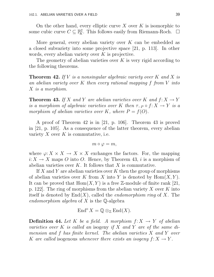On the other hand, every elliptic curve X over K is isomorphic to some cubic curve  $C \subseteq \mathbb{P}_{K}^{2}$ . This follows easily from Riemann-Roch.  $\Box$ 

More general, every abelian variety over  $K$  can be embedded as a closed subvariety into some projective space [21, p. 113]. In other words, every abelian variety over K is projective.

The geometry of abelian varieties over  $K$  is very rigid according to the following theorems.

**Theorem 42.** If V is a nonsingular algebraic variety over K and X is an abelian variety over K then every rational mapping f from V into X is a morphism.

**Theorem 43.** If X and Y are abelian varieties over K and  $f: X \to Y$ is a morphism of algebraic varieties over K then  $\tau_{-P} \circ f: X \to Y$  is a morphism of abelian varieties over K, where  $P = f(O)$ .

A proof of Theorem 42 is in [21, p. 106]. Theorem 43 is proved in [21, p. 105]. As a consequence of the latter theorem, every abelian variety  $X$  over  $K$  is commutative, i.e.

$$
m\circ \varphi=m,
$$

where  $\varphi: X \times X \to X \times X$  exchanges the factors. For, the mapping  $i: X \to X$  maps O into O. Hence, by Theorem 43, i is a morphism of abelian varieties over  $K$ . It follows that X is commutative.

If X and Y are abelian varieties over K then the group of morphisms of abelian varieties over K from X into Y is denoted by  $\text{Hom}(X, Y)$ . It can be proved that  $Hom(X, Y)$  is a free Z-module of finite rank [21, p. 122. The ring of morphisms from the abelian variety  $X$  over  $K$  into itself is denoted by  $End(X)$ , called the *endomorphism ring* of X. The endomorphism algebra of  $X$  is the Q-algebra

$$
\mathrm{End}^{o} X = \mathbb{Q} \otimes_{\mathbb{Z}} \mathrm{End}(X).
$$

**Definition 44.** Let K be a field. A morphism  $f: X \rightarrow Y$  of abelian varieties over K is called an isogeny if X and Y are of the same dimension and f has finite kernel. The abelian varieties X and Y over K are called isogenous whenever there exists an isogeny  $f: X \to Y$ .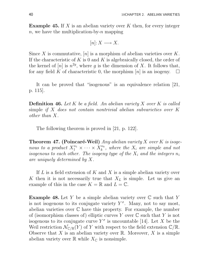**Example 45.** If X is an abelian variety over K then, for every integer n, we have the multiplication-by-n mapping

$$
[n] \colon X \longrightarrow X.
$$

Since X is commutative,  $[n]$  is a morphism of abelian varieties over K. If the characteristic of K is 0 and K is algebraically closed, the order of the kernel of  $[n]$  is  $n^{2g}$ , where g is the dimension of X. It follows that, for any field K of characteristic 0, the morphism  $[n]$  is an isogeny.  $\Box$ 

It can be proved that "isogenous" is an equivalence relation [21, p. 115].

**Definition 46.** Let K be a field. An abelian variety X over K is called simple if X does not contain nontrivial abelian subvarieties over K other than X.

The following theorem is proved in [21, p. 122].

**Theorem 47. (Poincaré-Weil)** Any abelian variety X over K is isogenous to a product  $X_1^{n_1} \times \cdots \times X_k^{n_k}$  $k^{n_k}$ , where the  $X_i$  are simple and not isogenous to each other. The isogeny type of the  $X_i$  and the integers  $n_i$ are uniquely determined by X.

If  $L$  is a field extension of  $K$  and  $X$  is a simple abelian variety over K then it is not necessarily true that  $X_L$  is simple. Let us give an example of this in the case  $K = \mathbb{R}$  and  $L = \mathbb{C}$ .

**Example 48.** Let Y be a simple abelian variety over  $\mathbb C$  such that Y is not isogenous to its conjugate variety  $Y^{\sigma}$ . Many, not to say most, abelian varieties over  $\mathbb C$  have this property. For example, the number of (isomorphism classes of) elliptic curves Y over  $\mathbb C$  such that Y is not isogenous to its conjugate curve  $Y^{\sigma}$  is uncountable [14]. Let X be the Weil restriction  $\mathcal{N}_{\mathbb{C}/\mathbb{R}}(Y)$  of Y with respect to the field extension  $\mathbb{C}/\mathbb{R}$ . Observe that X is an abelian variety over  $\mathbb R$ . Moreover, X is a simple abelian variety over  $\mathbb R$  while  $X_{\mathbb C}$  is nonsimple.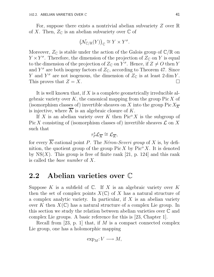For, suppose there exists a nontrivial abelian subvariety Z over R of X. Then,  $Z_{\mathbb{C}}$  is an abelian subvariety over  $\mathbb{C}$  of

$$
\big(\mathcal{N}_{\mathbb{C}/\mathbb{R}}(Y)\big)_{\mathbb{C}}\cong Y\times Y^{\sigma}.
$$

Moreover,  $Z_{\mathbb{C}}$  is stable under the action of the Galois group of  $\mathbb{C}/\mathbb{R}$  on  $Y \times Y^{\sigma}$ . Therefore, the dimension of the projection of  $Z_{\mathbb{C}}$  on Y is equal to the dimension of the projection of  $Z_{\mathbb{C}}$  on  $Y^{\sigma}$ . Hence, if  $Z \neq O$  then Y and  $Y^{\sigma}$  are both isogeny factors of  $Z_{\mathbb{C}}$ , according to Theorem 47. Since Y and  $Y^{\sigma}$  are not isogenous, the dimension of  $Z_{\mathbb{C}}$  is at least  $2 \dim Y$ . This proves that  $Z = X$ .

It is well known that, if  $X$  is a complete geometrically irreducible algebraic variety over  $K$ , the canonical mapping from the group Pic  $X$  of (isomorphism classes of) invertible sheaves on X into the group  $Pic X_{\overline{K}}$ is injective, where  $\overline{K}$  is an algebraic closure of K.

If X is an abelian variety over K then  $Pic^{o} X$  is the subgroup of Pic X consisting of (isomorphism classes of) invertible sheaves  $\mathcal L$  on X such that

$$
\tau_P^{\star} \mathcal{L}_{\overline{K}} \cong \mathcal{L}_{\overline{K}},
$$

for every  $\overline{K}$ -rational point P. The Néron-Severi group of X is, by definition, the quotient group of the group  $Pic X$  by  $Pic^{\circ} X$ . It is denoted by  $NS(X)$ . This group is free of finite rank [21, p. 124] and this rank is called the base number of X.

## 2.2 Abelian varieties over C

Suppose K is a subfield of  $\mathbb{C}$ . If X is an algebraic variety over K then the set of complex points  $X(\mathbb{C})$  of X has a natural structure of a complex analytic variety. In particular, if  $X$  is an abelian variety over K then  $X(\mathbb{C})$  has a natural structure of a complex Lie group. In this section we study the relation between abelian varieties over C and complex Lie groups. A basic reference for this is [23, Chapter 1].

Recall from [23, p. 1] that, if M is a compact connected complex Lie group, one has a holomorphic mapping

$$
\exp_M: V \longrightarrow M,
$$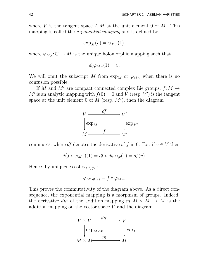where V is the tangent space  $T_0M$  at the unit element 0 of M. This mapping is called the *exponential mapping* and is defined by

$$
\exp_M(v) = \varphi_{M,v}(1),
$$

where  $\varphi_{M,v}: \mathbb{C} \to M$  is the unique holomorphic mapping such that

$$
d_0\varphi_{M,v}(1)=v.
$$

We will omit the subscript M from  $\exp_M$  or  $\varphi_{M,v}$  when there is no confusion possible.

If M and M' are compact connected complex Lie groups,  $f: M \to$ M' is an analytic mapping with  $f(0) = 0$  and V (resp. V') is the tangent space at the unit element 0 of  $M$  (resp.  $M'$ ), then the diagram



commutes, where df denotes the derivative of f in 0. For, if  $v \in V$  then

$$
d(f \circ \varphi_{M,v})(1) = df \circ d\varphi_{M,v}(1) = df(v).
$$

Hence, by uniqueness of  $\varphi_{M',df(v)},$ 

$$
\varphi_{M',df(v)} = f \circ \varphi_{M,v}.
$$

This proves the commutativity of the diagram above. As a direct consequence, the exponential mapping is a morphism of groups. Indeed, the derivative dm of the addition mapping  $m: M \times M \rightarrow M$  is the addition mapping on the vector space V and the diagram

$$
V \times V \xrightarrow{dm} V
$$
  
\n
$$
\begin{cases}\n\exp_{M \times M} & \text{exp}_{M} \\
M \times M \xrightarrow{m} & M\n\end{cases}
$$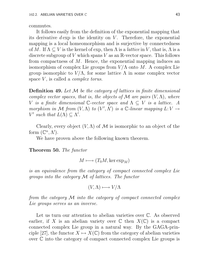commutes.

It follows easily from the definition of the exponential mapping that its derivative  $d \exp$  is the identity on V. Therefore, the exponential mapping is a local homeomorphism and is surjective by connectedness of M. If  $\Lambda \subseteq V$  is the kernel of exp, then  $\Lambda$  is a *lattice* in V, that is,  $\Lambda$  is a discrete subgroup of V which spans V as an  $\mathbb{R}$ -vector space. This follows from compactness of M. Hence, the exponential mapping induces an isomorphism of complex Lie groups from  $V/\Lambda$  onto M. A complex Lie group isomorphic to  $V/\Lambda$ , for some lattice  $\Lambda$  in some complex vector space  $V$ , is called a *complex torus*.

**Definition 49.** Let  $M$  be the category of lattices in finite dimensional complex vector spaces, that is, the objects of M are pairs  $(V, \Lambda)$ , where V is a finite dimensional C-vector space and  $\Lambda \subseteq V$  is a lattice. A morphism in M from  $(V, \Lambda)$  to  $(V', \Lambda')$  is a C-linear mapping  $L: V \to V$ V' such that  $L(\Lambda) \subseteq \Lambda'$ .

Clearly, every object  $(V, \Lambda)$  of M is isomorphic to an object of the form  $(\mathbb{C}^n, \Lambda').$ 

We have proven above the following known theorem.

Theorem 50. The functor

$$
M \longmapsto (T_0M,\ker \exp_M)
$$

is an equivalence from the category of compact connected complex Lie groups into the category  $\mathcal M$  of lattices. The functor

$$
(V,\Lambda)\longmapsto V/\Lambda
$$

from the category M into the category of compact connected complex Lie groups serves as an inverse.

Let us turn our attention to abelian varieties over  $\mathbb{C}$ . As observed earlier, if X is an abelian variety over  $\mathbb C$  then  $X(\mathbb C)$  is a compact connected complex Lie group in a natural way. By the GAGA-principle [27], the functor  $X \mapsto X(\mathbb{C})$  from the category of abelian varieties over C into the category of compact connected complex Lie groups is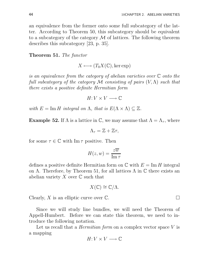an equivalence from the former onto some full subcategory of the latter. According to Theorem 50, this subcategory should be equivalent to a subcategory of the category  $\mathcal M$  of lattices. The following theorem describes this subcategory [23, p. 35].

#### Theorem 51. The functor

 $X \longmapsto (T_0X(\mathbb{C}), \ker \exp)$ 

is an equivalence from the category of abelian varieties over C onto the full subcategory of the category M consisting of pairs  $(V, \Lambda)$  such that there exists a positive definite Hermitian form

 $H: V \times V \longrightarrow \mathbb{C}$ 

with  $E = \text{Im } H$  integral on  $\Lambda$ , that is  $E(\Lambda \times \Lambda) \subseteq \mathbb{Z}$ .

**Example 52.** If  $\Lambda$  is a lattice in  $\mathbb{C}$ , we may assume that  $\Lambda = \Lambda_{\tau}$ , where

$$
\Lambda_{\tau}=\mathbb{Z}+\mathbb{Z}\tau,
$$

for some  $\tau \in \mathbb{C}$  with  $\text{Im}\,\tau$  positive. Then

$$
H(z, w) = \frac{z\overline{w}}{\operatorname{Im} \tau}
$$

defines a positive definite Hermitian form on  $\mathbb C$  with  $E = \text{Im } H$  integral on  $\Lambda$ . Therefore, by Theorem 51, for all lattices  $\Lambda$  in  $\mathbb C$  there exists an abelian variety X over  $\mathbb C$  such that

$$
X(\mathbb{C}) \cong \mathbb{C}/\Lambda.
$$

Clearly, X is an elliptic curve over  $\mathbb C$ .

Since we will study line bundles, we will need the Theorem of Appell-Humbert. Before we can state this theorem, we need to introduce the following notation.

Let us recall that a *Hermitian form* on a complex vector space  $V$  is a mapping

$$
H \hbox{\rm :}\ V \times V \longrightarrow \mathbb{C}
$$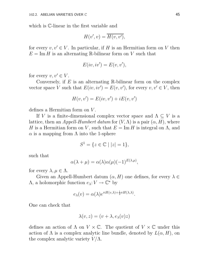which is C-linear in the first variable and

$$
H(v',v) = \overline{H(v,v')},
$$

for every  $v, v' \in V$ . In particular, if H is an Hermitian form on V then  $E = \text{Im } H$  is an alternating R-bilinear form on V such that

$$
E(iv, iv') = E(v, v'),
$$

for every  $v, v' \in V$ .

Conversely, if  $E$  is an alternating R-bilinear form on the complex vector space V such that  $E(iv, iv') = E(v, v')$ , for every  $v, v' \in V$ , then

$$
H(v, v') = E(iv, v') + iE(v, v')
$$

defines a Hermitian form on V.

If V is a finite-dimensional complex vector space and  $\Lambda \subseteq V$  is a lattice, then an *Appell-Humbert datum* for  $(V, \Lambda)$  is a pair  $(\alpha, H)$ , where H is a Hermitian form on V, such that  $E = \text{Im } H$  is integral on  $\Lambda$ , and  $\alpha$  is a mapping from  $\Lambda$  into the 1-sphere

$$
S^1 = \{ z \in \mathbb{C} \mid |z| = 1 \},\
$$

such that

$$
\alpha(\lambda + \mu) = \alpha(\lambda)\alpha(\mu)(-1)^{E(\lambda,\mu)},
$$

for every  $\lambda, \mu \in \Lambda$ .

Given an Appell-Humbert datum  $(\alpha, H)$  one defines, for every  $\lambda \in$  $\Lambda$ , a holomorphic function  $e_{\lambda}: V \to \mathbb{C}^*$  by

$$
e_{\lambda}(v) = \alpha(\lambda)e^{\pi H(v,\lambda) + \frac{1}{2}\pi H(\lambda,\lambda)}.
$$

One can check that

$$
\lambda(v, z) = (v + \lambda, e_{\lambda}(v)z)
$$

defines an action of  $\Lambda$  on  $V \times \mathbb{C}$ . The quotient of  $V \times \mathbb{C}$  under this action of  $\Lambda$  is a complex analytic line bundle, denoted by  $L(\alpha, H)$ , on the complex analytic variety  $V/\Lambda$ .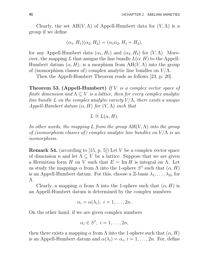Clearly, the set  $AH(V,\Lambda)$  of Appell-Humbert data for  $(V,\Lambda)$  is a group if we define

$$
(\alpha_1, H_1)(\alpha_2, H_2) = (\alpha_1 \alpha_2, H_1 + H_2),
$$

for any Appell-Humbert data  $(\alpha_1, H_1)$  and  $(\alpha_2, H_2)$  for  $(V, \Lambda)$ . Moreover, the mapping L that assigns the line bundle  $L(\alpha, H)$  to the Appell-Humbert datum  $(\alpha, H)$ , is a morphism from  $AH(V, \Lambda)$  into the group of (isomorphism classes of) complex analytic line bundles on  $V/\Lambda$ .

Then the Appell-Humbert Theorem reads as follows [23, p. 20].

**Theorem 53. (Appell-Humbert)** If V is a complex vector space of finite dimension and  $\Lambda \subseteq V$  is a lattice, then for every complex analytic line bundle L on the complex analytic variety  $V/\Lambda$ , there exists a unique Appell-Humbert datum  $(\alpha, H)$  for  $(V, \Lambda)$  such that

$$
L \cong L(\alpha, H).
$$

In other words, the mapping L from the group  $AH(V,\Lambda)$  into the group of (isomorphism classes of) complex analytic line bundles on  $V/\Lambda$  is an isomorphism.

**Remark 54.** (according to [15, p. 5]) Let V be a complex vector space of dimension n and let  $\Lambda \subset V$  be a lattice. Suppose that we are given a Hermitian form H on V such that  $E = \text{Im } H$  is integral on  $\Lambda$ . Let us study the mappings  $\alpha$  from  $\Lambda$  into the 1-sphere  $S^1$  such that  $(\alpha, H)$ is an Appell-Humbert datum. For this, choose a Z-basis  $\lambda_1, \ldots, \lambda_{2n}$  for Λ.

Clearly, a mapping  $\alpha$  from  $\Lambda$  into the 1-sphere such that  $(\alpha, H)$  is an Appell-Humbert datum is determined by the complex numbers

$$
\alpha_i = \alpha(\lambda_i), \ i = 1, \ldots, 2n.
$$

On the other hand, if we are given complex numbers

$$
\alpha_i \in S^1, \ i = 1, \ldots, 2n,
$$

then there exists a mapping  $\alpha$  from  $\Lambda$  into the 1-sphere such that  $(\alpha, H)$ is an Appell-Humbert datum and  $\alpha(\lambda_i) = \alpha_i$ ,  $i = 1, \ldots, 2n$ . For, define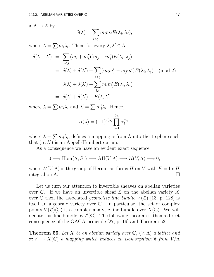δ: Λ  $\rightarrow \mathbb{Z}$  by

$$
\delta(\lambda) = \sum_{i < j} m_i m_j E(\lambda_i, \lambda_j),
$$

where  $\lambda = \sum m_i \lambda_i$ . Then, for every  $\lambda, \lambda' \in \Lambda$ ,

$$
\delta(\lambda + \lambda') = \sum_{i < j} (m_i + m'_i)(m_j + m'_j)E(\lambda_i, \lambda_j)
$$
\n
$$
\equiv \delta(\lambda) + \delta(\lambda') + \sum_{i < j} (m_i m'_j - m_j m'_i)E(\lambda_i, \lambda_j) \pmod{2}
$$
\n
$$
= \delta(\lambda) + \delta(\lambda') + \sum_{i, j} m_i m'_j E(\lambda_i, \lambda_j)
$$
\n
$$
= \delta(\lambda) + \delta(\lambda') + E(\lambda, \lambda'),
$$

where  $\lambda = \sum m_i \lambda_i$  and  $\lambda' = \sum m'_i \lambda_i$ . Hence,

$$
\alpha(\lambda) = (-1)^{\delta(\lambda)} \prod_{i=1}^{2n} \alpha_i^{m_i},
$$

where  $\lambda = \sum m_i \lambda_i$ , defines a mapping  $\alpha$  from  $\Lambda$  into the 1-sphere such that  $(\alpha, H)$  is an Appell-Humbert datum.

As a consequence we have an evident exact sequence

$$
0 \longrightarrow \text{Hom}(\Lambda, S^1) \longrightarrow \text{AH}(V, \Lambda) \longrightarrow \mathcal{H}(V, \Lambda) \longrightarrow 0,
$$

where  $\mathcal{H}(V,\Lambda)$  is the group of Hermitian forms H on V with  $E = \text{Im } H$ <br>integral on  $\Lambda$ . integral on Λ.

Let us turn our attention to invertible sheaves on abelian varieties over  $\mathbb C$ . If we have an invertible sheaf  $\mathcal L$  on the abelian variety X over C then the associated *geometric line bundle*  $V(\mathcal{L})$  [13, p. 128] is itself an algebraic variety over C. In particular, the set of complex points  $V(\mathcal{L})(\mathbb{C})$  is a complex analytic line bundle over  $X(\mathbb{C})$ . We will denote this line bundle by  $\mathcal{L}(\mathbb{C})$ . The following theorem is then a direct consequence of the GAGA-principle [27, p. 19] and Theorem 53.

**Theorem 55.** Let X be an abelian variety over  $\mathbb{C}$ ,  $(V, \Lambda)$  a lattice and  $\pi: V \to X(\mathbb{C})$  a mapping which induces an isomorphism  $\widetilde{\pi}$  from  $V/\Lambda$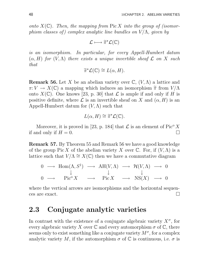onto  $X(\mathbb{C})$ . Then, the mapping from  $Pic X$  into the group of (isomorphism classes of) complex analytic line bundles on  $V/\Lambda$ , given by

$$
\mathcal{L} \longmapsto \widetilde{\pi}^{\star} \mathcal{L}(\mathbb{C})
$$

is an isomorphism. In particular, for every Appell-Humbert datum  $(\alpha, H)$  for  $(V, \Lambda)$  there exists a unique invertible sheaf  $\mathcal L$  on X such that

$$
\widetilde{\pi}^{\star}\mathcal{L}(\mathbb{C}) \cong L(\alpha, H).
$$

**Remark 56.** Let X be an abelian variety over  $\mathbb{C}$ ,  $(V, \Lambda)$  a lattice and  $\pi: V \to X(\mathbb{C})$  a mapping which induces an isomorphism  $\widetilde{\pi}$  from  $V/\Lambda$ onto  $X(\mathbb{C})$ . One knows [23, p. 30] that  $\mathcal L$  is ample if and only if H is positive definite, where  $\mathcal L$  is an invertible sheaf on X and  $(\alpha, H)$  is an Appell-Humbert datum for  $(V, \Lambda)$  such that

$$
L(\alpha, H) \cong \widetilde{\pi}^{\star} \mathcal{L}(\mathbb{C}).
$$

Moreover, it is proved in [23, p. 184] that  $\mathcal L$  is an element of Pic<sup>o</sup> X nd only if  $H = 0$ . if and only if  $H = 0$ .

Remark 57. By Theorem 55 and Remark 56 we have a good knowledge of the group Pic X of the abelian variety X over  $\mathbb C$ . For, if  $(V, \Lambda)$  is a lattice such that  $V/\Lambda \cong X(\mathbb{C})$  then we have a commutative diagram

$$
\begin{array}{ccccccc}\n0 & \longrightarrow & \text{Hom}(\Lambda, S^1) & \longrightarrow & \text{AH}(V, \Lambda) & \longrightarrow & \mathcal{H}(V, \Lambda) & \longrightarrow & 0 \\
& & \downarrow & & \downarrow & & \downarrow \\
0 & \longrightarrow & \text{Pic}^{\circ} X & \longrightarrow & \text{Pic} X & \longrightarrow & \text{NS}(X) & \longrightarrow & 0\n\end{array}
$$

where the vertical arrows are isomorphisms and the horizontal sequences are exact.  $\Box$ 

## 2.3 Conjugate analytic varieties

In contrast with the existence of a conjugate algebraic variety  $X^{\sigma}$ , for every algebraic variety X over  $\mathbb C$  and every automorphism  $\sigma$  of  $\mathbb C$ , there seems only to exist something like a conjugate variety  $M^{\sigma}$ , for a complex analytic variety M, if the automorphism  $\sigma$  of  $\mathbb C$  is continuous, i.e.  $\sigma$  is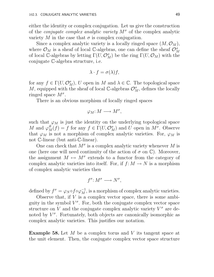either the identity or complex conjugation. Let us give the construction of the *conjugate complex analytic variety*  $M^{\sigma}$  of the complex analytic variety M in the case that  $\sigma$  is complex conjugation.

Since a complex analytic variety is a locally ringed space  $(M, \mathcal{O}_M)$ , where  $\mathcal{O}_M$  is a sheaf of local C-algebras, one can define the sheaf  $\mathcal{O}_M^{\sigma}$ of local C-algebras by letting  $\Gamma(U, \mathcal{O}_{M}^{\sigma})$  be the ring  $\Gamma(U, \mathcal{O}_{M})$  with the conjugate C-algebra structure, i.e.

$$
\lambda \cdot f = \sigma(\lambda) f,
$$

for any  $f \in \Gamma(U, \mathcal{O}_{M}^{\sigma}), U$  open in M and  $\lambda \in \mathbb{C}$ . The topological space M, equipped with the sheaf of local  $\mathbb{C}$ -algebras  $\mathcal{O}_{M}^{\sigma}$ , defines the locally ringed space  $M^{\sigma}$ .

There is an obvious morphism of locally ringed spaces

$$
\varphi_M: M \longrightarrow M^{\sigma},
$$

such that  $\varphi_M$  is just the identity on the underlying topological space M and  $\varphi_M^{\#}(f) = f$  for any  $f \in \Gamma(U, \mathcal{O}_M^{\sigma})$  and U open in  $M^{\sigma}$ . Observe that  $\varphi_M$  is not a morphism of complex analytic varieties. For,  $\varphi_M$  is not C-linear (but anti-C-linear).

One can check that  $M^{\sigma}$  is a complex analytic variety whenever M is one (here one will need continuity of the action of  $\sigma$  on  $\mathbb{C}$ ). Moreover, the assignment  $M \mapsto M^{\sigma}$  extends to a functor from the category of complex analytic varieties into itself. For, if  $f: M \to N$  is a morphism of complex analytic varieties then

$$
f^{\sigma} \colon M^{\sigma} \longrightarrow N^{\sigma},
$$

defined by  $f^{\sigma} = \varphi_N \circ f \circ \varphi_M^{-1}$ , is a morphism of complex analytic varieties.

Observe that, if V is a complex vector space, there is some ambiguity in the symbol  $V^{\sigma}$ . For, both the conjugate complex vector space structure on V and the conjugate complex analytic variety  $V^{\sigma}$  are denoted by  $V^{\sigma}$ . Fortunately, both objects are canonically isomorphic as complex analytic varieties. This justifies our notation.

**Example 58.** Let  $M$  be a complex torus and  $V$  its tangent space at the unit element. Then, the conjugate complex vector space structure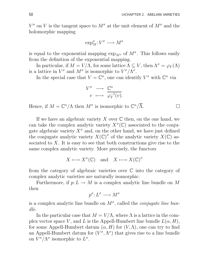$V^{\sigma}$  on V is the tangent space to  $M^{\sigma}$  at the unit element of  $M^{\sigma}$  and the holomorphic mapping

$$
\exp_M^{\sigma}: V^{\sigma} \longrightarrow M^{\sigma}
$$

is equal to the exponential mapping  $\exp_{M^{\sigma}}$  of  $M^{\sigma}$ . This follows easily from the definition of the exponential mapping.

In particular, if  $M = V/\Lambda$ , for some lattice  $\Lambda \subseteq V$ , then  $\Lambda^{\sigma} = \varphi_V(\Lambda)$ is a lattice in  $V^{\sigma}$  and  $M^{\sigma}$  is isomorphic to  $V^{\sigma}/\Lambda^{\sigma}$ .

In the special case that  $V = \mathbb{C}^n$ , one can identify  $V^{\sigma}$  with  $\mathbb{C}^n$  via

$$
\begin{array}{ccc}\nV^{\sigma} & \longrightarrow & \mathbb{C}^{n} \\
v & \longmapsto & \varphi_{V}^{-1}(v).\n\end{array}
$$

Hence, if  $M = \mathbb{C}^n/\Lambda$  then  $M^{\sigma}$  is isomorphic to  $\mathbb{C}^n/\overline{\Lambda}$ .

If we have an algebraic variety X over  $\mathbb C$  then, on the one hand, we can take the complex analytic variety  $X^{\sigma}(\mathbb{C})$  associated to the conjugate algebraic variety  $X^{\sigma}$  and, on the other hand, we have just defined the conjugate analytic variety  $X(\mathbb{C})^{\sigma}$  of the analytic variety  $X(\mathbb{C})$  associated to  $X$ . It is easy to see that both constructions give rise to the same complex analytic variety. More precisely, the functors

$$
X \longmapsto X^{\sigma}(\mathbb{C}) \quad \text{and} \quad X \longmapsto X(\mathbb{C})^{\sigma}
$$

from the category of algebraic varieties over  $\mathbb C$  into the category of complex analytic varieties are naturally isomorphic.

Furthermore, if  $p: L \to M$  is a complex analytic line bundle on M then

$$
p^{\sigma} \colon L^{\sigma} \longrightarrow M^{\sigma}
$$

is a complex analytic line bundle on  $M^{\sigma}$ , called the *conjugate line bun*dle.

In the particular case that  $M = V/\Lambda$ , where  $\Lambda$  is a lattice in the complex vector space V, and L is the Appell-Humbert line bundle  $L(\alpha, H)$ , for some Appell-Humbert datum  $(\alpha, H)$  for  $(V, \Lambda)$ , one can try to find an Appell-Humbert datum for  $(V^{\sigma}, \Lambda^{\sigma})$  that gives rise to a line bundle on  $V^{\sigma}/\Lambda^{\sigma}$  isomorphic to  $L^{\sigma}$ .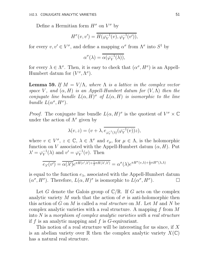Define a Hermitian form  $H^{\sigma}$  on  $V^{\sigma}$  by

$$
H^{\sigma}(v, v') = \overline{H(\varphi_V^{-1}(v), \varphi_V^{-1}(v'))},
$$

for every  $v, v' \in V^{\sigma}$ , and define a mapping  $\alpha^{\sigma}$  from  $\Lambda^{\sigma}$  into  $S^1$  by

$$
\alpha^\sigma(\lambda)=\overline{\alpha(\varphi_V^{-1}(\lambda))},
$$

for every  $\lambda \in \Lambda^{\sigma}$ . Then, it is easy to check that  $(\alpha^{\sigma}, H^{\sigma})$  is an Appell-Humbert datum for  $(V^{\sigma}, \Lambda^{\sigma})$ .

**Lemma 59.** If  $M = V/\Lambda$ , where  $\Lambda$  is a lattice in the complex vector space V, and  $(\alpha, H)$  is an Appell-Humbert datum for  $(V, \Lambda)$  then the conjugate line bundle  $L(\alpha, H)^\sigma$  of  $L(\alpha, H)$  is isomorphic to the line bundle  $L(\alpha^{\sigma}, H^{\sigma})$ .

*Proof.* The conjugate line bundle  $L(\alpha, H)^\sigma$  is the quotient of  $V^\sigma \times \mathbb{C}$ under the action of  $\Lambda^{\sigma}$  given by

$$
\lambda(v, z) = (v + \lambda, \overline{e_{\varphi_V^{-1}(\lambda)}(\varphi_V^{-1}(v))}z),
$$

where  $v \in V^{\sigma}$ ,  $z \in \mathbb{C}$ ,  $\lambda \in \Lambda^{\sigma}$  and  $e_{\mu}$ , for  $\mu \in \Lambda$ , is the holomorphic function on V associated with the Appell-Humbert datum  $(\alpha, H)$ . Put  $\lambda' = \varphi_V^{-1}(\lambda)$  and  $v' = \varphi_V^{-1}(v)$ . Then

$$
\overline{e_{\lambda'}(v')} = \overline{\alpha(\lambda')}\overline{e^{\pi H(v',\lambda') + \frac{1}{2}\pi H(\lambda',\lambda')}} = \alpha^{\sigma}(\lambda)e^{\pi H^{\sigma}(v,\lambda) + \frac{1}{2}\pi H^{\sigma}(\lambda,\lambda)}
$$

is equal to the function  $e_{\lambda}$ , associated with the Appell-Humbert datum  $(\alpha^{\sigma}, H^{\sigma})$ . Therefore,  $L(\alpha, H)^{\sigma}$  is isomorphic to  $L(\alpha^{\sigma}, H^{\sigma})$ .

Let G denote the Galois group of  $\mathbb{C}/\mathbb{R}$ . If G acts on the complex analytic variety M such that the action of  $\sigma$  is anti-holomorphic then this action of G on M is called a *real structure* on M. Let M and N be complex analytic varieties with a real structure. A mapping f from M into  $N$  is a morphism of complex analytic varieties with a real structure if f is an analytic mapping and f is  $G$ -equivariant.

This notion of a real structure will be interesting for us since, if X is an abelian variety over R then the complex analytic variety  $X(\mathbb{C})$ has a natural real structure.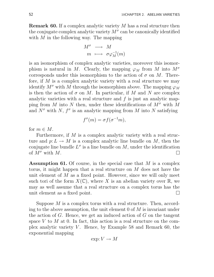Remark 60. If a complex analytic variety M has a real structure then the conjugate complex analytic variety  $M^{\sigma}$  can be canonically identified with  $M$  in the following way. The mapping

$$
\begin{array}{rcl}\nM^{\sigma} & \longrightarrow & M \\
m & \longmapsto & \sigma \varphi_M^{-1}(m)\n\end{array}
$$

is an isomorphism of complex analytic varieties, moreover this isomorphism is natural in M. Clearly, the mapping  $\varphi_M$  from M into  $M^{\sigma}$ corresponds under this isomorphism to the action of  $\sigma$  on M. Therefore, if  $M$  is a complex analytic variety with a real structure we may identify  $M^{\sigma}$  with M through the isomorphism above. The mapping  $\varphi_M$ is then the action of  $\sigma$  on M. In particular, if M and N are complex analytic varieties with a real structure and f is just an analytic mapping from M into N then, under these identifications of  $M^{\sigma}$  with M and  $N^{\sigma}$  with N,  $f^{\sigma}$  is an analytic mapping from M into N satisfying

$$
f^{\sigma}(m) = \sigma f(\sigma^{-1}m),
$$

for  $m \in M$ .

Furthermore, if  $M$  is a complex analytic variety with a real structure and  $p: L \to M$  is a complex analytic line bundle on M, then the conjugate line bundle  $L^{\sigma}$  is a line bundle on M, under the identification of  $M^{\sigma}$  with M.

**Assumption 61.** Of course, in the special case that  $M$  is a complex torus, it might happen that a real structure on M does not have the unit element of  $M$  as a fixed point. However, since we will only meet such tori of the form  $X(\mathbb{C})$ , where X is an abelian variety over  $\mathbb{R}$ , we may as well assume that a real structure on a complex torus has the unit element as a fixed point.

Suppose M is a complex torus with a real structure. Then, according to the above assumption, the unit element  $0$  of  $M$  is invariant under the action of  $G$ . Hence, we get an induced action of  $G$  on the tangent space V to M at 0. In fact, this action is a real structure on the complex analytic variety V. Hence, by Example 58 and Remark 60, the exponential mapping

$$
\exp: V \to M
$$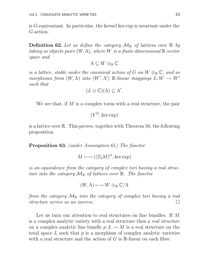is G-equivariant. In particular, the kernel ker exp is invariant under the G-action.

**Definition 62.** Let us define the category  $\mathcal{M}_{\mathbb{R}}$  of lattices over  $\mathbb{R}$  by taking as objects pairs  $(W, \Lambda)$ , where W is a finite-dimensional  $\mathbb{R}$ -vector space and

$$
\Lambda\subseteq W\otimes_{\mathbb R}{\mathbb C}
$$

is a lattice, stable under the canonical action of G on  $W \otimes_{\mathbb{R}} \mathbb{C}$ , and as morphisms from  $(W, \Lambda)$  into  $(W', \Lambda')$  R-linear mappings  $L: W \to W'$ such that

$$
(L\otimes\mathbb{C})(\Lambda)\subseteq\Lambda'.
$$

We see that, if  $M$  is a complex torus with a real structure, the pair

 $(V^G, \ker \exp)$ 

is a lattice over R. This proves, together with Theorem 50, the following proposition.

Proposition 63. (under Assumption 61) The functor

 $M \longmapsto ((T_0M)^G, \ker \exp)$ 

is an equivalence from the category of complex tori having a real structure into the category  $\mathcal{M}_{\mathbb{R}}$  of lattices over  $\mathbb{R}$ . The functor

$$
(W,\Lambda)\longmapsto W\otimes_{\mathbb R}{\mathbb C}/\Lambda
$$

from the category  $\mathcal{M}_{\mathbb{R}}$  into the category of complex tori having a real structure serves as an inverse. structure serves as an inverse.

Let us turn our attention to real structures on line bundles. If M is a complex analytic variety with a real structure then a real structure on a complex analytic line bundle  $p: L \to M$  is a real structure on the total space  $L$  such that  $p$  is a morphism of complex analytic varieties with a real structure and the action of  $G$  is  $\mathbb{R}$ -linear on each fibre.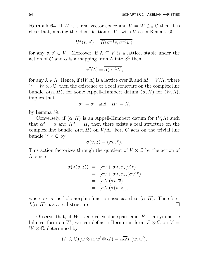**Remark 64.** If W is a real vector space and  $V = W \otimes_{\mathbb{R}} \mathbb{C}$  then it is clear that, making the identification of  $V^{\sigma}$  with V as in Remark 60,

$$
H^{\sigma}(v,v') = \overline{H(\sigma^{-1}v,\sigma^{-1}v')},
$$

for any  $v, v' \in V$ . Moreover, if  $\Lambda \subseteq V$  is a lattice, stable under the action of G and  $\alpha$  is a mapping from  $\Lambda$  into  $S^1$  then

$$
\alpha^{\sigma}(\lambda) = \overline{\alpha(\sigma^{-1}\lambda)},
$$

for any  $\lambda \in \Lambda$ . Hence, if  $(W, \Lambda)$  is a lattice over R and  $M = V/\Lambda$ , where  $V = W \otimes_{\mathbb{R}} \mathbb{C}$ , then the existence of a real structure on the complex line bundle  $L(\alpha, H)$ , for some Appell-Humbert datum  $(\alpha, H)$  for  $(W, \Lambda)$ , implies that

$$
\alpha^{\sigma} = \alpha \quad \text{and} \quad H^{\sigma} = H,
$$

by Lemma 59.

Conversely, if  $(\alpha, H)$  is an Appell-Humbert datum for  $(V, \Lambda)$  such that  $\alpha^{\sigma} = \alpha$  and  $H^{\sigma} = H$ , then there exists a real structure on the complex line bundle  $L(\alpha, H)$  on  $V/\Lambda$ . For, G acts on the trivial line bundle  $V \times \mathbb{C}$  by

$$
\sigma(v,z)=(\sigma v,\overline{z}).
$$

This action factorizes through the quotient of  $V \times \mathbb{C}$  by the action of Λ, since

$$
\begin{array}{rcl}\n\sigma(\lambda(v,z)) & = & (\sigma v + \sigma \lambda, \overline{e_{\lambda}(v)z}) \\
& = & (\sigma v + \sigma \lambda, e_{\sigma \lambda}(\sigma v) \overline{z}) \\
& = & (\sigma \lambda)(\sigma v, \overline{z}) \\
& = & (\sigma \lambda)(\sigma(v,z)),\n\end{array}
$$

where  $e_{\lambda}$  is the holomorphic function associated to  $(\alpha, H)$ . Therefore,  $L(\alpha, H)$  has a real structure.

Observe that, if W is a real vector space and  $F$  is a symmetric bilinear form on W, we can define a Hermitian form  $F \otimes \mathbb{C}$  on  $V =$  $W \otimes \mathbb{C}$ , determined by

$$
(F \otimes \mathbb{C})(w \otimes \alpha, w' \otimes \alpha') = \alpha \overline{\alpha'} F(w, w'),
$$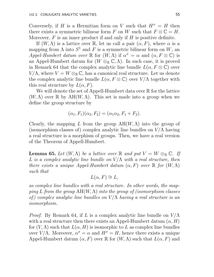Conversely, if H is a Hermitian form on V such that  $H^{\sigma} = H$  then there exists a symmetric bilinear form F on W such that  $F \otimes \mathbb{C} = H$ . Moreover,  $F$  is an inner product if and only if  $H$  is positive definite.

If  $(W, \Lambda)$  is a lattice over R, let us call a pair  $(\alpha, F)$ , where  $\alpha$  is a mapping from  $\Lambda$  into  $S^1$  and F is a symmetric bilinear form on W, an Appel-Humbert datum over  $\mathbb R$  for  $(W, \Lambda)$  if  $\alpha^{\sigma} = \alpha$  and  $(\alpha, F \otimes \mathbb C)$  is an Appel-Humbert datum for  $(W \otimes_{\mathbb{R}} \mathbb{C}, \Lambda)$ . In such case, it is proved in Remark 64 that the complex analytic line bundle  $L(\alpha, F \otimes \mathbb{C})$  over  $V/\Lambda$ , where  $V = W \otimes_{\mathbb{R}} \mathbb{C}$ , has a canonical real structure. Let us denote the complex analytic line bundle  $L(\alpha, F \otimes \mathbb{C})$  over  $V/\Lambda$  together with this real structure by  $L(\alpha, F)$ .

We will denote the set of Appell-Humbert data over  $\mathbb R$  for the lattice  $(W, \Lambda)$  over  $\mathbb R$  by  $AH(W, \Lambda)$ . This set is made into a group when we define the group structure by

$$
(\alpha_1, F_1)(\alpha_2, F_2) = (\alpha_1 \alpha_2, F_1 + F_2).
$$

Clearly, the mapping L from the group  $AH(W, \Lambda)$  into the group of (isomorphism classes of) complex analytic line bundles on  $V/\Lambda$  having a real structure is a morphism of groups. Then, we have a real version of the Theorem of Appell-Humbert.

**Lemma 65.** Let  $(W, \Lambda)$  be a lattice over R and put  $V = W \otimes_{\mathbb{R}} \mathbb{C}$ . If L is a complex analytic line bundle on  $V/\Lambda$  with a real structure, then there exists a unique Appel-Humbert datum  $(\alpha, F)$  over  $\mathbb R$  for  $(W, \Lambda)$ such that

$$
L(\alpha, F) \cong L,
$$

as complex line bundles with a real structure. In other words, the mapping L from the group  $AH(W, \Lambda)$  into the group of (isomorphism classes of) complex analytic line bundles on  $V/\Lambda$  having a real structure is an isomorphism.

*Proof.* By Remark 64, if L is a complex analytic line bundle on  $V/\Lambda$ with a real structure then there exists an Appel-Humbert datum  $(\alpha, H)$ for  $(V, \Lambda)$  such that  $L(\alpha, H)$  is isomorphic to L as complex line bundles over  $V/\Lambda$ . Moreover,  $\alpha^{\sigma} = \alpha$  and  $H^{\sigma} = H$ , hence there exists a unique Appel-Humbert datum  $(\alpha, F)$  over R for  $(W, \Lambda)$  such that  $L(\alpha, F)$  and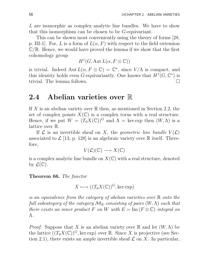L are isomorphic as complex analytic line bundles. We have to show that this isomorphism can be chosen to be G-equivariant.

This can be shown most conveniently using the theory of forms [28, p. III-1. For, L is a form of  $L(\alpha, F)$  with respect to the field extension  $\mathbb{C}/\mathbb{R}$ . Hence, we would have proved the lemma if we show that the first cohomology group

$$
H^1(G, \operatorname{Aut} L(\alpha, F \otimes \mathbb{C}))
$$

is trivial. Indeed Aut  $L(\alpha, F \otimes \mathbb{C}) = \mathbb{C}^*$ , since  $V/\Lambda$  is compact, and this identity holds even G-equivariantly. One knows that  $H^1(G, \mathbb{C}^*)$  is trivial. The lemma follows.

## 2.4 Abelian varieties over R

If X is an abelian variety over  $\mathbb R$  then, as mentioned in Section 2.2, the set of complex points  $X(\mathbb{C})$  is a complex torus with a real structure. Hence, if we put  $W = (T_0 X(\mathbb{C}))^G$  and  $\Lambda = \text{ker} \exp \text{ then } (W, \Lambda)$  is a lattice over R.

If  $\mathcal L$  is an invertible sheaf on X, the geometric line bundle  $V(\mathcal L)$ associated to  $\mathcal{L}$  [13, p. 128] is an algebraic variety over  $\mathbb R$  itself. Therefore,

$$
V(\mathcal{L})(\mathbb{C}) \longrightarrow X(\mathbb{C})
$$

is a complex analytic line bundle on  $X(\mathbb{C})$  with a real structure, denoted by  $\mathcal{L}(\mathbb{C})$ .

Theorem 66. The functor

$$
X \longmapsto ((T_0X(\mathbb{C}))^G, \ker \exp)
$$

is an equivalence from the category of abelian varieties over R onto the full subcategory of the category  $\mathcal{M}_{\mathbb{R}}$  consisting of pairs  $(W, \Lambda)$  such that there exists an inner product F on W with  $E = \text{Im}(F \otimes \mathbb{C})$  integral on Λ.

*Proof.* Suppose that X is an abelian variety over  $\mathbb R$  and let  $(W, \Lambda)$  be the lattice  $((T_0X(\mathbb{C}))^G$ , ker exp) over R. Since X is projective (see Section 2.1), there exists an ample invertible sheaf  $\mathcal L$  on X. In particular,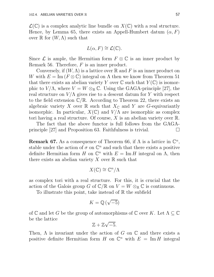$\mathcal{L}(\mathbb{C})$  is a complex analytic line bundle on  $X(\mathbb{C})$  with a real structure. Hence, by Lemma 65, there exists an Appell-Humbert datum  $(\alpha, F)$ over  $\mathbb R$  for  $(W, \Lambda)$  such that

$$
L(\alpha, F) \cong \mathcal{L}(\mathbb{C}).
$$

Since  $\mathcal L$  is ample, the Hermitian form  $F \otimes \mathbb C$  is an inner product by Remark 56. Therefore, F is an inner product.

Conversely, if  $(W, \Lambda)$  is a lattice over  $\mathbb R$  and F is an inner product on W with  $E = \text{Im}(F \otimes \mathbb{C})$  integral on  $\Lambda$  then we know from Theorem 51 that there exists an abelian variety Y over  $\mathbb C$  such that  $Y(\mathbb C)$  is isomorphic to  $V/\Lambda$ , where  $V = W \otimes_{\mathbb{R}} \mathbb{C}$ . Using the GAGA-principle [27], the real structure on  $V/\Lambda$  gives rise to a descent datum for Y with respect to the field extension  $\mathbb{C}/\mathbb{R}$ . According to Theorem 22, there exists an algebraic variety X over R such that  $X_{\mathbb{C}}$  and Y are G-equivariantly isomorphic. In particular,  $X(\mathbb{C})$  and  $V/\Lambda$  are isomorphic as complex tori having a real structure. Of course,  $X$  is an abelian variety over  $\mathbb{R}$ .

The fact that the above functor is full follows from the GAGAprinciple [27] and Proposition 63. Faithfulness is trivial.  $\Box$ 

**Remark 67.** As a consequence of Theorem 66, if  $\Lambda$  is a lattice in  $\mathbb{C}^n$ , stable under the action of  $\sigma$  on  $\mathbb{C}^n$  and such that there exists a positive definite Hermitian form H on  $\mathbb{C}^n$  with  $E = \text{Im } H$  integral on  $\Lambda$ , then there exists an abelian variety X over  $\mathbb R$  such that

$$
X(\mathbb{C}) \cong \mathbb{C}^n/\Lambda
$$

as complex tori with a real structure. For this, it is crucial that the action of the Galois group G of  $\mathbb{C}/\mathbb{R}$  on  $V = W \otimes_{\mathbb{R}} \mathbb{C}$  is continuous.

To illustrate this point, take instead of  $\mathbb R$  the subfield

$$
K=\mathbb{Q}\left(\sqrt{-5}\right)
$$

of C and let G be the group of automorphisms of C over K. Let  $\Lambda \subseteq \mathbb{C}$ be the lattice

$$
\mathbb{Z}+\mathbb{Z}\sqrt{-5}.
$$

Then,  $\Lambda$  is invariant under the action of G on  $\mathbb C$  and there exists a positive definite Hermitian form H on  $\mathbb{C}^n$  with  $E = \text{Im } H$  integral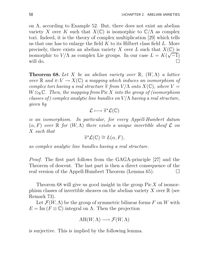on Λ, according to Example 52. But, there does not exist an abelian variety X over K such that  $X(\mathbb{C})$  is isomorphic to  $\mathbb{C}/\Lambda$  as complex tori. Indeed, it is the theory of complex multiplication [29] which tells us that one has to enlarge the field  $K$  to its Hilbert class field  $L$ . More precisely, there exists an abelian variety X over L such that  $X(\mathbb{C})$  is isomorphic to  $V/\Lambda$  as complex Lie groups. In our case  $L = K(\sqrt{-1})$ will do.  $\Box$ 

**Theorem 68.** Let X be an abelian variety over  $\mathbb{R}$ ,  $(W, \Lambda)$  a lattice over  $\mathbb R$  and  $\pi: V \to X(\mathbb C)$  a mapping which induces an isomorphism of complex tori having a real structure  $\widetilde{\pi}$  from  $V/\Lambda$  onto  $X(\mathbb{C})$ , where  $V =$  $W \otimes_{\mathbb{R}} \mathbb{C}$ . Then, the mapping from Pic X into the group of (isomorphism classes of) complex analytic line bundles on  $V/\Lambda$  having a real structure, given by

$$
\mathcal{L} \longmapsto \widetilde{\pi}^{\star} \mathcal{L}(\mathbb{C})
$$

is an isomorphism. In particular, for every Appell-Humbert datum  $(\alpha, F)$  over  $\mathbb R$  for  $(W, \Lambda)$  there exists a unique invertible sheaf  $\mathcal L$  on X such that

$$
\widetilde{\pi}^{\star}\mathcal{L}(\mathbb{C}) \cong L(\alpha, F),
$$

as complex analytic line bundles having a real structure.

Proof. The first part follows from the GAGA-principle [27] and the Theorem of descent. The last part is then a direct consequence of the real version of the Appell-Humbert Theorem (Lemma 65).

Theorem 68 will give us good insight in the group  $Pic X$  of isomorphism classes of invertible sheaves on the abelian variety X over  $\mathbb R$  (see Remark 73).

Let  $\mathcal{F}(W,\Lambda)$  be the group of symmetric bilinear forms F on W with  $E = \text{Im}(F \otimes \mathbb{C})$  integral on  $\Lambda$ . Then the projection

$$
\mathrm{AH}(W,\Lambda)\longrightarrow \mathcal{F}(W,\Lambda)
$$

is surjective. This is implied by the following lemma.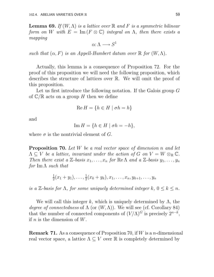**Lemma 69.** If  $(W, \Lambda)$  is a lattice over  $\mathbb R$  and F is a symmetric bilinear form on W with  $E = \text{Im}(F \otimes \mathbb{C})$  integral on  $\Lambda$ , then there exists a mapping

 $\alpha: \Lambda \longrightarrow S^1$ 

such that  $(\alpha, F)$  is an Appell-Humbert datum over  $\mathbb R$  for  $(W, \Lambda)$ .

Actually, this lemma is a consequence of Proposition 72. For the proof of this proposition we will need the following proposition, which describes the structure of lattices over R. We will omit the proof of this proposition.

Let us first introduce the following notation. If the Galois group G of  $\mathbb{C}/\mathbb{R}$  acts on a group H then we define

$$
\operatorname{Re} H = \{ h \in H \mid \sigma h = h \}
$$

and

$$
\operatorname{Im} H = \{ h \in H \mid \sigma h = -h \},\
$$

where  $\sigma$  is the nontrivial element of G.

**Proposition 70.** Let W be a real vector space of dimension n and let  $\Lambda \subseteq V$  be a lattice, invariant under the action of G on  $V = W \otimes_{\mathbb{R}} \mathbb{C}$ . Then there exist a  $\mathbb{Z}$ -basis  $x_1, \ldots, x_n$  for  $\text{Re }\Lambda$  and a  $\mathbb{Z}$ -basis  $y_1, \ldots, y_n$ for Im  $\Lambda$  such that

> 1  $\frac{1}{2}(x_1+y_1),\ldots,\frac{1}{2}$  $\frac{1}{2}(x_k+y_k), x_1, \ldots, x_n, y_{k+1}, \ldots, y_n$

is a Z-basis for  $\Lambda$ , for some uniquely determined integer  $k, 0 \leq k \leq n$ .

We will call this integer k, which is uniquely determined by  $\Lambda$ , the degree of connectedness of  $\Lambda$  (or  $(W, \Lambda)$ ). We will see (cf. Corollary 84) that the number of connected components of  $(V/\Lambda)^G$  is precisely  $2^{n-k}$ , if n is the dimension of  $W$ .

**Remark 71.** As a consequence of Proposition 70, if W is a *n*-dimensional real vector space, a lattice  $\Lambda \subseteq V$  over  $\mathbb R$  is completely determined by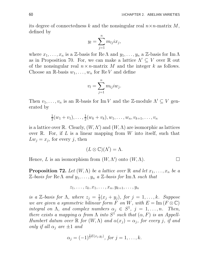its degree of connectedness k and the nonsingular real  $n \times n$ -matrix M, defined by

$$
y_l = \sum_{j=1}^n m_{lj} i x_j,
$$

where  $x_1, \ldots, x_n$  is a Z-basis for Re  $\Lambda$  and  $y_1, \ldots, y_n$  a Z-basis for Im  $\Lambda$ as in Proposition 70. For, we can make a lattice  $\Lambda' \subseteq V$  over  $\mathbb R$  out of the nonsingular real  $n \times n$ -matrix M and the integer k as follows. Choose an R-basis  $w_1, \ldots, w_n$  for ReV and define

$$
v_l = \sum_{j=1}^n m_{lj} i w_j.
$$

Then  $v_1, \ldots, v_n$  is an R-basis for Im V and the Z-module  $\Lambda' \subseteq V$  generated by

$$
\frac{1}{2}(w_1+v_1),\ldots,\frac{1}{2}(w_k+v_k),w_1,\ldots,w_n,v_{k+1},\ldots,v_n
$$

is a lattice over R. Clearly,  $(W, \Lambda')$  and  $(W, \Lambda)$  are isomorphic as lattices over  $\mathbb R$ . For, if L is a linear mapping from W into itself, such that  $Lw_j = x_j$ , for every j, then

$$
(L\otimes\mathbb{C})(\Lambda')=\Lambda.
$$

Hence, L is an isomorphism from  $(W, \Lambda')$  onto  $(W, \Lambda)$ .

**Proposition 72.** Let  $(W, \Lambda)$  be a lattice over  $\mathbb R$  and let  $x_1, \ldots, x_n$  be a  $\mathbb{Z}\text{-}basis$  for Re $\Lambda$  and  $y_1, \ldots, y_n$  a  $\mathbb{Z}\text{-}basis$  for Im  $\Lambda$  such that

$$
z_1,\ldots,z_k,x_1,\ldots,x_n,y_{k+1},\ldots,y_n
$$

is a Z-basis for  $\Lambda$ , where  $z_j = \frac{1}{2}$  $\frac{1}{2}(x_j + y_j)$ , for  $j = 1, \ldots, k$ . Suppose we are given a symmetric bilinear form F on W, with  $E = \text{Im}(F \otimes \mathbb{C})$ integral on  $\Lambda$ , and complex numbers  $\alpha_j \in S^1$ ,  $j = 1, ..., n$ . Then, there exists a mapping  $\alpha$  from  $\Lambda$  into  $S^1$  such that  $(\alpha, F)$  is an Appell-Humbert datum over  $\mathbb R$  for  $(W, \Lambda)$  and  $\alpha(x_j) = \alpha_j$ , for every j, if and only if all  $\alpha_i$  are  $\pm 1$  and

$$
\alpha_j = (-1)^{\frac{1}{2}E(x_j, y_j)}
$$
, for  $j = 1, ..., k$ .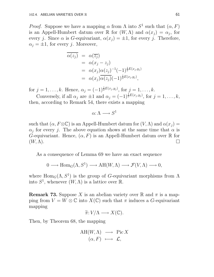*Proof.* Suppose we have a mapping  $\alpha$  from  $\Lambda$  into  $S^1$  such that  $(\alpha, F)$ is an Appell-Humbert datum over  $\mathbb R$  for  $(W, \Lambda)$  and  $\alpha(x_j) = \alpha_j$ , for every j. Since  $\alpha$  is G-equivariant,  $\alpha(x_i) = \pm 1$ , for every j. Therefore,  $\alpha_i = \pm 1$ , for every j. Moreover,

$$
\overline{\alpha(z_j)} = \alpha(\overline{z_j})
$$
  
=  $\alpha(x_j - z_j)$   
=  $\alpha(x_j)\alpha(z_j)^{-1}(-1)^{\frac{1}{2}E(x_j,y_j)}$   
=  $\alpha(x_j)\overline{\alpha(z_j)}(-1)^{\frac{1}{2}E(x_j,y_j)},$ 

for  $j = 1, ..., k$ . Hence,  $\alpha_j = (-1)^{\frac{1}{2}E(x_j, y_j)}$ , for  $j = 1, ..., k$ .

Conversely, if all  $\alpha_j$  are  $\pm 1$  and  $\alpha_j = (-1)^{\frac{1}{2}E(x_j, y_j)}$ , for  $j = 1, \ldots, k$ , then, according to Remark 54, there exists a mapping

$$
\alpha\colon \Lambda \longrightarrow S^1
$$

such that  $(\alpha, F \otimes \mathbb{C})$  is an Appell-Humbert datum for  $(V, \Lambda)$  and  $\alpha(x_i) =$  $\alpha_j$  for every j. The above equation shows at the same time that  $\alpha$  is G-equivariant. Hence,  $(\alpha, F)$  is an Appell-Humbert datum over R for  $(W, \Lambda)$ .

As a consequence of Lemma 69 we have an exact sequence

$$
0 \longrightarrow \text{Hom}_G(\Lambda, S^1) \longrightarrow \text{AH}(W, \Lambda) \longrightarrow \mathcal{F}(V, \Lambda) \longrightarrow 0,
$$

where  $\text{Hom}_G(\Lambda, S^1)$  is the group of G-equivariant morphisms from  $\Lambda$ into  $S^1$ , whenever  $(W, \Lambda)$  is a lattice over  $\mathbb{R}$ .

**Remark 73.** Suppose X is an abelian variety over R and  $\pi$  is a mapping from  $V = W \otimes \mathbb{C}$  into  $X(\mathbb{C})$  such that  $\pi$  induces a G-equivariant mapping

$$
\widetilde{\pi}: V/\Lambda \longrightarrow X(\mathbb{C}).
$$

Then, by Theorem 68, the mapping

$$
AH(W, \Lambda) \longrightarrow Pic X
$$

$$
(\alpha, F) \longmapsto \mathcal{L},
$$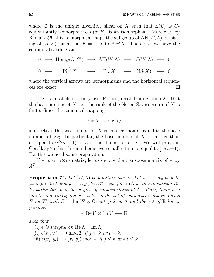where  $\mathcal L$  is the unique invertible sheaf on X such that  $\mathcal L(\mathbb C)$  is  $G$ equivariantly isomorphic to  $L(\alpha, F)$ , is an isomorphism. Moreover, by Remark 56, this isomorphism maps the subgroup of  $AH(W, \Lambda)$  consisting of  $(\alpha, F)$ , such that  $F = 0$ , onto Pic<sup>o</sup> X. Therefore, we have the commutative diagram

$$
\begin{array}{ccccccc}\n0 & \longrightarrow & \text{Hom}_G(\Lambda, S^1) & \longrightarrow & \text{AH}(W, \Lambda) & \longrightarrow & \mathcal{F}(W, \Lambda) & \longrightarrow & 0 \\
& & \downarrow & & & \downarrow & & \downarrow \\
0 & \longrightarrow & \text{Pic}^{\circ} X & \longrightarrow & \text{Pic} X & \longrightarrow & \text{NS}(X) & \longrightarrow & 0\n\end{array}
$$

where the vertical arrows are isomorphisms and the horizontal sequences are exact.  $\Box$ 

If X is an abelian variety over  $\mathbb R$  then, recall from Section 2.1 that the base number of X, i.e. the rank of the Néron-Severi group of X is finite. Since the canonical mapping

$$
\operatorname{Pic} X \to \operatorname{Pic} X_{\mathbb{C}}
$$

is injective, the base number of  $X$  is smaller than or equal to the base number of  $X_{\mathbb{C}}$ . In particular, the base number of X is smaller than or equal to  $n(2n-1)$ , if n is the dimension of X. We will prove in Corollary 76 that this number is even smaller than or equal to  $\frac{1}{2}n(n+1)$ . For this we need some preparation.

If A is an  $n \times n$ -matrix, let us denote the transpose matrix of A by  $A^T$ .

**Proposition 74.** Let  $(W, \Lambda)$  be a lattice over  $\mathbb{R}$ . Let  $x_1, \ldots, x_n$  be a  $\mathbb{Z}$ basis for Re  $\Lambda$  and  $y_1, \ldots, y_n$  be a Z-basis for Im  $\Lambda$  as in Proposition 70. In particular, k is the degree of connectedness of  $\Lambda$ . Then, there is a one-to-one correspondence between the set of symmetric bilinear forms F on W with  $E = \text{Im}(F \otimes \mathbb{C})$  integral on  $\Lambda$  and the set of  $\mathbb{R}$ -linear pairings

$$
e: \operatorname{Re} V \times \operatorname{Im} V \longrightarrow \mathbb{R}
$$

such that

- (i) e is integral on  $\text{Re}\,\Lambda \times \text{Im}\,\Lambda$ ,
- (ii)  $e(x_j, y_l) \equiv 0 \mod 2$ , if  $j \leq k$  or  $l \leq k$ ,
- (iii)  $e(x_j, y_l) \equiv e(x_l, y_j) \bmod{4}$ , if  $j \le k$  and  $l \le k$ ,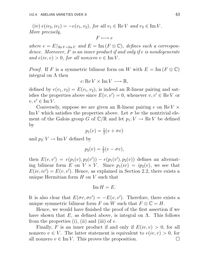(iv)  $e(iv_2, iv_1) = -e(v_1, v_2)$ , for all  $v_1 \in \text{Re } V$  and  $v_2 \in \text{Im } V$ . More precisely,

$$
F \longmapsto e
$$

where  $e = E_{\text{Re}V \times \text{Im}V}$  and  $E = \text{Im}(F \otimes \mathbb{C})$ , defines such a correspondence. Moreover, F is an inner product if and only if e is nondegenerate and  $e(iv, v) > 0$ , for all nonzero  $v \in \text{Im } V$ .

*Proof.* If F is a symmetric bilinear form on W with  $E = \text{Im}(F \otimes \mathbb{C})$ integral on  $\Lambda$  then

$$
e: \operatorname{Re} V \times \operatorname{Im} V \longrightarrow \mathbb{R},
$$

defined by  $e(v_1, v_2) = E(v_1, v_2)$ , is indeed an R-linear pairing and satisfies the properties above since  $E(v, v') = 0$ , whenever  $v, v' \in \text{Re } V$  or  $v, v' \in \text{Im } V.$ 

Conversely, suppose we are given an R-linear pairing e on  $\text{Re } V \times$ Im V which satisfies the properties above. Let  $\sigma$  be the nontrivial element of the Galois group G of  $\mathbb{C}/\mathbb{R}$  and let  $p_1: V \to \mathbb{R}^eV$  be defined by

$$
p_1(v) = \frac{1}{2}(v + \sigma v)
$$

and  $p_2: V \to \text{Im } V$  defined by

$$
p_2(v) = \frac{1}{2}(v - \sigma v),
$$

then  $E(v, v') = e(p_1(v), p_2(v')) - e(p_1(v'), p_2(v))$  defines an alternating bilinear form E on  $V \times V$ . Since  $p_1(iv) = ip_2(v)$ , we see that  $E(iv, iv') = E(v, v')$ . Hence, as explained in Section 2.2, there exists a unique Hermitian form  $H$  on  $V$  such that

$$
\operatorname{Im} H = E.
$$

It is also clear that  $E(\sigma v, \sigma v') = -E(v, v')$ . Therefore, there exists a unique symmetric bilinear form F on W such that  $F \otimes \mathbb{C} = H$ .

Hence, we would have finished the proof of the first assertion if we have shown that  $E$ , as defined above, is integral on  $\Lambda$ . This follows from the properties  $(i)$ ,  $(ii)$  and  $(iii)$  of  $e$ .

Finally, F is an inner product if and only if  $E(iv, v) > 0$ , for all nonzero  $v \in V$ . The latter statement is equivalent to  $e(iv, v) > 0$ , for all nonzero  $v \in \text{Im } V$ . This proves the proposition. all nonzero  $v \in \text{Im } V$ . This proves the proposition.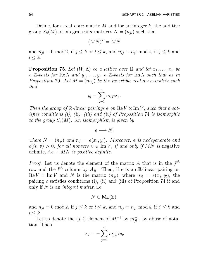Define, for a real  $n \times n$ -matrix M and for an integer k, the additive group  $S_k(M)$  of integral  $n \times n$ -matrices  $N = (n_{ij})$  such that

$$
(MN)^T = MN
$$

and  $n_{jl} \equiv 0 \mod 2$ , if  $j \leq k$  or  $l \leq k$ , and  $n_{lj} \equiv n_{jl} \mod 4$ , if  $j \leq k$  and  $l \leq k$ .

**Proposition 75.** Let  $(W, \Lambda)$  be a lattice over  $\mathbb{R}$  and let  $x_1, \ldots, x_n$  be a Z-basis for Re $\Lambda$  and  $y_1, \ldots, y_n$  a Z-basis for Im  $\Lambda$  such that as in Proposition 70. Let  $M = (m_{ij})$  be the invertible real  $n \times n$ -matrix such that

$$
y_l = \sum_{j=1}^n m_{lj} i x_j.
$$

Then the group of  $\mathbb R$ -linear pairings e on  $\text{Re }V \times \text{Im }V$ , such that e satisfies conditions  $(i)$ ,  $(ii)$ ,  $(iii)$  and  $(iv)$  of Proposition 74 is isomorphic to the group  $S_k(M)$ . An isomorphism is given by

$$
e \longmapsto N,
$$

where  $N = (n_{jl})$  and  $n_{jl} = e(x_j, y_l)$ . Moreover, e is nodegenerate and  $e(iv, v) > 0$ , for all nonzero  $v \in \text{Im } V$ , if and only if MN is negative definite, *i.e.*  $-MN$  *is positive definite.* 

*Proof.* Let us denote the element of the matrix A that is in the  $j<sup>th</sup>$ row and the  $l^{th}$  column by  $A_{jl}$ . Then, if e is an R-linear pairing on  $\text{Re } V \times \text{Im } V$  and N is the matrix  $(n_{jl})$ , where  $n_{jl} = e(x_j, y_l)$ , the pairing e satisfies conditions (i), (ii) and (iii) of Proposition 74 if and only if  $N$  is an *integral matrix*, i.e.

$$
N\in \mathbf{M}_n(\mathbb{Z}),
$$

and  $n_{jl} \equiv 0 \mod 2$ , if  $j \leq k$  or  $l \leq k$ , and  $n_{lj} \equiv n_{jl} \mod 4$ , if  $j \leq k$  and  $l \leq k$ .

Let us denote the  $(j, l)$ -element of  $M^{-1}$  by  $m_{jl}^{-1}$ , by abuse of notation. Then

$$
x_j=-\sum_{p=1}^n m_{jp}^{-1}iy_p
$$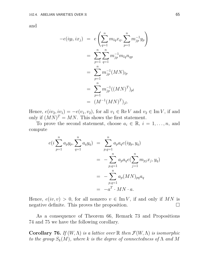and

$$
-e(iy_l, ix_j) = e\left(\sum_{q=1}^n m_{lq} x_q, \sum_{p=1}^n m_{jp}^{-1} y_p\right)
$$
  

$$
= \sum_{p=1}^n \sum_{q=1}^n m_{jp}^{-1} m_{lq} n_{qp}
$$
  

$$
= \sum_{p=1}^n m_{jp}^{-1} (MN)_{lp}
$$
  

$$
= \sum_{p=1}^n m_{jp}^{-1} ((MN)^T)_{pl}
$$
  

$$
= (M^{-1} (MN)^T)_{jl}.
$$

Hence,  $e(iv_2, iv_1) = -e(v_1, v_2)$ , for all  $v_1 \in \text{Re } V$  and  $v_2 \in \text{Im } V$ , if and only if  $(MN)^T = MN$ . This shows the first statement.

To prove the second statement, choose  $a_i \in \mathbb{R}$ ,  $i = 1, \ldots, n$ , and compute

$$
e(i\sum_{p=1}^{n} a_p y_p, \sum_{q=1}^{n} a_q y_q) = \sum_{p,q=1}^{n} a_p a_q e(iy_p, y_q)
$$
  
= 
$$
-\sum_{p,q=1}^{n} a_p a_q e(\sum_{j=1}^{n} m_{pj} x_j, y_q)
$$
  
= 
$$
-\sum_{p,q=1}^{n} a_p (MN)_{pq} a_q
$$
  
= 
$$
-a^T \cdot MN \cdot a.
$$

Hence,  $e(iv, v) > 0$ , for all nonzero  $v \in \text{Im } V$ , if and only if MN is negative definite. This proves the proposition. negative definite. This proves the proposition.

As a consequence of Theorem 66, Remark 73 and Propositions 74 and 75 we have the following corollary.

**Corollary 76.** If  $(W, \Lambda)$  is a lattice over  $\mathbb R$  then  $\mathcal{F}(W, \Lambda)$  is isomorphic to the group  $S_k(M)$ , where k is the degree of connectedness of  $\Lambda$  and  $M$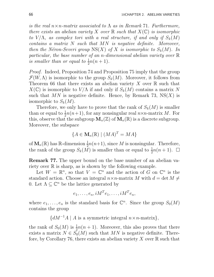is the real  $n \times n$ -matrix associated to  $\Lambda$  as in Remark 71. Furthermore, there exists an abelian variety X over  $\mathbb R$  such that  $X(\mathbb C)$  is isomorphic to  $V/\Lambda$ , as complex tori with a real structure, if and only if  $S_k(M)$ contains a matrix N such that MN is negative definite. Moreover, then the Néron-Severi group  $NS(X)$  of X is isomorphic to  $S_k(M)$ . In particular, the base number of an n-dimensional abelian variety over  $\mathbb R$ is smaller than or equal to  $\frac{1}{2}n(n+1)$ .

Proof. Indeed, Proposition 74 and Proposition 75 imply that the group  $\mathcal{F}(W,\Lambda)$  is isomorphic to the group  $S_k(M)$ . Moreover, it follows from Theorem 66 that there exists an abelian variety X over  $\mathbb R$  such that  $X(\mathbb{C})$  is isomorphic to  $V/\Lambda$  if and only if  $S_k(M)$  contains a matrix N such that  $MN$  is negative definite. Hence, by Remark 73, NS $(X)$  is isomorphic to  $S_k(M)$ .

Therefore, we only have to prove that the rank of  $S_k(M)$  is smaller than or equal to  $\frac{1}{2}n(n+1)$ , for any nonsingular real  $n \times n$ -matrix M. For this, observe that the subgroup  $\mathbf{M}_n(\mathbb{Z})$  of  $\mathbf{M}_n(\mathbb{R})$  is a discrete subgroup. Moreover, the subspace

$$
\{A \in \mathbf{M}_n(\mathbb{R}) \mid (MA)^T = MA\}
$$

of  $\mathbf{M}_n(\mathbb{R})$  has  $\mathbb{R}$ -dimension  $\frac{1}{2}n(n+1)$ , since M is nonsingular. Therefore, the rank of the group  $S_k(M)$  is smaller than or equal to  $\frac{1}{2}n(n+1)$ .  $\Box$ 

Remark 77. The upper bound on the base number of an abelian variety over  $\mathbb R$  is sharp, as is shown by the following example.

Let  $W = \mathbb{R}^n$ , so that  $V = \mathbb{C}^n$  and the action of G on  $\mathbb{C}^n$  is the standard action. Choose an integral  $n \times n$ -matrix M with  $d = \det M \neq$ 0. Let  $\Lambda \subseteq \mathbb{C}^n$  be the lattice generated by

$$
e_1, \ldots, e_n, iM^T e_1, \ldots, iM^T e_n,
$$

where  $e_1, \ldots, e_n$  is the standard basis for  $\mathbb{C}^n$ . Since the group  $S_0(M)$ contains the group

 ${dM^{-1}A \mid A \text{ is a symmetric integral } n \times n\text{-matrix}}$ ,

the rank of  $S_0(M)$  is  $\frac{1}{2}n(n+1)$ . Moreover, this also proves that there exists a matrix  $N \in S_0(M)$  such that MN is negative definite. Therefore, by Corollary 76, there exists an abelian variety X over  $\mathbb R$  such that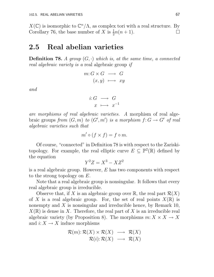$X(\mathbb{C})$  is isomorphic to  $\mathbb{C}^n/\Lambda$ , as complex tori with a real structure. By Corollary 76, the base number of X is  $\frac{1}{2}n(n+1)$ .

## 2.5 Real abelian varieties

**Definition 78.** A group  $(G, \cdot)$  which is, at the same time, a connected real algebraic variety is a real algebraic group if

$$
m: G \times G \longrightarrow G
$$

$$
(x, y) \longmapsto xy
$$

and

$$
i: G \longrightarrow G
$$

$$
x \longmapsto x^{-1}
$$

are morphisms of real algebraic varieties. A morphism of real algebraic groups from  $(G, m)$  to  $(G', m')$  is a morphism  $f: G \to G'$  of real algebraic varieties such that

$$
m' \circ (f \times f) = f \circ m.
$$

Of course, "connected" in Definition 78 is with respect to the Zariskitopology. For example, the real elliptic curve  $E \subseteq \mathbb{P}^2(\mathbb{R})$  defined by the equation

$$
Y^2 Z = X^3 - X Z^2
$$

is a real algebraic group. However, E has two components with respect to the strong topology on E.

Note that a real algebraic group is nonsingular. It follows that every real algebraic group is irreducible.

Observe that, if X is an algebraic group over  $\mathbb{R}$ , the real part  $\mathcal{R}(X)$ of X is a real algebraic group. For, the set of real points  $X(\mathbb{R})$  is nonempty and  $X$  is nonsingular and irreducible hence, by Remark 10,  $X(\mathbb{R})$  is dense in X. Therefore, the real part of X is an irreducible real algebraic variety (by Proposition 8). The morphisms  $m: X \times X \to X$ and  $i: X \to X$  induce morphisms

$$
\mathcal{R}(m): \mathcal{R}(X) \times \mathcal{R}(X) \longrightarrow \mathcal{R}(X) \mathcal{R}(i): \mathcal{R}(X) \longrightarrow \mathcal{R}(X)
$$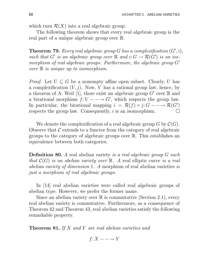which turn  $\mathcal{R}(X)$  into a real algebraic group.

The following theorem shows that every real algebraic group is the real part of a unique algebraic group over R.

**Theorem 79.** Every real algebraic group G has a complexification  $(G', i)$ , such that G' is an algebraic group over  $\mathbb R$  and  $i: G \to \mathcal{R}(G')$  is an isomorphism of real algebraic groups. Furthermore, the algebraic group  $G'$ over  $\mathbb R$  is unique up to isomorphism.

*Proof.* Let  $U \subseteq G$  be a nonempty affine open subset. Clearly, U has a complexification  $(V, j)$ . Now, V has a rational group law, hence, by a theorem of A. Weil [1], there exist an algebraic group  $G'$  over  $\mathbb R$  and a birational morphism  $f: V - \rightarrow G'$ , which respects the group law. In particular, the birational mapping  $i = \mathcal{R}(f) \circ j: G - \rightarrow \mathcal{R}(G')$ respects the group law. Consequently, i is an isomorphism.  $\Box$ 

We denote the complexification of a real algebraic group  $G$  by  $\mathcal{C}(G)$ . Observe that  $\mathcal C$  extends to a functor from the category of real algebraic groups to the category of algebraic groups over R. This establishes an equivalence between both categories.

**Definition 80.** A real abelian variety is a real algebraic group G such that  $\mathcal{C}(G)$  is an abelian variety over  $\mathbb{R}$ . A real elliptic curve is a real abelian variety of dimension 1. A morphism of real abelian varieties is just a morphism of real algebraic groups.

In [14] real abelian varieties were called real algebraic groups of abelian type. However, we prefer the former name.

Since an abelian variety over  $\mathbb R$  is commutative (Section 2.1), every real abelian variety is commutative. Furthermore, as a consequence of Theorem 42 and Theorem 43, real abelian varieties satisfy the following remarkable property.

**Theorem 81.** If X and Y are real abelian varieties and

$$
f \colon X \dashrightarrow Y
$$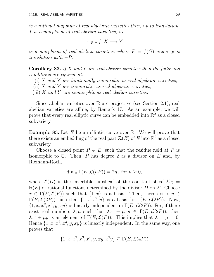is a rational mapping of real algebraic varieties then, up to translation, f is a morphism of real abelian varieties, i.e.

 $\tau_{-P} \circ f: X \longrightarrow Y$ 

is a morphism of real abelian varieties, where  $P = f(O)$  and  $\tau_{-P}$  is  $translation with -P.$ 

**Corollary 82.** If X and Y are real abelian varieties then the following conditions are equivalent:

- (i)  $X$  and  $Y$  are birationally isomorphic as real algebraic varieties,
- (ii)  $X$  and  $Y$  are isomorphic as real algebraic varieties,
- (iii)  $X$  and  $Y$  are isomorphic as real abelian varieties.

Since abelian varieties over  $\mathbb R$  are projective (see Section 2.1), real abelian varieties are affine, by Remark 17. As an example, we will prove that every real elliptic curve can be embedded into  $\mathbb{R}^2$  as a closed subvariety.

**Example 83.** Let  $E$  be an elliptic curve over  $\mathbb{R}$ . We will prove that there exists an embedding of the real part  $\mathcal{R}(E)$  of E into  $\mathbb{R}^2$  as a closed subvariety.

Choose a closed point  $P \in E$ , such that the residue field at P is isomorphic to  $\mathbb{C}$ . Then, P has degree 2 as a divisor on E and, by Riemann-Roch,

$$
\dim_{\mathbb{R}} \Gamma(E, \mathcal{L}(nP)) = 2n, \text{ for } n \ge 0,
$$

where  $\mathcal{L}(D)$  is the invertible subsheaf of the constant sheaf  $\mathcal{K}_E$  =  $\mathbb{R}(E)$  of rational functions determined by the divisor D on E. Choose  $x \in \Gamma(E, \mathcal{L}(P))$  such that  $\{1, x\}$  is a basis. Then, there exists  $y \in$  $\Gamma(E,\mathcal{L}(2P))$  such that  $\{1,x,x^2,y\}$  is a basis for  $\Gamma(E,\mathcal{L}(2P))$ . Now,  $\{1, x, x^2, x^3, y, xy\}$  is linearly independent in  $\Gamma(E, \mathcal{L}(3P))$ . For, if there exist real numbers  $\lambda, \mu$  such that  $\lambda x^3 + \mu xy \in \Gamma(E, \mathcal{L}(2P))$ , then  $\lambda x^2 + \mu y$  is an element of  $\Gamma(E, \mathcal{L}(P))$ . This implies that  $\lambda = \mu = 0$ . Hence  $\{1, x, x^2, x^3, y, xy\}$  is linearly independent. In the same way, one proves that

$$
\{1, x, x^2, x^3, x^4, y, xy, x^2y\} \subseteq \Gamma(E, \mathcal{L}(4P))
$$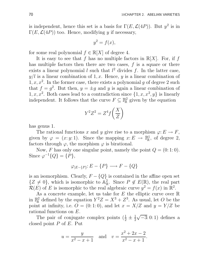is independent, hence this set is a basis for  $\Gamma(E, \mathcal{L}(4P))$ . But  $y^2$  is in  $\Gamma(E,\mathcal{L}(4P))$  too. Hence, modifying y if necessary,

$$
y^2 = f(x),
$$

for some real polynomial  $f \in \mathbb{R}[X]$  of degree 4.

It is easy to see that f has no multiple factors in  $\mathbb{R}[X]$ . For, if f has multiple factors then there are two cases,  $f$  is a square or there exists a linear polynomial l such that  $l^2$  divides f. In the latter case,  $y/l$  is a linear combination of 1, x. Hence, y is a linear combination of  $1, x, x<sup>2</sup>$ . In the former case, there exists a polynomial g of degree 2 such that  $f = g^2$ . But then,  $y = \pm g$  and y is again a linear combination of 1, x, x<sup>2</sup>. Both cases lead to a contradiction since  $\{1, x, x^2, y\}$  is linearly independent. It follows that the curve  $F \subseteq \mathbb{R}^2$  $\mathbb{R}^2$  given by the equation

$$
Y^2 Z^2 = Z^4 f\left(\frac{X}{Z}\right)
$$

has genus 1.

The rational functions x and y give rise to a morphism  $\varphi: E \to F$ , given by  $\varphi = (x : y : 1)$ . Since the mapping  $x : E \to \mathbb{R}^1$  $\mathbb{R}^1$ , of degree 2, factors through  $\varphi$ , the morphism  $\varphi$  is birational.

Now, F has only one singular point, namely the point  $Q = (0, 1, 0)$ . Since  $\varphi^{-1}{Q} = {P},$ 

$$
\varphi_{|E-\{P\}} \colon E - \{P\} \longrightarrow F - \{Q\}
$$

is an isomorphism. Clearly,  $F - \{Q\}$  is contained in the affine open set  $\{Z \neq 0\}$ , which is isomorphic to  $\mathbb{A}^2_{\mathbb{R}}$ <sup>2</sup><sub>R</sub>. Since  $P \notin E(\mathbb{R})$ , the real part  $\mathcal{R}(E)$  of E is isomorphic to the real algebraic curve  $y^2 = f(x)$  in  $\mathbb{R}^2$ .

As a concrete example, let us take for  $E$  the elliptic curve over  $\mathbb R$ in  $\mathbb{P}^2_{\mathbb{R}}$  $\mathbb{R}^2$  defined by the equation  $Y^2Z = X^3 + Z^3$ . As usual, let O be the point at infinity, i.e.  $\overline{O} = (0:1:0)$ , and let  $x = X/Z$  and  $y = Y/Z$  be rational functions on E.

The pair of conjugate complex points  $(\frac{1}{2} \pm \frac{1}{2})$ 2  $\sqrt{-3}$ : 0: 1) defines a closed point  $P$  of  $E$ . Put

$$
u = \frac{y}{x^2 - x + 1}
$$
 and  $v = \frac{x^2 + 2x - 2}{x^2 - x + 1}$ .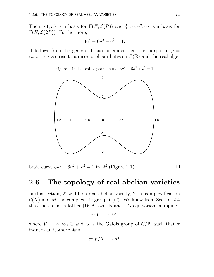Then,  $\{1, u\}$  is a basis for  $\Gamma(E, \mathcal{L}(P))$  and  $\{1, u, u^2, v\}$  is a basis for  $\Gamma(E,\mathcal{L}(2P))$ . Furthermore,

$$
3u^4 - 6u^2 + v^2 = 1.
$$

It follows from the general discussion above that the morphism  $\varphi =$  $(u: v: 1)$  gives rise to an isomorphism between  $E(\mathbb{R})$  and the real alge-

Figure 2.1: the real algebraic curve  $3u^4 - 6u^2 + v^2 = 1$ 



braic curve  $3u^4 - 6u^2 + v^2 = 1$  in  $\mathbb{R}^2$  (Figure 2.1).

### 2.6 The topology of real abelian varieties

In this section,  $X$  will be a real abelian variety,  $Y$  its complexification  $\mathcal{C}(X)$  and M the complex Lie group  $Y(\mathbb{C})$ . We know from Section 2.4 that there exist a lattice  $(W, \Lambda)$  over R and a G-equivariant mapping

$$
\pi: V \longrightarrow M,
$$

where  $V = W \otimes_{\mathbb{R}} \mathbb{C}$  and G is the Galois group of  $\mathbb{C}/\mathbb{R}$ , such that  $\pi$ induces an isomorphism

$$
\widetilde{\pi}: V/\Lambda \longrightarrow M
$$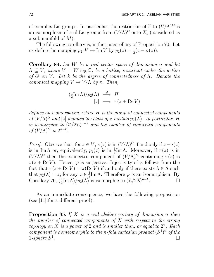of complex Lie groups. In particular, the restriction of  $\tilde{\pi}$  to  $(V/\Lambda)^G$  is an isomorphism of real Lie groups from  $(V/\Lambda)^G$  onto  $X_s$  (considered as a submanifold of M).

The following corollary is, in fact, a corollary of Proposition 70. Let us define the mapping  $p_2: V \to \text{Im } V$  by  $p_2(z) = \frac{1}{2}$  $rac{1}{2}(z-\sigma(z)).$ 

**Corollary 84.** Let  $W$  be a real vector space of dimension  $n$  and let  $\Lambda \subseteq V$ , where  $V = W \otimes_{\mathbb{R}} \mathbb{C}$ , be a lattice, invariant under the action of G on V. Let k be the degree of connectedness of  $\Lambda$ . Denote the canonical mapping  $V \to V/\Lambda$  by  $\pi$ . Then,

$$
\frac{(\frac{1}{2}\mathrm{Im}\,\Lambda)/p_2(\Lambda)}{[z]}\,\xrightarrow{\varphi}\,H
$$

$$
[\,z]\,\,\longmapsto\,\,\pi(z+\mathrm{Re}\,V)
$$

defines an isomorphism, where H is the group of connected components of  $(V/\Lambda)^G$  and  $[z]$  denotes the class of z modulo  $p_2(\Lambda)$ . In particular, H is isomorphic to  $(\mathbb{Z}/2\mathbb{Z})^{n-k}$  and the number of connected components of  $(V/\Lambda)^G$  is  $2^{n-k}$ .

*Proof.* Observe that, for  $z \in V$ ,  $\pi(z)$  is in  $(V/\Lambda)^G$  if and only if  $z-\sigma(z)$ is in Im  $\Lambda$  or, equivalently,  $p_2(z)$  is in  $\frac{1}{2}$ Im  $\Lambda$ . Moreover, if  $\pi(z)$  is in  $(V/\Lambda)^G$  then the connected component of  $(V/\Lambda)^G$  containing  $\pi(z)$  is  $\pi(z + \text{Re } V)$ . Hence,  $\varphi$  is surjective. Injectivity of  $\varphi$  follows from the fact that  $\pi(z + \text{Re } V) = \pi(\text{Re } V)$  if and only if there exists  $\lambda \in \Lambda$  such that  $p_2(\lambda) = z$ , for any  $z \in \frac{1}{2}$  $\frac{1}{2}$ Im  $\Lambda$ . Therefore  $\varphi$  is an isomorphism. By Corollary 70,  $\left(\frac{1}{2}\right)$  $\frac{1}{2} \text{Im }\Lambda)/p_2(\Lambda)$  is isomorphic to  $(\mathbb{Z}/2\mathbb{Z})^{n-k}$  $\Box$ 

As an immediate consequence, we have the following proposition (see [11] for a different proof).

**Proposition 85.** If X is a real abelian variety of dimension n then the number of connected components of  $X$  with respect to the strong topology on X is a power of 2 and is smaller than, or equal to  $2^n$ . Each component is homeomorphic to the n-fold cartesian product  $(S^1)^n$  of the  $1$ -sphere  $S^1$ . The contract of the contract of the contract of the contract of  $\Box$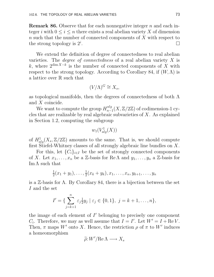**Remark 86.** Observe that for each nonnegative integer n and each integer i with  $0 \leq i \leq n$  there exists a real abelian variety X of dimension n such that the number of connected components of X with respect to the strong topology is  $2^i$ . В последните поставите на селото на селото на селото на селото на селото на селото на селото на селото на се<br>Селото на селото на селото на селото на селото на селото на селото на селото на селото на селото на селото на

We extend the definition of degree of connectedness to real abelian varieties. The *degree of connectedness* of a real abelian variety  $X$  is k, where  $2^{\dim X-k}$  is the number of connected components of X with respect to the strong topology. According to Corollary 84, if  $(W, \Lambda)$  is a lattice over R such that

$$
(V/\Lambda)^G \cong X_s,
$$

as topological manifolds, then the degrees of connectedness of both  $\Lambda$ and X coincide.

We want to compute the group  $H_{n-}^{alg}$  $\frac{f_{n-1}(X, \mathbb{Z}/2\mathbb{Z})}{\prod_{n=1}^{\infty} f_{n-1}(X, \mathbb{Z}/2\mathbb{Z})}$  of codimension-1 cycles that are realizable by real algebraic subvarieties of X. As explained in Section 1.2, computing the subgroup

$$
w_1(V^1_{alg}(X))\\
$$

of  $H^1_{alg}(X_s, \mathbb{Z}/2\mathbb{Z})$  amounts to the same. That is, we should compute first Stiefel-Whitney classes of all strongly algebraic line bundles on X.

For this, let  $\{C_i\}_{i\in I}$  be the set of strongly connected components of X. Let  $x_1, \ldots, x_n$  be a Z-basis for Re  $\Lambda$  and  $y_1, \ldots, y_n$  a Z-basis for Im  $\Lambda$  such that

$$
\frac{1}{2}(x_1+y_1),\ldots,\frac{1}{2}(x_k+y_k),x_1,\ldots,x_n,y_{k+1},\ldots,y_n
$$

is a  $\mathbb{Z}$ -basis for  $\Lambda$ . By Corollary 84, there is a bijection between the set I and the set

$$
I' = \{ \sum_{j=k+1}^{n} \varepsilon_j \frac{1}{2} y_j \mid \varepsilon_j \in \{0, 1\}, j = k+1, \dots, n \},\
$$

the image of each element of  $I'$  belonging to precisely one component  $C_i$ . Therefore, we may as well assume that  $I = I'$ . Let  $W' = I + \text{Re } V$ . Then,  $\pi$  maps W' onto X. Hence, the restriction  $\rho$  of  $\pi$  to W' induces a homeomorphism

$$
\widetilde{\rho}: W'/\mathrm{Re}\,\Lambda \longrightarrow X_s
$$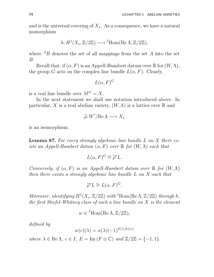and is the universal covering of  $X_s$ . As a consequence, we have a natural isomorphism

$$
h: H^1(X_s, \mathbb{Z}/2\mathbb{Z}) \longrightarrow {}^I \text{Hom}(\text{Re}\,\Lambda, \mathbb{Z}/2\mathbb{Z}),
$$

where  $^{A}B$  denotes the set of all mappings from the set A into the set B.

Recall that, if  $(\alpha, F)$  is an Appell-Humbert datum over  $\mathbb R$  for  $(W, \Lambda)$ , the group G acts on the complex line bundle  $L(\alpha, F)$ . Clearly,

$$
L(\alpha, F)^G
$$

is a real line bundle over  $M^G = X$ .

In the next statement we shall use notation introduced above. In particular, X is a real abelian variety,  $(W, \Lambda)$  is a lattice over R and

$$
\widetilde{\rho}: W'/\mathrm{Re}\,\Lambda \longrightarrow X_s
$$

is an isomorphism.

**Lemma 87.** For every strongly algebraic line bundle  $L$  on  $X$  there exists an Appell-Humbert datum  $(\alpha, F)$  over  $\mathbb R$  for  $(W, \Lambda)$  such that

$$
L(\alpha, F)^G \cong \tilde{\rho}^* L.
$$

Conversely, if  $(\alpha, F)$  is an Appell-Humbert datum over  $\mathbb R$  for  $(W, \Lambda)$ then there exists a strongly algebraic line bundle L on X such that

$$
\widetilde{\rho}^* L \cong L(\alpha, F)^G.
$$

Moreover, identifying  $H^1(X_s, \mathbb{Z}/2\mathbb{Z})$  with  $^I$ Hom(Re $\Lambda$ ,  $\mathbb{Z}/2\mathbb{Z}$ ) through h, the first Stiefel-Whitney class of such a line bundle on  $X$  is the element

$$
w \in {}^{I} \text{Hom}(\text{Re}\,\Lambda, \mathbb{Z}/2\mathbb{Z}),
$$

defined by

$$
w(c)(\lambda) = \alpha(\lambda)(-1)^{E(\lambda, 2r(c))}
$$

where  $\lambda \in \text{Re }\Lambda$ ,  $c \in I$ ,  $E = \text{Im}(F \otimes \mathbb{C})$  and  $\mathbb{Z}/2\mathbb{Z} = \{-1, 1\}$ .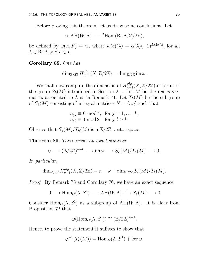Before proving this theorem, let us draw some conclusions. Let

$$
\omega: AH(W, \Lambda) \longrightarrow {}^{I}Hom(\text{Re }\Lambda, \mathbb{Z}/2\mathbb{Z}),
$$

be defined by  $\omega(\alpha, F) = w$ , where  $w(c)(\lambda) = \alpha(\lambda)(-1)^{E(2c,\lambda)}$ , for all  $\lambda \in \text{Re }\Lambda$  and  $c \in I$ .

Corollary 88. One has

$$
\dim_{\mathbb{Z}/2\mathbb{Z}} H^{alg}_{n-1}(X,\mathbb{Z}/2\mathbb{Z}) = \dim_{\mathbb{Z}/2\mathbb{Z}} \operatorname{im} \omega.
$$

We shall now compute the dimension of  $H_{n-}^{alg}$  $_{n-1}^{aug}(X,\mathbb{Z}/2\mathbb{Z})$  in terms of the group  $S_k(M)$  introduced in Section 2.4. Let M be the real  $n \times n$ matrix associated to  $\Lambda$  as in Remark 71. Let  $T_k(M)$  be the subgroup of  $S_k(M)$  consisting of integral matrices  $N = (n_{il})$  such that

$$
n_{jj} \equiv 0 \mod 4, \text{ for } j = 1, \dots, k,
$$
  

$$
n_{jl} \equiv 0 \mod 2, \text{ for } j, l > k.
$$

Observe that  $S_k(M)/T_k(M)$  is a  $\mathbb{Z}/2\mathbb{Z}$ -vector space.

Theorem 89. There exists an exact sequence

$$
0 \longrightarrow (\mathbb{Z}/2\mathbb{Z})^{n-k} \longrightarrow \text{im}\,\omega \longrightarrow S_k(M)/T_k(M) \longrightarrow 0.
$$

In particular,

$$
\dim_{\mathbb{Z}/2\mathbb{Z}} H_{n-1}^{alg}(X,\mathbb{Z}/2\mathbb{Z}) = n - k + \dim_{\mathbb{Z}/2\mathbb{Z}} S_k(M)/T_k(M).
$$

Proof. By Remark 73 and Corollary 76, we have an exact sequence

$$
0 \longrightarrow \text{Hom}_G(\Lambda, S^1) \longrightarrow \text{AH}(W, \Lambda) \stackrel{\varphi}{\longrightarrow} S_k(M) \longrightarrow 0
$$

Consider Hom<sub>G</sub> $(\Lambda, S^1)$  as a subgroup of AH $(W, \Lambda)$ . It is clear from Proposition 72 that

$$
\omega(\text{Hom}_G(\Lambda, S^1)) \cong (\mathbb{Z}/2\mathbb{Z})^{n-k}.
$$

Hence, to prove the statement it suffices to show that

$$
\varphi^{-1}(T_k(M)) = \text{Hom}_G(\Lambda, S^1) + \ker \omega.
$$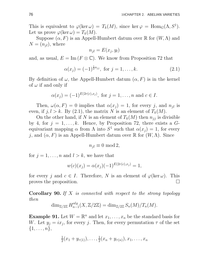This is equivalent to  $\varphi(\ker \omega) = T_k(M)$ , since  $\ker \varphi = \text{Hom}_G(\Lambda, S^1)$ . Let us prove  $\varphi(\ker \omega) = T_k(M)$ .

Suppose  $(\alpha, F)$  is an Appell-Humbert datum over  $\mathbb R$  for  $(W, \Lambda)$  and  $N = (n_{il})$ , where

$$
n_{jl} = E(x_j, y_l)
$$

and, as usual,  $E = \text{Im}(F \otimes \mathbb{C})$ . We know from Proposition 72 that

$$
\alpha(x_j) = (-1)^{\frac{1}{2}n_{jj}}, \text{ for } j = 1, \dots, k. \tag{2.1}
$$

By definition of  $\omega$ , the Appell-Humbert datum  $(\alpha, F)$  is in the kernel of  $\omega$  if and only if

$$
\alpha(x_j) = (-1)^{E(2r(c),x_j)}
$$
, for  $j = 1, ..., n$  and  $c \in I$ .

Then,  $\omega(\alpha, F) = 0$  implies that  $\alpha(x_j) = 1$ , for every j, and  $n_{jl}$  is even, if  $j, l > k$ . By (2.1), the matrix N is an element of  $T_k(M)$ .

On the other hand, if N is an element of  $T_k(M)$  then  $n_{jj}$  is divisible by 4, for  $j = 1, \ldots, k$ . Hence, by Proposition 72, there exists a  $G$ equivariant mapping  $\alpha$  from  $\Lambda$  into  $S^1$  such that  $\alpha(x_j) = 1$ , for every j, and  $(\alpha, F)$  is an Appell-Humbert datum over R for  $(W, \Lambda)$ . Since

$$
n_{jl} \equiv 0 \mod 2,
$$

for  $j = 1, \ldots, n$  and  $l > k$ , we have that

$$
w(c)(x_j) = \alpha(x_j)(-1)^{E(2r(c),x_j)} = 1,
$$

for every j and  $c \in I$ . Therefore, N is an element of  $\varphi(\ker \omega)$ . This proves the proposition.

**Corollary 90.** If X is connected with respect to the strong topology then

$$
\dim_{\mathbb{Z}/2\mathbb{Z}} H_{n-1}^{alg}(X, \mathbb{Z}/2\mathbb{Z}) = \dim_{\mathbb{Z}/2\mathbb{Z}} S_n(M)/T_n(M).
$$

**Example 91.** Let  $W = \mathbb{R}^n$  and let  $x_1, \ldots, x_n$  be the standard basis for W. Let  $y_j = ix_j$ , for every j. Then, for every permutation  $\tau$  of the set  $\{1,\ldots,n\},\$ 

$$
\frac{1}{2}(x_1+y_{\tau(1)}),\ldots,\frac{1}{2}(x_n+y_{\tau(n)}),x_1,\ldots,x_n
$$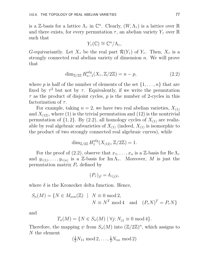is a Z-basis for a lattice  $\Lambda_{\tau}$  in  $\mathbb{C}^n$ . Clearly,  $(W, \Lambda_{\tau})$  is a lattice over  $\mathbb R$ and there exists, for every permutation  $\tau$ , an abelian variety  $Y_\tau$  over R such that

$$
Y_{\tau}(\mathbb{C}) \cong \mathbb{C}^n/\Lambda_{\tau},
$$

G-equivariantly. Let  $X_{\tau}$  be the real part  $\mathcal{R}(Y_{\tau})$  of  $Y_{\tau}$ . Then,  $X_{\tau}$  is a strongly connected real abelian variety of dimension n. We will prove that

$$
\dim_{\mathbb{Z}/2\mathbb{Z}} H_{n-1}^{alg}(X_{\tau}, \mathbb{Z}/2\mathbb{Z}) = n - p,\tag{2.2}
$$

where p is half of the number of elements of the set  $\{1, \ldots, n\}$  that are fixed by  $\tau^2$  but not by  $\tau$ . Equivalently, if we write the permutation  $\tau$  as the product of disjoint cycles, p is the number of 2-cycles in this factorization of  $\tau$ .

For example, taking  $n = 2$ , we have two real abelian varieties,  $X_{(1)}$ and  $X_{(12)}$ , where (1) is the trivial permutation and (12) is the nontrivial permutation of  $\{1, 2\}$ . By  $(2.2)$ , all homology cycles of  $X_{(1)}$  are realizable by real algebraic subvarieties of  $X_{(1)}$  (indeed,  $X_{(1)}$  is isomorphic to the product of two strongly connected real algebraic curves), while

$$
\dim_{\mathbb{Z}/2\mathbb{Z}} H_1^{alg}(X_{(12)}, \mathbb{Z}/2\mathbb{Z}) = 1.
$$

For the proof of (2.2), observe that  $x_1, \ldots, x_n$  is a Z-basis for Re  $\Lambda_{\tau}$ and  $y_{\tau(1)}, \ldots, y_{\tau(n)}$  is a Z-basis for Im  $\Lambda_{\tau}$ . Moreover, M is just the permutation matrix  $P_{\tau}$  defined by

$$
(P_{\tau})_{jl} = \delta_{\tau(j)l},
$$

where  $\delta$  is the Kronecker delta function. Hence,

$$
S_n(M) = \{ N \in M_{n \times n}(\mathbb{Z}) \mid N \equiv 0 \mod 2, N \equiv N^T \mod 4 \text{ and } (P_{\tau} N)^T = P_{\tau} N \}
$$

and

$$
T_n(M) = \{ N \in S_n(M) \mid \forall j: N_{jj} \equiv 0 \text{ mod } 4 \}.
$$

Therefore, the mapping  $\psi$  from  $S_n(M)$  into  $(\mathbb{Z}/2\mathbb{Z})^n$ , which assigns to N the element

$$
(\frac{1}{2}N_{11}\bmod 2,\ldots,\frac{1}{2}N_{nn}\bmod 2)
$$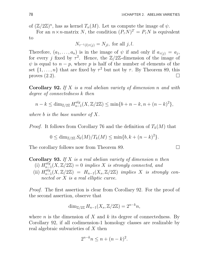of  $(\mathbb{Z}/2\mathbb{Z})^n$ , has as kernel  $T_n(M)$ . Let us compute the image of  $\psi$ .

For an  $n \times n$ -matrix N, the condition  $(P_{\tau}N)^{T} = P_{\tau}N$  is equivalent to

$$
N_{\tau^{-1}(l)\tau(j)} = N_{jl}, \text{ for all } j, l.
$$

Therefore,  $(a_1, \ldots, a_n)$  is in the image of  $\psi$  if and only if  $a_{\tau(j)} = a_j$ , for every j fixed by  $\tau^2$ . Hence, the  $\mathbb{Z}/2\mathbb{Z}$ -dimension of the image of  $\psi$  is equal to  $n - p$ , where p is half of the number of elements of the set  $\{1, \ldots, n\}$  that are fixed by  $\tau^2$  but not by  $\tau$ . By Theorem 89, this proves  $(2.2)$ .

**Corollary 92.** If X is a real abelian variety of dimension n and with degree of connectedness k then

$$
n - k \le \dim_{\mathbb{Z}/2\mathbb{Z}} H_{n-1}^{alg}(X, \mathbb{Z}/2\mathbb{Z}) \le \min\{b + n - k, n + (n - k)^2\},\
$$

where b is the base number of  $X$ .

*Proof.* It follows from Corollary 76 and the definition of  $T_k(M)$  that

$$
0 \le \dim_{\mathbb{Z}/2\mathbb{Z}} S_k(M)/T_k(M) \le \min\{b, k + (n-k)^2\}.
$$

The corollary follows now from Theorem 89.

**Corollary 93.** If  $X$  is a real abelian variety of dimension n then

- (i)  $H_{n-}^{alg}$  $\sum_{n=1}^{aug}(X, \mathbb{Z}/2\mathbb{Z}) = 0$  implies X is strongly connected, and
- (ii)  $H_{n-}^{alg}$  $\mathcal{L}_{n-1}^{aug}(X,\mathbb{Z}/2\mathbb{Z}) = H_{n-1}(X_s,\mathbb{Z}/2\mathbb{Z})$  implies X is strongly connected or X is a real elliptic curve.

Proof. The first assertion is clear from Corollary 92. For the proof of the second assertion, observe that

$$
\dim_{\mathbb{Z}/2\mathbb{Z}} H_{n-1}(X_s, \mathbb{Z}/2\mathbb{Z}) = 2^{n-k}n,
$$

where  $n$  is the dimension of  $X$  and  $k$  its degree of connectedness. By Corollary 92, if all codimension-1 homology classes are realizable by real algebraic subvarieties of X then

$$
2^{n-k}n \le n + (n-k)^2.
$$

$$
\sqcup
$$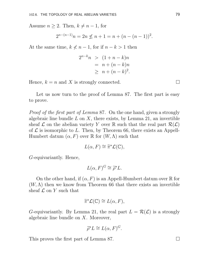Assume  $n \geq 2$ . Then,  $k \neq n-1$ , for

$$
2^{n-(n-1)}n = 2n \nleq n+1 = n + (n - (n - 1))^2.
$$

At the same time,  $k \nless n-1$ , for if  $n-k > 1$  then

$$
2^{n-k}n \ge (1+n-k)n
$$
  
=  $n+(n-k)n$   
 $\ge n+(n-k)^2$ .

Hence,  $k = n$  and X is strongly connected.

Let us now turn to the proof of Lemma 87. The first part is easy to prove.

Proof of the first part of Lemma 87. On the one hand, given a strongly algebraic line bundle  $L$  on  $X$ , there exists, by Lemma 21, an invertible sheaf  $\mathcal L$  on the abelian variety Y over R such that the real part  $\mathcal R(\mathcal L)$ of  $\mathcal L$  is isomorphic to L. Then, by Theorem 66, there exists an Appell-Humbert datum  $(\alpha, F)$  over  $\mathbb R$  for  $(W, \Lambda)$  such that

$$
L(\alpha, F) \cong \widetilde{\pi}^{\star} \mathcal{L}(\mathbb{C}),
$$

G-equivariantly. Hence,

$$
L(\alpha, F)^G \cong \tilde{\rho}^* L.
$$

On the other hand, if  $(\alpha, F)$  is an Appell-Humbert datum over R for  $(W, \Lambda)$  then we know from Theorem 66 that there exists an invertible sheaf  $\mathcal L$  on Y such that

$$
\widetilde{\pi}^{\star}\mathcal{L}(\mathbb{C}) \cong L(\alpha, F),
$$

G-equivariantly. By Lemma 21, the real part  $L = \mathcal{R}(\mathcal{L})$  is a strongly algebraic line bundle on  $X$ . Moreover,

$$
\widetilde{\rho}^* L \cong L(\alpha, F)^G.
$$

This proves the first part of Lemma 87.  $\Box$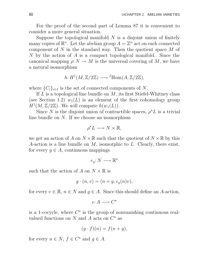For the proof of the second part of Lemma 87 it is convenient to consider a more general situation.

Suppose the topological manifold  $N$  is a disjoint union of finitely many copies of  $\mathbb{R}^n$ . Let the abelian group  $A = \mathbb{Z}^n$  act on each connected component of  $N$  in the standard way. Then the quotient space  $M$  of N by the action of A is a compact topological manifold. Since the canonical mapping  $\rho: N \to M$  is the universal covering of M, we have a natural isomorphism

$$
h: H^1(M, \mathbb{Z}/2\mathbb{Z}) \longrightarrow {}^I \text{Hom}(A, \mathbb{Z}/2\mathbb{Z}),
$$

where  $\{C_i\}_{i\in I}$  is the set of connected components of N.

If  $L$  is a topological line bundle on  $M$ , its first Stiefel-Whitney class (see Section 1.2)  $w_1(L)$  is an element of the first cohomology group  $H^1(M, \mathbb{Z}/2\mathbb{Z})$ . We will compute  $h(w_1(L))$ .

Since N is the disjoint union of contractible spaces,  $\rho^{\star}L$  is a trivial line bundle on N. If we choose an isomorphism

$$
\rho^{\star}L\longrightarrow N\times\mathbb{R},
$$

we get an action of A on  $N \times \mathbb{R}$  such that the quotient of  $N \times \mathbb{R}$  by this A-action is a line bundle on  $M$ , isomorphic to  $L$ . Clearly, there exist, for every  $g \in A$ , continuous mappings

$$
e_g\colon N\longrightarrow \mathbb{R}^\star
$$

such that the action of A on  $N \times \mathbb{R}$  is

$$
g \cdot (n, v) = (n + g, e_g(n)v),
$$

for every  $v \in \mathbb{R}$ ,  $n \in N$  and  $g \in A$ . Since this should define an A-action,

$$
e \colon A \longrightarrow C^\star
$$

is a 1-cocycle, where  $C^*$  is the group of nonvanishing continuous realvalued functions on N and A acts on  $C^*$  as

$$
(g \cdot f)(n) = f(n+g),
$$

for every  $n \in N$ ,  $f \in C^*$  and  $g \in A$ .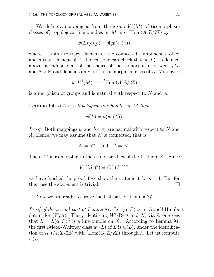We define a mapping w from the group  $V^1(M)$  of (isomorphism classes of) topological line bundles on M into  $^I$ Hom $(A, \mathbb{Z}/2\mathbb{Z})$  by

$$
w(L)(c)(g) = sign(e_g(x)),
$$

where x is an arbitrary element of the connected component  $c$  of N and g is an element of A. Indeed, one can check that  $w(L)$ , as defined above, is independent of the choice of the isomorphism between  $\rho^* L$ and  $N \times \mathbb{R}$  and depends only on the isomorphism class of L. Moreover,

$$
w: V^1(M) \longrightarrow {}^I \text{Hom}(A, \mathbb{Z}/2\mathbb{Z})
$$

is a morphism of groups and is natural with respect to N and A.

**Lemma 94.** If  $L$  is a topological line bundle on  $M$  then

$$
w(L) = h(w_1(L)).
$$

*Proof.* Both mappings w and  $h \circ w_1$  are natural with respect to N and A. Hence, we may assume that N is connected, that is

$$
N = \mathbb{R}^n \quad \text{and} \quad A = \mathbb{Z}^n.
$$

Then, M is isomorphic to the *n*-fold product of the 1-sphere  $S^1$ . Since

$$
V^{1}((S^{1})^{n}) \cong (V^{1}(S^{1}))^{n},
$$

we have finished the proof if we show the statement for  $n = 1$ . But for this case the statement is trivial.  $\Box$ 

Now we are ready to prove the last part of Lemma 87.

*Proof of the second part of Lemma 87.* Let  $(\alpha, F)$  be an Appell-Humbert datum for  $(W, \Lambda)$ . Then, identifying  $W'/\text{Re }\Lambda$  and  $X_s$  via  $\tilde{\rho}$ , one sees that  $L = L(\alpha, F)^G$  is a line bundle on  $X_s$ . According to Lemma 94, the first Stiefel-Whitney class  $w_1(L)$  of L is  $w(L)$ , under the identification of  $H^1(M,\mathbb{Z}/2\mathbb{Z})$  with  $^I$ Hom $(G,\mathbb{Z}/2\mathbb{Z})$  through h. Let us compute  $w(L)$ .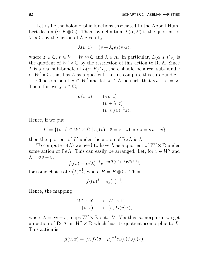Let  $e_{\lambda}$  be the holomorphic functions associated to the Appell-Humbert datum  $(\alpha, F \otimes \mathbb{C})$ . Then, by definition,  $L(\alpha, F)$  is the quotient of  $V \times \mathbb{C}$  by the action of  $\Lambda$  given by

$$
\lambda(v, z) = (v + \lambda, e_{\lambda}(v)z),
$$

where  $z \in \mathbb{C}$ ,  $v \in V = W \otimes \mathbb{C}$  and  $\lambda \in \Lambda$ . In particular,  $L(\alpha, F)|_{X_s}$  is the quotient of  $W' \times \mathbb{C}$  by the restriction of this action to ReA. Since L is a real sub-bundle of  $L(\alpha, F)$ , there should be a real sub-bundle of  $W' \times \mathbb{C}$  that has L as a quotient. Let us compute this sub-bundle.

Choose a point  $v \in W'$  and let  $\lambda \in \Lambda$  be such that  $\sigma v - v = \lambda$ . Then, for every  $z \in \mathbb{C}$ ,

$$
\sigma(v, z) = (\sigma v, \overline{z})
$$
  
=  $(v + \lambda, \overline{z})$   
=  $(v, e_{\lambda}(v)^{-1}\overline{z}).$ 

Hence, if we put

$$
L' = \{(v, z) \in W' \times \mathbb{C} \mid e_{\lambda}(v)^{-1}\overline{z} = z, \text{ where } \lambda = \sigma v - v\}
$$

then the quotient of  $L'$  under the action of Re  $\Lambda$  is  $L$ .

To compute  $w(L)$  we need to have L as a quotient of  $W' \times \mathbb{R}$  under some action of ReΛ. This can easily be arranged. Let, for  $v \in W'$  and  $\lambda = \sigma v - v,$ 

$$
f_{\lambda}(v) = \alpha(\lambda)^{-\frac{1}{2}} e^{-\frac{1}{2}\pi H(v,\lambda) - \frac{1}{4}\pi H(\lambda,\lambda)},
$$

for some choice of  $\alpha(\lambda)^{-\frac{1}{2}}$ , where  $H = F \otimes \mathbb{C}$ . Then,

$$
f_{\lambda}(v)^2 = e_{\lambda}(v)^{-1}.
$$

Hence, the mapping

$$
W' \times \mathbb{R} \longrightarrow W' \times \mathbb{C}
$$
  
 $(v, x) \longmapsto (v, f_{\lambda}(v)x),$ 

where  $\lambda = \sigma v - v$ , maps  $W' \times \mathbb{R}$  onto L'. Via this isomorphism we get an action of Re  $\Lambda$  on  $W' \times \mathbb{R}$  which has its quotient isomorphic to L. This action is

$$
\mu(v, x) = (v, f_\lambda(v + \mu)^{-1} e_\mu(v) f_\lambda(v) x),
$$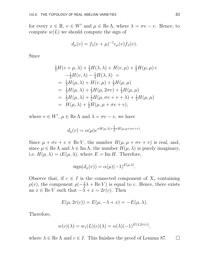for every  $x \in \mathbb{R}$ ,  $v \in W'$  and  $\mu \in \text{Re }\Lambda$ , where  $\lambda = \sigma v - v$ . Hence, to compute  $w(L)$  we should compute the sign of

$$
d_{\mu}(v) = f_{\lambda}(v + \mu)^{-1} e_{\mu}(v) f_{\lambda}(v).
$$

Since

$$
\frac{1}{2}H(v + \mu, \lambda) + \frac{1}{4}H(\lambda, \lambda) + H(v, \mu) + \frac{1}{2}H(\mu, \mu) +
$$
\n
$$
-\frac{1}{2}H(v, \lambda) - \frac{1}{4}H(\lambda, \lambda) =
$$
\n
$$
= \frac{1}{2}H(\mu, \lambda) + H(v, \mu) + \frac{1}{2}H(\mu, \mu)
$$
\n
$$
= \frac{1}{2}H(\mu, \lambda) + \frac{1}{2}H(\mu, 2\sigma v) + \frac{1}{2}H(\mu, \mu)
$$
\n
$$
= \frac{1}{2}H(\mu, \lambda) + \frac{1}{2}H(\mu, \sigma v + v + \lambda) + \frac{1}{2}H(\mu, \mu)
$$
\n
$$
= H(\mu, \lambda) + \frac{1}{2}H(\mu, \mu + \sigma v + v),
$$

where  $v \in W'$ ,  $\mu \in \text{Re }\Lambda$  and  $\lambda = \sigma v - v$ , we have

$$
d_{\mu}(v) = \alpha(\mu) e^{\pi H(\mu,\lambda) + \frac{1}{2}\pi H(\mu,\mu + \sigma v + v)}.
$$

Since  $\mu + \sigma v + v \in \text{Re } V$ , the number  $H(\mu, \mu + \sigma v + v)$  is real, and, since  $\mu \in \text{Re }\Lambda$  and  $\lambda \in \text{Im }\Lambda$ , the number  $H(\mu, \lambda)$  is purely imaginary, i.e.  $H(\mu, \lambda) = iE(\mu, \lambda)$ , where  $E = \text{Im } H$ . Therefore,

$$
sign(d_{\mu}(v)) = \alpha(\mu)(-1)^{E(\mu,\lambda)}.
$$

Observe that, if  $c \in I$  is the connected component of  $X_s$  containing  $\rho(v)$ , the component  $\rho(-\frac{1}{2})$  $\frac{1}{2}\lambda + \text{Re } V$  is equal to c. Hence, there exists an  $x \in \text{Re } V$  such that  $-\lambda + x = 2r(c)$ . Then

$$
E(\mu, 2r(c)) = E(\mu, -\lambda + x) = -E(\mu, \lambda).
$$

Therefore,

$$
w(c)(\lambda) = w_1(L)(c)(\lambda) = \alpha(\lambda)(-1)^{E(\lambda, 2r(c))},
$$

where  $\lambda \in \text{Re }\Lambda$  and  $c \in I$ . This finishes the proof of Lemma 87.  $\Box$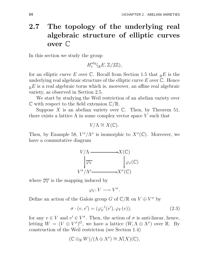## 2.7 The topology of the underlying real algebraic structure of elliptic curves over C

In this section we study the group

 $H_1^{alg}$  $_{1}^{aug}(_{\mathbb{R}}E, \mathbb{Z}/2\mathbb{Z}),$ 

for an elliptic curve E over C. Recall from Section 1.5 that  $_{\mathbb{R}}E$  is the underlying real algebraic structure of the elliptic curve  $E$  over  $\mathbb C$ . Hence  $E_{\mathbb{R}}E$  is a real algebraic torus which is, moreover, an affine real algebraic variety, as observed in Section 2.5.

We start by studying the Weil restriction of an abelian variety over  $\mathbb C$  with respect to the field extension  $\mathbb C/\mathbb R$ .

Suppose X is an abelian variety over  $\mathbb C$ . Then, by Theorem 51, there exists a lattice  $\Lambda$  in some complex vector space V such that

$$
V/\Lambda \cong X(\mathbb{C}).
$$

Then, by Example 58,  $V^{\sigma}/\Lambda^{\sigma}$  is isomorphic to  $X^{\sigma}(\mathbb{C})$ . Moreover, we have a commutative diagram



where  $\overline{\varphi_V}$  is the mapping induced by

$$
\varphi_V\hbox{:}\ V\longrightarrow V^\sigma.
$$

Define an action of the Galois group  $G$  of  $\mathbb{C}/\mathbb{R}$  on  $V \oplus V^{\sigma}$  by

$$
\sigma \cdot (v, v') = (\varphi_V^{-1}(v'), \varphi_V(v)), \qquad (2.3)
$$

for any  $v \in V$  and  $v' \in V^{\sigma}$ . Then, the action of  $\sigma$  is anti-linear, hence, letting  $W = (V \oplus V^{\sigma})^G$ , we have a lattice  $(W, \Lambda \oplus \Lambda^{\sigma})$  over R. By construction of the Weil restriction (see Section 1.4)

$$
(\mathbb{C} \otimes_{\mathbb{R}} W)/(\Lambda \oplus \Lambda^{\sigma}) \cong \mathcal{N}(X)(\mathbb{C}),
$$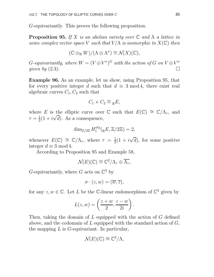G-equivariantly. This proves the following proposition.

**Proposition 95.** If X is an abelian variety over  $\mathbb C$  and  $\Lambda$  a lattice in some complex vector space V such that  $V/\Lambda$  is isomorphic to  $X(\mathbb{C})$  then

$$
(\mathbb{C} \otimes_{\mathbb{R}} W)/(\Lambda \oplus \Lambda^{\sigma}) \cong \mathcal{N}(X)(\mathbb{C}),
$$

G-equivariantly, where  $W = (V \oplus V^{\sigma})^G$  with the action of G on  $V \oplus V^{\sigma}$ given by  $(2.3)$ .

Example 96. As an example, let us show, using Proposition 95, that for every positive integer d such that  $d \equiv 3 \mod 4$ , there exist real algebraic curves  $C_1, C_2$  such that

$$
C_1 \times C_2 \cong {}_{\mathbb{R}}E,
$$

where E is the elliptic curve over  $\mathbb C$  such that  $E(\mathbb C) \cong \mathbb C/\Lambda_\tau$ , and  $\tau = \frac{1}{2}$  $\frac{1}{2}(1+i\sqrt{d})$ . As a consequence,

$$
\dim_{\mathbb{Z}/2\mathbb{Z}} H_1^{alg}({}_{\mathbb{R}}E, \mathbb{Z}/2\mathbb{Z}) = 2,
$$

whenever  $E(\mathbb{C}) \cong \mathbb{C}/\Lambda_{\tau}$ , where  $\tau = \frac{1}{2}$  $\frac{1}{2}(1 + i\sqrt{d})$ , for some positive integer  $d \equiv 3 \mod 4$ .

According to Proposition 95 and Example 58,

$$
\mathcal{N}(E)(\mathbb{C}) \cong \mathbb{C}^2/\Lambda_\tau \oplus \overline{\Lambda_\tau},
$$

G-equivariantly, where G acts on  $\mathbb{C}^2$  by

$$
\sigma\cdot(z,w)=(\overline{w},\overline{z}),
$$

for any  $z, w \in \mathbb{C}$ . Let L be the C-linear endomorphism of  $\mathbb{C}^2$  given by

$$
L(z, w) = \left(\frac{z+w}{2}, \frac{z-w}{2i}\right).
$$

Then, taking the domain of L equipped with the action of G defined above, and the codomain of  $L$  equipped with the standard action of  $G$ , the mapping  $L$  is  $G$ -equivariant. In particular,

$$
\mathcal{N}(E)(\mathbb{C}) \cong \mathbb{C}^2/\Lambda,
$$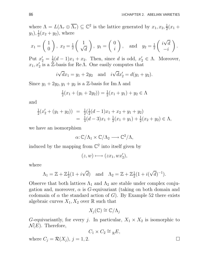where  $\Lambda = L(\Lambda_{\tau} \oplus \overline{\Lambda_{\tau}}) \subseteq \mathbb{C}^2$  is the lattice generated by  $x_1, x_2, \frac{1}{2}$  $rac{1}{2}(x_1 +$  $y_1), \frac{1}{2}$  $\frac{1}{2}(x_2 + y_2)$ , where

$$
x_1 = \begin{pmatrix} 1 \\ 0 \end{pmatrix}
$$
,  $x_2 = \frac{1}{2} \begin{pmatrix} 1 \\ \sqrt{d} \end{pmatrix}$ ,  $y_1 = \begin{pmatrix} 0 \\ i \end{pmatrix}$ , and  $y_2 = \frac{1}{2} \begin{pmatrix} i\sqrt{d} \\ -i \end{pmatrix}$ .

Put  $x_2'=\frac{1}{2}$  $\frac{1}{2}(d-1)x_1+x_2$ . Then, since d is odd,  $x'_2 \in \Lambda$ . Moreover,  $x_1, x_2'$  is a Z-basis for Re $\Lambda$ . One easily computes that

$$
i\sqrt{d}x_1 = y_1 + 2y_2
$$
 and  $i\sqrt{d}x'_2 = d(y_1 + y_2)$ .

Since  $y_1 + 2y_2, y_1 + y_2$  is a Z-basis for Im  $\Lambda$  and

$$
\frac{1}{2}(x_1 + (y_1 + 2y_2)) = \frac{1}{2}(x_1 + y_1) + y_2 \in \Lambda
$$

and

$$
\frac{1}{2}(x_2' + (y_1 + y_2)) = \frac{1}{2}(\frac{1}{2}(d-1)x_1 + x_2 + y_1 + y_2)
$$
  
=  $\frac{1}{4}(d-3)x_1 + \frac{1}{2}(x_1 + y_1) + \frac{1}{2}(x_2 + y_2) \in \Lambda$ ,

we have an isomorphism

$$
\alpha: \mathbb{C}/\Lambda_1 \times \mathbb{C}/\Lambda_2 \longrightarrow \mathbb{C}^2/\Lambda,
$$

induced by the mapping from  $\mathbb{C}^2$  into itself given by

$$
(z, w) \longmapsto (zx_1, wx_2'),
$$

where

$$
\Lambda_1 = \mathbb{Z} + \mathbb{Z}_2^1(1 + i\sqrt{d}) \quad \text{and} \quad \Lambda_2 = \mathbb{Z} + \mathbb{Z}_2^1(1 + i(\sqrt{d})^{-1}).
$$

Observe that both lattices  $\Lambda_1$  and  $\Lambda_2$  are stable under complex conjugation and, moreover,  $\alpha$  is G-equivariant (taking on both domain and codomain of  $\alpha$  the standard action of G). By Example 52 there exists algebraic curves  $X_1, X_2$  over  $\mathbb R$  such that

$$
X_j(\mathbb{C}) \cong \mathbb{C}/\Lambda_j
$$

G-equivariantly, for every j. In particular,  $X_1 \times X_2$  is isomorphic to  $\mathcal{N}(E)$ . Therefore,

$$
C_1 \times C_2 \cong {}_{\mathbb{R}}E,
$$
  
where  $C_j = \mathcal{R}(X_j)$ ,  $j = 1, 2$ .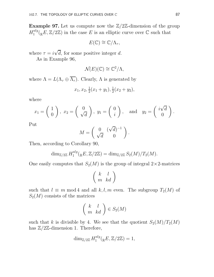**Example 97.** Let us compute now the  $\mathbb{Z}/2\mathbb{Z}$ -dimension of the group  $H_1^{alg}$  $\mathbb{C}^{alg}_{1}(\mathbb{R}E, \mathbb{Z}/2\mathbb{Z})$  in the case E is an elliptic curve over  $\mathbb{C}$  such that

 $E(\mathbb{C}) \cong \mathbb{C}/\Lambda_{\tau},$ 

where  $\tau = i\sqrt{d}$ , for some positive integer d.

As in Example 96,

$$
\mathcal{N}(E)(\mathbb{C}) \cong \mathbb{C}^2/\Lambda,
$$

where  $\Lambda = L(\Lambda_{\tau} \oplus \overline{\Lambda_{\tau}})$ . Clearly,  $\Lambda$  is generated by

$$
x_1, x_2, \frac{1}{2}(x_1+y_1), \frac{1}{2}(x_2+y_2),
$$

where

$$
x_1 = \begin{pmatrix} 1 \\ 0 \end{pmatrix}, x_2 = \begin{pmatrix} 0 \\ \sqrt{d} \end{pmatrix}, y_1 = \begin{pmatrix} 0 \\ i \end{pmatrix}, \text{ and } y_2 = \begin{pmatrix} i\sqrt{d} \\ 0 \end{pmatrix}.
$$

Put

$$
M = \begin{pmatrix} 0 & (\sqrt{d})^{-1} \\ \sqrt{d} & 0 \end{pmatrix}.
$$

Then, according to Corollary 90,

$$
\dim_{\mathbb{Z}/2\mathbb{Z}} H_1^{alg}({}_{\mathbb{R}}E, \mathbb{Z}/2\mathbb{Z}) = \dim_{\mathbb{Z}/2\mathbb{Z}} S_2(M)/T_2(M).
$$

One easily computes that  $S_2(M)$  is the group of integral  $2\times 2$ -matrices

$$
\left(\begin{array}{cc} k & l \\ m & kd \end{array}\right)
$$

such that  $l \equiv m \mod 4$  and all k, l, m even. The subgroup  $T_2(M)$  of  $S_2(M)$  consists of the matrices

$$
\left(\begin{array}{cc} k & l \\ m & kd \end{array}\right) \in S_2(M)
$$

such that k is divisible by 4. We see that the quotient  $S_2(M)/T_2(M)$ has  $\mathbb{Z}/2\mathbb{Z}$ -dimension 1. Therefore,

$$
\dim_{\mathbb{Z}/2\mathbb{Z}} H_1^{alg}({}_{\mathbb{R}}E, \mathbb{Z}/2\mathbb{Z}) = 1,
$$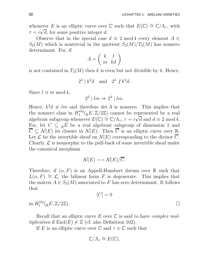whenever E is an elliptic curve over  $\mathbb C$  such that  $E(\mathbb C) \cong \mathbb C/\Lambda_{\tau}$ , with  $\tau = i\sqrt{d}$ , for some positive integer d.

Observe that in the special case  $d \equiv 2 \mod 4$  every element  $A \in$  $S_2(M)$  which is nontrivial in the quotient  $S_2(M)/T_2(M)$  has nonzero determinant. For, if

$$
A=\left(\begin{array}{cc} k & l \\ m & kd \end{array}\right)
$$

is not contained in  $T_2(M)$  then k is even but not divisible by 4. Hence,

$$
2^3 \mid k^2d \quad \text{and} \quad 2^4 \not| k^2d.
$$

Since  $l \equiv m \mod 4$ ,

$$
2^3 \mid lm \Rightarrow 2^4 \mid lm.
$$

Hence,  $k^2d \neq lm$  and therefore det A is nonzero. This implies that the nonzero class in  $H_1^{alg}$  $1^{\text{alg}}({}_{\mathbb{R}}E,\mathbb{Z}/2\mathbb{Z})$  cannot be represented by a real algebraic subgroup whenever  $E(\mathbb{C}) \cong \mathbb{C}/\Lambda_{\tau}$ ,  $\tau = i\sqrt{d}$  and  $d \equiv 2 \mod 4$ . For, let  $C \subseteq {}_{\mathbb{R}}E$  be a real algebraic subgroup of dimension 1 and  $\overline{C} \subseteq \mathcal{N}(E)$  its closure in  $\mathcal{N}(E)$ . Then  $\overline{C}$  is an elliptic curve over  $\mathbb{R}$ . Let  $\mathcal L$  be the invertible sheaf on  $\mathcal N(E)$  corresponding to the divisor  $\overline{C}$ . Clearly,  $\mathcal L$  is isomorphic to the pull-back of some invertible sheaf under the canonical morphism

$$
\mathcal{N}(E) \longrightarrow \mathcal{N}(E)/\overline{C}.
$$

Therefore, if  $(\alpha, F)$  is an Appell-Humbert datum over R such that  $L(\alpha, F) \cong \mathcal{L}$ , the bilinear form F is degenerate. This implies that the matrix  $A \in S_2(M)$  associated to F has zero determinant. It follows that

$$
[C] = 0
$$

in  $H_1^{alg}$  $\mathbb{L}^{alg}(\mathbb{R}E, \mathbb{Z}/2\mathbb{Z}).$ 

Recall that an elliptic curve E over  $\mathbb C$  is said to have *complex multiplication* if  $\text{End}(E) \neq \mathbb{Z}$  (cf. also Definition 102).

If E is an elliptic curve over  $\mathbb C$  and  $\tau \in \mathbb C$  such that

$$
\mathbb{C}/\Lambda_{\tau}\cong E(\mathbb{C}),
$$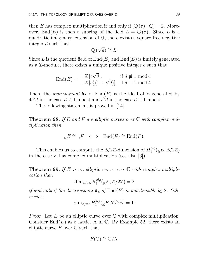then E has complex multiplication if and only if  $[\mathbb{Q}(\tau):\mathbb{Q}] = 2$ . Moreover,  $\text{End}(E)$  is then a subring of the field  $L = \mathbb{Q}(\tau)$ . Since L is a quadratic imaginary extension of Q, there exists a square-free negative integer d such that

$$
\mathbb{Q}(\sqrt{d}) \cong L.
$$

Since L is the quotient field of  $End(E)$  and  $End(E)$  is finitely generated as a  $\mathbb{Z}$ -module, there exists a unique positive integer c such that

$$
\text{End}(E) = \begin{cases} \mathbb{Z} [c\sqrt{d}], & \text{if } d \not\equiv 1 \text{ mod } 4\\ \mathbb{Z} [c_2^1(1+\sqrt{d})], & \text{if } d \equiv 1 \text{ mod } 4 \end{cases}
$$

Then, the *discriminant*  $\mathfrak{d}_{\mathfrak{E}}$  of End(E) is the ideal of Z generated by  $4c^2d$  in the case  $d \not\equiv 1 \mod 4$  and  $c^2d$  in the case  $d \equiv 1 \mod 4$ .

The following statement is proved in [14].

**Theorem 98.** If E and F are elliptic curves over  $\mathbb C$  with complex multiplication then

$$
{}_{\mathbb{R}}E \cong {}_{\mathbb{R}}F \iff \operatorname{End}(E) \cong \operatorname{End}(F).
$$

This enables us to compute the  $\mathbb{Z}/2\mathbb{Z}$ -dimension of  $H_1^{alg}$  $\frac{alg}{1}$ ( $_{\mathbb{R}}E$ , Z/2Z) in the case  $E$  has complex multiplication (see also [6]).

**Theorem 99.** If E is an elliptic curve over  $\mathbb C$  with complex multiplication then

$$
\dim_{\mathbb{Z}/2\mathbb{Z}} H_1^{alg}(_{\mathbb{R}}E, \mathbb{Z}/2\mathbb{Z}) = 2
$$

if and only if the discriminant  $\mathfrak{d}_{\mathfrak{E}}$  of  $\text{End}(E)$  is not divisible by 2. Otherwise,

$$
\dim_{\mathbb{Z}/2\mathbb{Z}} H_1^{alg}({}_{\mathbb{R}}E, \mathbb{Z}/2\mathbb{Z}) = 1.
$$

*Proof.* Let E be an elliptic curve over  $\mathbb C$  with complex multiplication. Consider End(E) as a lattice  $\Lambda$  in C. By Example 52, there exists an elliptic curve F over  $\mathbb C$  such that

$$
F(\mathbb{C}) \cong \mathbb{C}/\Lambda.
$$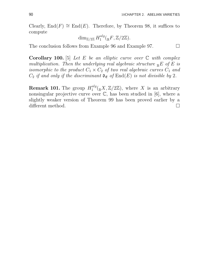Clearly,  $End(F) \cong End(E)$ . Therefore, by Theorem 98, it suffices to compute

$$
\dim_{\mathbb{Z}/2\mathbb{Z}} H_1^{alg}(_{\mathbb{R}}F, \mathbb{Z}/2\mathbb{Z}).
$$

The conclusion follows from Example 96 and Example 97.  $\Box$ 

Corollary 100. [5] Let E be an elliptic curve over  $\mathbb C$  with complex multiplication. Then the underlying real algebraic structure  $_{\mathbb{R}}E$  of E is isomorphic to the product  $C_1 \times C_2$  of two real algebraic curves  $C_1$  and  $C_2$  if and only if the discriminant  $\mathfrak{d}_{\mathfrak{E}}$  of  $\text{End}(E)$  is not divisible by 2.

**Remark 101.** The group  $H_1^{alg}$  $\int_1^{aug} ({}_{\mathbb{R}}X, \mathbb{Z}/2\mathbb{Z})$ , where X is an arbitrary nonsingular projective curve over  $\mathbb{C}$ , has been studied in [6], where a slightly weaker version of Theorem 99 has been proved earlier by a different method.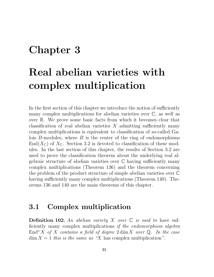## Chapter 3

# Real abelian varieties with complex multiplication

In the first section of this chapter we introduce the notion of sufficiently many complex multiplications for abelian varieties over  $\mathbb{C}$ , as well as over R. We prove some basic facts from which it becomes clear that classification of real abelian varieties  $X$  admitting sufficiently many complex multiplications is equivalent to classification of so-called Galois  $B$ -modules, where  $B$  is the center of the ring of endomorphisms  $\text{End}(X_{\mathbb{C}})$  of  $X_{\mathbb{C}}$ . Section 3.2 is devoted to classification of these modules. In the last section of this chapter, the results of Section 3.2 are used to prove the classification theorem about the underlying real algebraic structure of abelian varieties over  $\mathbb C$  having sufficiently many complex multiplications (Theorem 136) and the theorem concerning the problem of the product structure of simple abelian varieties over C having sufficiently many complex multiplications (Theorem 140). Theorems 136 and 140 are the main theorems of this chapter.

#### 3.1 Complex multiplication

**Definition 102.** An abelian variety X over  $\mathbb C$  is said to have sufficiently many complex multiplications if the endomorphism algebra End<sup>o</sup> X of X contains a field of degree  $2 \dim X$  over Q. In the case  $\dim X = 1$  this is the same as "X has complex multiplication".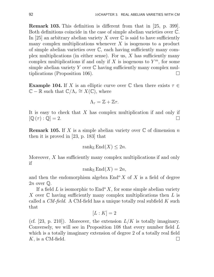Remark 103. This definition is different from that in [25, p. 399]. Both definitions coincide in the case of simple abelian varieties over C. In [25] an arbitrary abelian variety X over  $\mathbb C$  is said to have sufficiently many complex multiplications whenever  $X$  is isogenous to a product of simple abelian varieties over C, each having sufficiently many complex multiplications (in either sense). For us,  $X$  has sufficiently many complex multiplications if and only if X is isogenous to  $Y^m$ , for some simple abelian variety Y over  $\mathbb C$  having sufficiently many complex multiplications (Proposition 106).

**Example 104.** If X is an elliptic curve over  $\mathbb C$  then there exists  $\tau \in$  $\mathbb{C} - \mathbb{R}$  such that  $\mathbb{C}/\Lambda_{\tau} \cong X(\mathbb{C})$ , where

$$
\Lambda_\tau = \mathbb{Z} + \mathbb{Z}\tau.
$$

It is easy to check that X has complex multiplication if and only if  $[\mathbb{Q}(\tau) : \mathbb{Q}] = 2.$ 

**Remark 105.** If X is a simple abelian variety over  $\mathbb C$  of dimension n then it is proved in [23, p. 183] that

$$
rank_{\mathbb{Z}}\mathrm{End}(X)\leq 2n.
$$

Moreover, X has sufficiently many complex multiplications if and only if

$$
\operatorname{rank}_{\mathbb{Z}} \operatorname{End}(X) = 2n,
$$

and then the endomorphism algebra  $\text{End}^{\text{o}} X$  of X is a field of degree  $2n$  over  $\mathbb{Q}$ .

If a field L is isomorphic to  $\text{End}^{\text{o}} X$ , for some simple abelian variety X over  $\mathbb C$  having sufficiently many complex multiplications then  $L$  is called a  $CM$ -field. A CM-field has a unique totally real subfield K such that

$$
[L:K]=2
$$

(cf. [23, p. 210]). Moreover, the extension  $L/K$  is totally imaginary. Conversely, we will see in Proposition 108 that every number field L which is a totally imaginary extension of degree 2 of a totally real field K, is a CM-field.  $\square$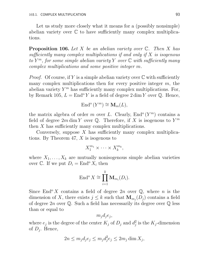Let us study more closely what it means for a (possibly nonsimple) abelian variety over C to have sufficiently many complex multiplications.

**Proposition 106.** Let X be an abelian variety over  $\mathbb{C}$ . Then X has sufficiently many complex multiplications if and only if X is isogenous to  $Y^m$ , for some simple abelian variety Y over  $\mathbb C$  with sufficiently many complex multiplications and some positive integer m.

*Proof.* Of course, if Y is a simple abelian variety over  $\mathbb C$  with sufficiently many complex multiplications then for every positive integer  $m$ , the abelian variety  $Y^m$  has sufficiently many complex multiplications. For, by Remark 105,  $L = \text{End}^{\circ} Y$  is a field of degree  $2 \dim Y$  over  $\mathbb{Q}$ . Hence,

$$
\text{End}^{\text{o}}\left(Y^{m}\right) \cong \mathbf{M}_{m}(L),
$$

the matrix algebra of order m over L. Clearly,  $\text{End}^{\text{o}}(Y^m)$  contains a field of degree  $2m \dim Y$  over Q. Therefore, if X is isogenous to  $Y^m$ then X has sufficiently many complex multiplications.

Conversely, suppose  $X$  has sufficiently many complex multiplications. By Theorem 47, X is isogenous to

$$
X_1^{m_1} \times \cdots \times X_k^{m_k},
$$

where  $X_1, \ldots, X_k$  are mutually nonisogenous simple abelian varieties over C. If we put  $D_i = \text{End}^{\text{o}} X_i$  then

$$
\mathrm{End}^{\mathrm{o}} X \cong \prod_{i=1}^{k} \mathbf{M}_{m_i}(D_i).
$$

Since End<sup>o</sup> X contains a field of degree 2n over  $\mathbb{Q}$ , where n is the dimension of X, there exists  $j \leq k$  such that  $\mathbf{M}_{m_j}(D_j)$  contains a field of degree  $2n$  over  $\mathbb Q$ . Such a field has necessarily its degree over  $\mathbb Q$  less than or equal to

 $m_jd_je_j,$ 

where  $e_j$  is the degree of the center  $K_j$  of  $D_j$  and  $d_j^2$  $j^2_j$  is the  $K_j$ -dimension of  $D_j$ . Hence,

$$
2n \le m_j d_j e_j \le m_j d_j^2 e_j \le 2m_j \dim X_j,
$$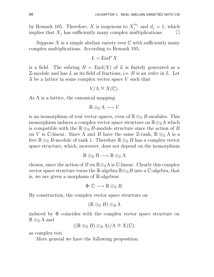by Remark 105. Therefore, X is isogenous to  $X_j^{m_j}$  $j^{m_j}$  and  $d_j = 1$ , which implies that  $X_j$  has sufficiently many complex multiplications.  $\Box$ 

Suppose X is a simple abelian variety over  $\mathbb C$  with sufficiently many complex multiplications. According to Remark 105,

$$
L=\operatorname{End}^{\rm o} X
$$

is a field. The subring  $B = \text{End}(X)$  of L is finitely generated as a  $\mathbb{Z}\text{-module}$  and has L as its field of fractions, i.e. B is an order in L. Let  $\Lambda$  be a lattice in some complex vector space V such that

$$
V/\Lambda \cong X(\mathbb{C}).
$$

As  $\Lambda$  is a lattice, the canonical mapping

 $\mathbb{R} \otimes_{\mathbb{Z}} \Lambda \longrightarrow V$ 

is an isomorphism of real vector spaces, even of  $\mathbb{R} \otimes_{\mathbb{Z}} B$ -modules. This isomorphism induces a complex vector space structure on  $\mathbb{R} \otimes_{\mathbb{Z}} \Lambda$  which is compatible with the  $\mathbb{R} \otimes_{\mathbb{Z}} B$ -module structure since the action of B on V is C-linear. Since  $\Lambda$  and  $B$  have the same Z-rank,  $\mathbb{R} \otimes_{\mathbb{Z}} \Lambda$  is a free  $\mathbb{R} \otimes_{\mathbb{Z}} B$ -module of rank 1. Therefore  $\mathbb{R} \otimes_{\mathbb{Z}} B$  has a complex vector space structure, which, moreover, does not depend on the isomorphism

$$
\mathbb{R} \otimes_{\mathbb{Z}} B \longrightarrow \mathbb{R} \otimes_{\mathbb{Z}} \Lambda
$$

chosen, since the action of B on  $\mathbb{R} \otimes_{\mathbb{Z}} \Lambda$  is C-linear. Clearly this complex vector space structure turns the R-algebra  $\mathbb{R} \otimes_{\mathbb{Z}} B$  into a C-algebra, that is, we are given a morphism of R-algebras

$$
\Phi: \mathbb{C} \longrightarrow \mathbb{R} \otimes_{\mathbb{Z}} B.
$$

By construction, the complex vector space structure on

$$
(\mathbb{R} \otimes_{\mathbb{Z}} B) \otimes_B \Lambda
$$

induced by  $\Phi$  coincides with the complex vector space structure on  $\mathbb{R} \otimes_{\mathbb{Z}} \Lambda$  and

$$
((\mathbb{R} \otimes_{\mathbb{Z}} B) \otimes_B \Lambda)/\Lambda \cong X(\mathbb{C}),
$$

as complex tori.

More general we have the following proposition.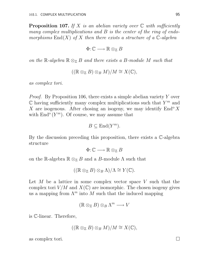**Proposition 107.** If X is an abelian variety over  $\mathbb C$  with sufficiently many complex multiplications and B is the center of the ring of endomorphisms  $\text{End}(X)$  of X then there exists a structure of a  $\mathbb{C}\text{-}algebra$ 

$$
\Phi \colon \mathbb{C} \longrightarrow \mathbb{R} \otimes_{\mathbb{Z}} B
$$

on the R-algebra  $\mathbb{R} \otimes_{\mathbb{Z}} B$  and there exists a B-module M such that

$$
((\mathbb{R} \otimes_{\mathbb{Z}} B) \otimes_{B} M)/M \cong X(\mathbb{C}),
$$

as complex tori.

Proof. By Proposition 106, there exists a simple abelian variety Y over  $\mathbb C$  having sufficiently many complex multiplications such that  $Y^m$  and X are isogenous. After chosing an isogeny, we may identify  $\text{End}^{\text{o}} X$ with  $\text{End}^{\text{o}}(Y^m)$ . Of course, we may assume that

$$
B \subseteq \mathrm{End}(Y^m).
$$

By the discussion preceding this proposition, there exists a C-algebra structure

$$
\Phi\colon\mathbb{C}\longrightarrow\mathbb{R}\otimes_{\mathbb{Z}}B
$$

on the R-algebra  $\mathbb{R} \otimes_{\mathbb{Z}} B$  and a B-module  $\Lambda$  such that

$$
((\mathbb{R} \otimes_{\mathbb{Z}} B) \otimes_B \Lambda)/\Lambda \cong Y(\mathbb{C}).
$$

Let  $M$  be a lattice in some complex vector space  $V$  such that the complex tori  $V/M$  and  $X(\mathbb{C})$  are isomorphic. The chosen isogeny gives us a mapping from  $\Lambda^m$  into M such that the induced mapping

$$
(\mathbb{R} \otimes_{\mathbb{Z}} B) \otimes_B \Lambda^m \longrightarrow V
$$

is C-linear. Therefore,

$$
((\mathbb{R} \otimes_{\mathbb{Z}} B) \otimes_{B} M)/M \cong X(\mathbb{C}),
$$

as complex tori.  $\Box$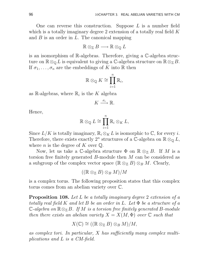One can reverse this construction. Suppose  $L$  is a number field which is a totally imaginary degree 2 extension of a totally real field K and  $B$  is an order in  $L$ . The canonical mapping

$$
\mathbb{R} \otimes_{\mathbb{Z}} B \longrightarrow \mathbb{R} \otimes_{\mathbb{Q}} L
$$

is an isomorphism of R-algebras. Therefore, giving a C-algebra structure on  $\mathbb{R} \otimes_{\mathbb{Q}} L$  is equivalent to giving a C-algebra structure on  $\mathbb{R} \otimes_{\mathbb{Z}} B$ . If  $\sigma_1, \ldots, \sigma_n$  are the embeddings of K into R then

$$
\mathbb{R} \otimes_{\mathbb{Q}} K \cong \prod_{i=1}^n \mathbb{R}_i,
$$

as R-algebras, where  $\mathbb{R}_i$  is the K algebra

$$
K \xrightarrow{\sigma_i} \mathbb{R}.
$$

Hence,

$$
\mathbb{R} \otimes_{\mathbb{Q}} L \cong \prod_{i=1}^{n} \mathbb{R}_{i} \otimes_{K} L,
$$

Since  $L/K$  is totally imaginary,  $\mathbb{R}_i \otimes_K L$  is isomorphic to  $\mathbb{C}$ , for every i. Therefore, there exists exactly  $2^n$  structures of a C-algebra on  $\mathbb{R} \otimes_{\mathbb{Q}} L$ , where *n* is the degree of K over  $\mathbb{Q}$ .

Now, let us take a C-algebra structure  $\Phi$  on  $\mathbb{R} \otimes_{\mathbb{Z}} B$ . If M is a torsion free finitely generated B-module then M can be considered as a subgroup of the complex vector space  $(\mathbb{R} \otimes_{\mathbb{Z}} B) \otimes_{B} M$ . Clearly,

$$
((\mathbb{R} \otimes_{\mathbb{Z}} B) \otimes_{B} M)/M
$$

is a complex torus. The following proposition states that this complex torus comes from an abelian variety over C.

Proposition 108. Let L be a totally imaginary degree 2 extension of a totally real field K and let B be an order in L. Let  $\Phi$  be a structure of a  $\mathbb{C}\text{-}algebra on \mathbb{R} \otimes_{\mathbb{Z}} B$ . If M is a torsion free finitely generated B-module then there exists an abelian variety  $X = X(M, \Phi)$  over  $\mathbb C$  such that

$$
X(\mathbb{C}) \cong ((\mathbb{R} \otimes_{\mathbb{Z}} B) \otimes_{B} M)/M,
$$

as complex tori. In particular, X has sufficiently many complex multiplications and L is a CM-field.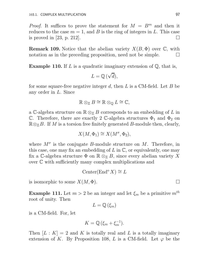*Proof.* It suffices to prove the statement for  $M = B<sup>m</sup>$  and then it reduces to the case  $m = 1$ , and B is the ring of integers in L. This case is proved in [23, p. 212].

**Remark 109.** Notice that the abelian variety  $X(B, \Phi)$  over  $\mathbb{C}$ , with notation as in the preceding proposition, need not be simple.  $\Box$ 

**Example 110.** If L is a quadratic imaginary extension of  $\mathbb{Q}$ , that is,

$$
L=\mathbb{Q}\left(\sqrt{d}\right),
$$

for some square-free negative integer d, then L is a CM-field. Let B be any order in L. Since

$$
\mathbb{R} \otimes_{\mathbb{Z}} B \cong \mathbb{R} \otimes_{\mathbb{Q}} L \cong \mathbb{C},
$$

a C-algebra structure on  $\mathbb{R} \otimes_{\mathbb{Z}} B$  corresponds to an embedding of  $L$  in C. Therefore, there are exactly 2 C-algebra structures  $\Phi_1$  and  $\Phi_2$  on  $\mathbb{R} \otimes_{\mathbb{Z}} B$ . If M is a torsion free finitely generated B-module then, clearly,

$$
X(M, \Phi_1) \cong X(M^{\sigma}, \Phi_2),
$$

where  $M^{\sigma}$  is the conjugate B-module structure on M. Therefore, in this case, one may fix an embedding of  $L$  in  $\mathbb{C}$ , or equivalently, one may fix a C-algebra structure  $\Phi$  on  $\mathbb{R} \otimes_{\mathbb{Z}} B$ , since every abelian variety X over C with sufficiently many complex multiplications and

$$
\operatorname{Center}(\operatorname{End}^{\mathfrak{0}} X) \cong L
$$

is isomorphic to some  $X(M, \Phi)$ .

**Example 111.** Let  $m > 2$  be an integer and let  $\xi_m$  be a primitive  $m^{th}$ root of unity. Then

$$
L=\mathbb{Q}\left( \xi _{m}\right)
$$

is a CM-field. For, let

$$
K=\mathbb{Q}\left(\xi_m+\xi_m^{-1}\right).
$$

Then  $[L: K] = 2$  and K is totally real and L is a totally imaginary extension of K. By Proposition 108, L is a CM-field. Let  $\varphi$  be the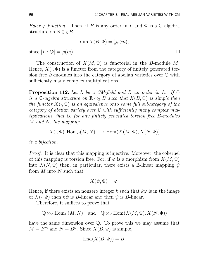Euler  $\varphi$ -function. Then, if B is any order in L and  $\Phi$  is a C-algebra structure on  $\mathbb{R} \otimes_{\mathbb{Z}} B$ ,

$$
\dim X(B, \Phi) = \frac{1}{2}\varphi(m),
$$
  
since  $[L : \mathbb{Q}] = \varphi(m)$ .

The construction of  $X(M, \Phi)$  is functorial in the B-module M. Hence,  $X(\cdot, \Phi)$  is a functor from the category of finitely generated torsion free B-modules into the category of abelian varieties over  $\mathbb C$  with sufficiently many complex multiplications.

**Proposition 112.** Let L be a CM-field and B an order in L. If  $\Phi$ is a C-algebra structure on  $\mathbb{R} \otimes_{\mathbb{Z}} B$  such that  $X(B, \Phi)$  is simple then the functor  $X(\cdot, \Phi)$  is an equivalence onto some full subcategory of the category of abelian variety over  $\mathbb C$  with sufficiently many complex multiplications, that is, for any finitely generated torsion free B-modules M and N, the mapping

$$
X(\cdot, \Phi) : \text{Hom}_B(M, N) \longrightarrow \text{Hom}(X(M, \Phi), X(N, \Phi))
$$

is a bijection.

Proof. It is clear that this mapping is injective. Moreover, the cokernel of this mapping is torsion free. For, if  $\varphi$  is a morphism from  $X(M, \Phi)$ into  $X(N, \Phi)$  then, in particular, there exists a Z-linear mapping  $\psi$ from  $M$  into  $N$  such that

$$
X(\psi, \Phi) = \varphi
$$

Hence, if there exists an nonzero integer k such that  $k\varphi$  is in the image of  $X(\cdot, \Phi)$  then  $k\psi$  is B-linear and then  $\psi$  is B-linear.

Therefore, it suffices to prove that

$$
\mathbb{Q} \otimes_{\mathbb{Z}} \text{Hom}_{B}(M, N) \text{ and } \mathbb{Q} \otimes_{\mathbb{Z}} \text{Hom}(X(M, \Phi), X(N, \Phi))
$$

have the same dimension over Q. To prove this we may assume that  $M = B<sup>m</sup>$  and  $N = B<sup>n</sup>$ . Since  $X(B, \Phi)$  is simple,

$$
End(X(B,\Phi)) = B.
$$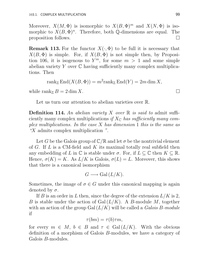Moreover,  $X(M, \Phi)$  is isomorphic to  $X(B, \Phi)^m$  and  $X(N, \Phi)$  is isomorphic to  $X(B, \Phi)^n$ . Therefore, both Q-dimensions are equal. The proposition follows.  $\Box$ 

**Remark 113.** For the functor  $X(\cdot, \Phi)$  to be full it is necessary that  $X(B, \Phi)$  is simple. For, if  $X(B, \Phi)$  is not simple then, by Proposition 106, it is isogenous to  $Y^m$ , for some  $m > 1$  and some simple abelian variety  $Y$  over  $\mathbb C$  having sufficiently many complex multiplications. Then

$$
rank_{\mathbb{Z}} End(X(B, \Phi)) = m^{2} rank_{\mathbb{Z}} End(Y) = 2m \dim X,
$$

while rank  $B = 2 \dim X$ .

Let us turn our attention to abelian varieties over  $\mathbb{R}$ .

**Definition 114.** An abelian variety X over  $\mathbb R$  is said to admit sufficiently many complex multiplications if  $X_{\mathbb{C}}$  has sufficiently many complex multiplications. In the case  $X$  has dimension 1 this is the same as "X admits complex multiplication ".

Let G be the Galois group of  $\mathbb{C}/\mathbb{R}$  and let  $\sigma$  be the nontrivial element of  $G$ . If  $L$  is a CM-field and  $K$  its maximal totally real subfield then any embedding of L in  $\mathbb C$  is stable under  $\sigma$ . For, if  $L \subseteq \mathbb C$  then  $K \subseteq \mathbb R$ . Hence,  $\sigma(K) = K$ . As  $L/K$  is Galois,  $\sigma(L) = L$ . Moreover, this shows that there is a canonical isomorphism

$$
G \longrightarrow \mathrm{Gal}\,(L/K).
$$

Sometimes, the image of  $\sigma \in G$  under this canonical mapping is again denoted by  $\sigma$ .

If B is an order in L then, since the degree of the extension  $L/K$  is 2, B is stable under the action of  $Gal(L/K)$ . A B-module M, together with an action of the group Gal $(L/K)$  will be called a *Galois B-module* if

$$
\tau(bm) = \tau(b)\tau m,
$$

for every  $m \in M$ ,  $b \in B$  and  $\tau \in Gal(L/K)$ . With the obvious definition of a morphism of Galois B-modules, we have a category of Galois B-modules.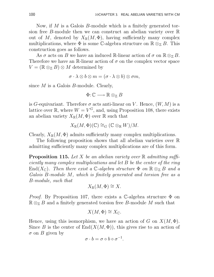Now, if M is a Galois B-module which is a finitely generated torsion free B-module then we can construct an abelian variety over R out of M, denoted by  $X_{\mathbb{R}}(M,\Phi)$ , having sufficiently many complex multiplications, where  $\Phi$  is some C-algebra structure on  $\mathbb{R} \otimes_{\mathbb{Z}} B$ . This construction goes as follows.

As  $\sigma$  acts on B we have an induced R-linear action of  $\sigma$  on  $\mathbb{R} \otimes_{\mathbb{Z}} B$ . Therefore we have an R-linear action of  $\sigma$  on the complex vector space  $V = (\mathbb{R} \otimes_{\mathbb{Z}} B) \otimes M$  determined by

 $\sigma \cdot \lambda \otimes b \otimes m = (\sigma \cdot \lambda \otimes b) \otimes \sigma m,$ 

since M is a Galois B-module. Clearly,

$$
\Phi\colon\! \mathbb{C}\longrightarrow \mathbb{R}\otimes_{\mathbb{Z}} B
$$

is G-equivariant. Therefore  $\sigma$  acts anti-linear on V. Hence,  $(W, M)$  is a lattice over  $\mathbb{R}$ , where  $W = V^G$ , and, using Proposition 108, there exists an abelian variety  $X_{\mathbb{R}}(M, \Phi)$  over  $\mathbb R$  such that

$$
X_{\mathbb{R}}(M,\Phi)(\mathbb{C}) \cong_G (\mathbb{C} \otimes_{\mathbb{R}} W)/M.
$$

Clearly,  $X_{\mathbb{R}}(M, \Phi)$  admits sufficiently many complex multiplications.

The following proposition shows that all abelian varieties over R admitting sufficiently many complex multiplications are of this form.

**Proposition 115.** Let X be an abelian variety over  $\mathbb{R}$  admitting sufficiently many complex multiplications and let B be the center of the ring End( $X_{\mathbb{C}}$ ). Then there exist a C-algebra structure  $\Phi$  on  $\mathbb{R} \otimes_{\mathbb{Z}} B$  and a Galois B-module M, which is finitely generated and torsion free as a B-module, such that

$$
X_{\mathbb{R}}(M,\Phi)\cong X.
$$

*Proof.* By Proposition 107, there exists a C-algebra structure  $\Phi$  on  $\mathbb{R} \otimes_{\mathbb{Z}} B$  and a finitely generated torsion free B-module M such that

$$
X(M, \Phi) \cong X_{\mathbb{C}}.
$$

Hence, using this isomorphism, we have an action of G on  $X(M, \Phi)$ . Since B is the center of  $End(X(M, \Phi))$ , this gives rise to an action of  $\sigma$  on B given by

$$
\sigma \cdot b = \sigma \circ b \circ \sigma^{-1}.
$$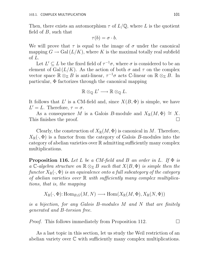Then, there exists an automorphism  $\tau$  of  $L/\mathbb{Q}$ , where L is the quotient field of  $B$ , such that

$$
\tau(b)=\sigma\cdot b.
$$

We will prove that  $\tau$  is equal to the image of  $\sigma$  under the canonical mapping  $G \to \text{Gal}(L/K)$ , where K is the maximal totally real subfield of L.

Let  $L' \subseteq L$  be the fixed field of  $\tau^{-1}\sigma$ , where  $\sigma$  is considered to be an element of Gal( $L/K$ ). As the action of both  $\sigma$  and  $\tau$  on the complex vector space  $\mathbb{R} \otimes_{\mathbb{Z}} B$  is anti-linear,  $\tau^{-1}\sigma$  acts C-linear on  $\mathbb{R} \otimes_{\mathbb{Z}} B$ . In particular, Φ factorizes through the canonical mapping

$$
\mathbb{R} \otimes_{\mathbb{Q}} L' \longrightarrow \mathbb{R} \otimes_{\mathbb{Q}} L.
$$

It follows that L' is a CM-field and, since  $X(B, \Phi)$  is simple, we have  $L' = L$ . Therefore,  $\tau = \sigma$ .

As a consequence M is a Galois B-module and  $X_{\mathbb{R}}(M, \Phi) \cong X$ . This finishes the proof.

Clearly, the construction of  $X_{\mathbb{R}}(M, \Phi)$  is canonical in M. Therefore,  $X_{\mathbb{R}}(\cdot, \Phi)$  is a functor from the category of Galois B-modules into the category of abelian varieties over R admitting sufficiently many complex multiplications.

**Proposition 116.** Let L be a CM-field and B an order in L. If  $\Phi$  is a C-algebra structure on  $\mathbb{R} \otimes_{\mathbb{Z}} B$  such that  $X(B, \Phi)$  is simple then the functor  $X_{\mathbb{R}}(\cdot, \Phi)$  is an equivalence onto a full subcategory of the category of abelian varieties over  $\mathbb R$  with sufficiently many complex multiplications, that is, the mapping

$$
X_{\mathbb{R}}(\cdot, \Phi) : \text{Hom}_{B,G}(M, N) \longrightarrow \text{Hom}(X_{\mathbb{R}}(M, \Phi), X_{\mathbb{R}}(N, \Phi))
$$

is a bijection, for any Galois B-modules M and N that are finitely generated and B-torsion free.

*Proof.* This follows immediately from Proposition 112.  $\Box$ 

As a last topic in this section, let us study the Weil restriction of an abelian variety over C with sufficiently many complex multiplications.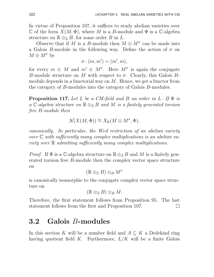In virtue of Proposition 107, it suffices to study abelian varieties over C of the form  $X(M, \Phi)$ , where M is a B-module and  $\Phi$  is a C-algebra structure on  $\mathbb{R} \otimes_{\mathbb{Z}} B$ , for some order B in L.

Observe that if M is a B-module then  $M \oplus M^{\sigma}$  can be made into a Galois B-module in the following way. Define the action of  $\sigma$  on  $M \oplus M^{\sigma}$  by

$$
\sigma \cdot (m, m') = (m', m),
$$

for every  $m \in M$  and  $m' \in M^{\sigma}$ . Here  $M^{\sigma}$  is again the conjugate B-module structure on M with respect to  $\sigma$ . Clearly, this Galois Bmodule depends in a functorial way on  $M$ . Hence, we get a functor from the category of B-modules into the category of Galois B-modules.

**Proposition 117.** Let L be a CM-field and B an order in L. If  $\Phi$  is a C-algebra structure on  $\mathbb{R} \otimes_{\mathbb{Z}} B$  and M is a finitely generated torsion free B-module then

$$
\mathcal{N}(X(M,\Phi)) \cong X_{\mathbb{R}}(M \oplus M^{\sigma}, \Phi),
$$

canonically. In particular, the Weil restriction of an abelian variety over  $\mathbb C$  with sufficiently many complex multiplications is an abelian variety over  $\mathbb R$  admitting sufficiently many complex multiplications.

*Proof.* If  $\Phi$  is a C-algebra structure on  $\mathbb{R} \otimes_{\mathbb{Z}} B$  and M is a finitely generated torsion free B-module then the complex vector space structure on

$$
(\mathbb{R} \otimes_{\mathbb{Z}} B) \otimes_{B} M^{\sigma}
$$

is canonically isomorphic to the conjugate complex vector space structure on

$$
(\mathbb{R} \otimes_{\mathbb{Z}} B) \otimes_{B} M.
$$

Therefore, the first statement follows from Proposition 95. The last statement follows from the first and Proposition 107.

### 3.2 Galois B-modules

In this section K will be a number field and  $A \subseteq K$  a Dedekind ring having quotient field  $K$ . Furthermore,  $L/K$  will be a finite Galois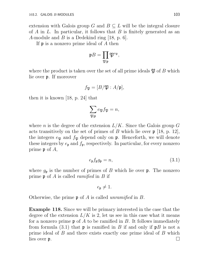extension with Galois group G and  $B \subseteq L$  will be the integral closure of A in L. In particular, it follows that B is finitely generated as an A-module and B is a Dedekind ring  $[18, p. 6]$ .

If p is a nonzero prime ideal of A then

$$
\mathfrak{p}B=\prod_{\mathfrak{P}\mid\mathfrak{p}}\mathfrak{P}^{e_{\mathfrak{P}}},
$$

where the product is taken over the set of all prime ideals  $\mathfrak{P}$  of B which lie over p. If moreover

$$
f_{\mathfrak{P}}=[B/\mathfrak{P}:A/\mathfrak{p}],
$$

then it is known [18, p. 24] that

$$
\sum_{\mathfrak{P}|\mathfrak{p}} e_{\mathfrak{P}} f_{\mathfrak{P}} = n,
$$

where n is the degree of the extension  $L/K$ . Since the Galois group G acts transitively on the set of primes of B which lie over  $p \mid 18$ , p. 12, the integers  $e_{\mathfrak{P}}$  and  $f_{\mathfrak{P}}$  depend only on  $\mathfrak{p}$ . Henceforth, we will denote these integers by  $e_{\mathfrak{p}}$  and  $f_{\mathfrak{p}}$ , respectively. In particular, for every nonzero prime p of A,

$$
e_{\mathfrak{p}}f_{\mathfrak{p}}g_{\mathfrak{p}} = n,\tag{3.1}
$$

where  $g_{\mathfrak{p}}$  is the number of primes of B which lie over  $\mathfrak{p}$ . The nonzero prime  $\mathfrak p$  of A is called *ramified* in B if

$$
e_{\mathfrak{p}}\neq 1.
$$

Otherwise, the prime  $\mathfrak p$  of A is called *unramified* in B.

Example 118. Since we will be primary interested in the case that the degree of the extension  $L/K$  is 2, let us see in this case what it means for a nonzero prime  $\mathfrak p$  of A to be ramified in B. It follows immediately from formula (3.1) that  $\mathfrak p$  is ramified in B if and only if  $\mathfrak pB$  is not a prime ideal of B and there exists exactly one prime ideal of B which lies over  $\mathfrak{p}$ .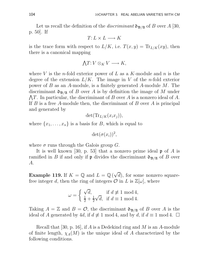Let us recall the definition of the *discriminant*  $\mathfrak{d}_{\mathfrak{B}/\mathfrak{A}}$  of B over A [30, p. 50]. If

$$
T: L \times L \longrightarrow K
$$

is the trace form with respect to  $L/K$ , i.e.  $T(x,y) = \text{Tr}_{L/K}(xy)$ , then there is a canonical mapping

$$
\bigwedge T\hbox{\rm :}\ V\otimes_K V\longrightarrow K,
$$

where V is the *n*-fold exterior power of L as a K-module and n is the degree of the extension  $L/K$ . The image in V of the *n*-fold exterior power of  $B$  as an  $A$ -module, is a finitely generated  $A$ -module  $M$ . The discriminant  $\mathfrak{d}_{\mathfrak{B}/\mathfrak{A}}$  of B over A is by definition the image of M under  $\bigwedge T$ . In particular, the discriminant of B over A is a nonzero ideal of A. If  $B$  is a free A-module then, the discriminant of  $B$  over  $A$  is principal and generated by

$$
\det(\mathrm{Tr}_{L/K}(x_ix_j)),
$$

where  $\{x_1, \ldots, x_n\}$  is a basis for B, which is equal to

$$
\det(\sigma(x_i))^2,
$$

where  $\sigma$  runs through the Galois group G.

It is well known [30, p. 53] that a nonzero prime ideal  $\mathfrak p$  of A is ramified in B if and only if  $\mathfrak p$  divides the discriminant  $\mathfrak d_{\mathfrak B/\mathfrak A}$  of B over A.

**Example 119.** If  $K = \mathbb{Q}$  and  $L = \mathbb{Q}(\sqrt{d})$ , for some nonzero squarefree integer d, then the ring of integers  $\mathcal{O}$  in L is  $\mathbb{Z}[\omega]$ , where

$$
\omega = \begin{cases} \sqrt{d}, & \text{if } d \not\equiv 1 \text{ mod } 4, \\ \frac{1}{2} + \frac{1}{2}\sqrt{d}, & \text{if } d \equiv 1 \text{ mod } 4. \end{cases}
$$

Taking  $A = \mathbb{Z}$  and  $B = \mathcal{O}$ , the discriminant  $\mathfrak{d}_{\mathfrak{B}/\mathfrak{A}}$  of B over A is the ideal of A generated by 4d, if  $d \not\equiv 1 \mod 4$ , and by d, if  $d \equiv 1 \mod 4$ .  $\Box$ 

Recall that [30, p. 16], if  $A$  is a Dedekind ring and  $M$  is an  $A$ -module of finite length,  $\chi_A(M)$  is the unique ideal of A characterized by the following conditions.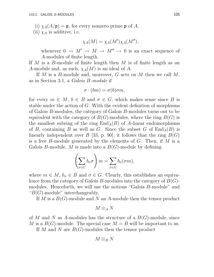(i)  $\chi_A(A/\mathfrak{p}) = \mathfrak{p}$ , for every nonzero prime  $\mathfrak{p}$  of A.

(ii)  $\chi_A$  is additive, i.e.

$$
\chi_A(M) = \chi_A(M') \chi_A(M''),
$$

whenever  $0 \to M' \to M \to M'' \to 0$  is an exact sequence of A-modules of finite length.

If  $M$  is a  $B$ -module of finite length then  $M$  is of finite length as an A-module and, as such,  $\chi_A(M)$  is an ideal of A.

If  $M$  is a  $B$ -module and, moreover,  $G$  acts on  $M$  then we call  $M$ , as in Section 3.1, a Galois B-module if

$$
\sigma \cdot (bm) = \sigma(b)\sigma m,
$$

for every  $m \in M$ ,  $b \in B$  and  $\sigma \in G$ , which makes sense since B is stable under the action of G. With the evident definition of morphisms of Galois B-modules, the category of Galois B-modules turns out to be equivalent with the category of  $B(G)$ -modules, where the ring  $B(G)$  is the smallest subring of the ring  $\text{End}_{A}(B)$  of A-linear endomorphisms of B, containing B as well as G. Since the subset G of  $\text{End}_{A}(B)$  is linearly independent over B [33, p. 90], it follows that the ring  $B(G)$ is a free B-module generated by the elements of  $G$ . Then, if  $M$  is a Galois B-module, M is made into a  $B(G)$ -module by defining

$$
\left(\sum_{\sigma \in G} b_{\sigma} \sigma\right) m = \sum_{\sigma \in G} b_{\sigma}(\sigma m),
$$

where  $m \in M$ ,  $b_{\sigma} \in B$  and  $\sigma \in G$ . Clearly, this establishes an equivalence from the category of Galois B-modules into the category of  $B(G)$ modules. Henceforth, we will use the notions "Galois B-module" and " $B(G)$ -module" interchangeably.

If M is a  $B(G)$ -module and N an A-module then the tensor product

 $M \otimes_A N$ 

of M and N as A-modules has the structure of a  $B(G)$ -module, since M is a  $B(G)$ -module. The special case  $M = B$  will be important to us.

If M and N are  $B(G)$ -modules then the tensor product

$$
M\otimes_B N
$$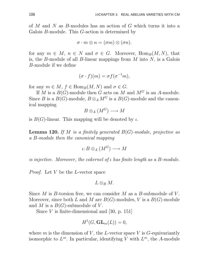of M and N as B-modules has an action of G which turns it into a Galois B-module. This G-action is determined by

$$
\sigma\cdot m\otimes n=(\sigma m)\otimes (\sigma n).
$$

for any  $m \in M$ ,  $n \in N$  and  $\sigma \in G$ . Moreover,  $\text{Hom}_B(M, N)$ , that is, the B-module of all B-linear mappings from  $M$  into  $N$ , is a Galois B-module if we define

$$
(\sigma \cdot f)(m) = \sigma f(\sigma^{-1}m),
$$

for any  $m \in M$ ,  $f \in \text{Hom}_B(M, N)$  and  $\sigma \in G$ .

If M is a  $B(G)$ -module then G acts on M and  $M^G$  is an A-module. Since B is a  $B(G)$ -module,  $B \otimes_A M^G$  is a  $B(G)$ -module and the canonical mapping

$$
B\otimes_A(M^G)\longrightarrow M
$$

is  $B(G)$ -linear. This mapping will be denoted by  $\iota$ .

**Lemma 120.** If M is a finitely generated  $B(G)$ -module, projective as a B-module then the canonical mapping

$$
\iota: B \otimes_A (M^G) \longrightarrow M
$$

is injective. Moreover, the cokernel of ι has finite length as a B-module.

Proof. Let V be the L-vector space

$$
L\otimes_B M.
$$

Since  $M$  is B-torsion free, we can consider  $M$  as a B-submodule of  $V$ . Moreover, since both L and M are  $B(G)$ -modules, V is a  $B(G)$ -module and M is a  $B(G)$ -submodule of V.

Since  $V$  is finite-dimensional and [30, p. 151]

$$
H^1(G, \mathbf{GL}_m(L)) = 0,
$$

where m is the dimension of V, the L-vector space V is  $G$ -equivariantly isomorphic to  $L^m$ . In particular, identifying V with  $L^m$ , the A-module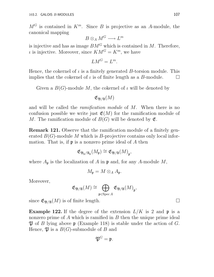$M^G$  is contained in  $K^m$ . Since B is projective as an A-module, the canonical mapping

$$
B\otimes_A M^G\longrightarrow L^m
$$

is injective and has as image  $BM^G$  which is contained in  $M$ . Therefore,  $\iota$  is injective. Moreover, since  $KM^G = K^m$ , we have

$$
LM^G = L^m.
$$

Hence, the cokernel of  $\iota$  is a finitely generated B-torsion module. This implies that the cokernel of  $\iota$  is of finite length as a B-module.  $\Box$ 

Given a  $B(G)$ -module M, the cokernel of  $\iota$  will be denoted by

 $\mathfrak{E}_{\mathfrak{B}/\mathfrak{A}}(M)$ 

and will be called the *ramification module* of M. When there is no confusion possible we write just  $\mathfrak{E}(M)$  for the ramification module of M. The ramification module of  $B(G)$  will be denoted by  $\mathfrak{E}$ .

Remark 121. Observe that the ramification module of a finitely generated  $B(G)$ -module M which is B-projective contains only local information. That is, if  $\mathfrak p$  is a nonzero prime ideal of A then

$$
\mathfrak{E}_{\mathfrak{B}_{\mathfrak{p}}/\mathfrak{A}_{\mathfrak{p}}}(M_{\mathfrak{p}})\cong \mathfrak{E}_{\mathfrak{B}/\mathfrak{A}}(M)_{\mathfrak{p}},
$$

where  $A_{\mathfrak{p}}$  is the localization of A in  $\mathfrak{p}$  and, for any A-module M,

$$
M_{\mathfrak{p}}=M\otimes_A A_{\mathfrak{p}}.
$$

Moreover,

$$
\mathfrak{E}_{\mathfrak{B}/\mathfrak{A}}(M)\cong \bigoplus_{\mathfrak{p}\in \operatorname{Spec} A} \mathfrak{E}_{\mathfrak{B}/\mathfrak{A}}(M)_{\mathfrak{p}},
$$

since  $\mathfrak{E}_{\mathfrak{B}/\mathfrak{A}}(M)$  is of finite length.

**Example 122.** If the degree of the extension  $L/K$  is 2 and p is a nonzero prime of  $A$  which is ramified in  $B$  then the unique prime ideal  $\mathfrak P$  of B lying above  $\mathfrak p$  (Example 118) is stable under the action of G. Hence,  $\mathfrak{P}$  is a  $B(G)$ -submodule of B and

$$
\mathfrak{P}^G=\mathfrak{p}.
$$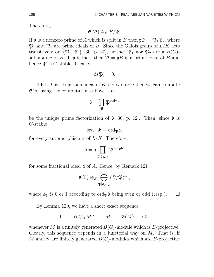Therefore,

$$
\mathfrak{E}(\mathfrak{P}) \cong_B B/\mathfrak{P}.
$$

If **p** is a nonzero prime of A which is split in B then  $pB = \mathfrak{P}_1 \mathfrak{P}_2$ , where  $\mathfrak{P}_1$  and  $\mathfrak{P}_2$  are prime ideals of B. Since the Galois group of  $L/K$  acts transitively on  $\{\mathfrak{P}_1, \mathfrak{P}_2\}$  [30, p. 20], neither  $\mathfrak{P}_1$  nor  $\mathfrak{P}_2$  are a  $B(G)$ submodule of B. If **p** is inert then  $\mathfrak{P} = \mathfrak{p}B$  is a prime ideal of B and hence  $\mathfrak P$  is *G*-stable. Clearly,

$$
\mathfrak{E}(\mathfrak{P})=0.
$$

If  $\mathfrak{b} \subset L$  is a fractional ideal of B and G-stable then we can compute  $\mathfrak{E}(\mathfrak{b})$  using the computations above. Let

$$
\mathfrak{b}=\prod_{\mathfrak{P}}\mathfrak{P}^{\mathrm{ord}_\mathfrak{P}\mathfrak{b}}
$$

be the unique prime factorization of  $\mathfrak b$  [30, p. 12]. Then, since  $\mathfrak b$  is G-stable

$$
\mathrm{ord}_{\sigma\mathfrak{P}}\mathfrak{b}=\mathrm{ord}_{\mathfrak{P}}\mathfrak{b},
$$

for every automorphism  $\sigma$  of  $L/K$ . Therefore,

$$
\mathfrak{b}=\mathfrak{a}\prod_{\mathfrak{P}\mid\mathfrak{d}_{\mathfrak{B}/\mathfrak{A}}}\mathfrak{P}^{\mathrm{ord}_{\mathfrak{P}}\mathfrak{b}},
$$

for some fractional ideal a of A. Hence, by Remark 121

$$
\mathfrak{E}(\mathfrak{b}) \cong_B \bigoplus_{\mathfrak{P}|\mathfrak{d}_{\mathfrak{B}/\mathfrak{A}}}(B/\mathfrak{P})^{\varepsilon_{\mathfrak{P}}},
$$

where  $\varepsilon_{\mathfrak{P}}$  is 0 or 1 according to ord<sub> $\mathfrak{P}$ </sub>b being even or odd (resp.).  $\Box$ 

By Lemma 120, we have a short exact sequence

$$
0 \longrightarrow B \otimes_A M^G \stackrel{\iota}{\longrightarrow} M \longrightarrow \mathfrak{E}(M) \longrightarrow 0,
$$

whenever M is a finitely generated  $B(G)$ -module which is B-projective. Clearly, this sequence depends in a functorial way on  $M$ . That is, if M and N are finitely generated  $B(G)$ -modules which are B-projective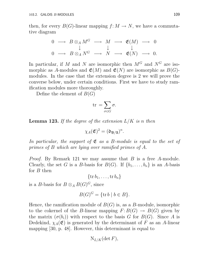then, for every  $B(G)$ -linear mapping  $f: M \to N$ , we have a commutative diagram

$$
\begin{array}{ccccccc}\n0 & \longrightarrow & B \otimes_A M^G & \longrightarrow & M & \longrightarrow & \mathfrak{E}(M) & \longrightarrow & 0 \\
& & \downarrow & & \downarrow & & \downarrow \\
0 & \longrightarrow & B \otimes_A N^G & \longrightarrow & N & \longrightarrow & \mathfrak{E}(N) & \longrightarrow & 0.\n\end{array}
$$

In particular, if M and N are isomorphic then  $M^G$  and  $N^G$  are isomorphic as A-modules and  $\mathfrak{E}(M)$  and  $\mathfrak{E}(N)$  are isomorphic as  $B(G)$ modules. In the case that the extension degree is 2 we will prove the converse below, under certain conditions. First we have to study ramification modules more thoroughly.

Define the element of  $B(G)$ 

$$
\operatorname{tr} = \sum_{\sigma \in G} \sigma.
$$

**Lemma 123.** If the degree of the extension  $L/K$  is n then

$$
\chi_A({\mathfrak E})^2 = ({\mathfrak d}_{{\mathfrak B}/{\mathfrak A}})^n.
$$

In particular, the support of  $\mathfrak{E}$  as a B-module is equal to the set of primes of B which are lying over ramified primes of A.

*Proof.* By Remark 121 we may assume that B is a free A-module. Clearly, the set G is a B-basis for  $B(G)$ . If  $\{b_1, \ldots, b_n\}$  is an A-basis for  $B$  then

 $\{\operatorname{tr} b_1, \ldots, \operatorname{tr} b_n\}$ 

is a *B*-basis for  $B \otimes_A B(G)^G$ , since

$$
B(G)^G = \{\text{tr } b \mid b \in B\}.
$$

Hence, the ramification module of  $B(G)$  is, as a B-module, isomorphic to the cokernel of the B-linear mapping  $F: B(G) \to B(G)$  given by the matrix  $(\sigma(b_i))$  with respect to the basis G for  $B(G)$ . Since A is Dedekind,  $\chi_A(\mathfrak{E})$  is generated by the determinant of F as an A-linear mapping [30, p. 48]. However, this determinant is equal to

$$
N_{L/K}(\det F),
$$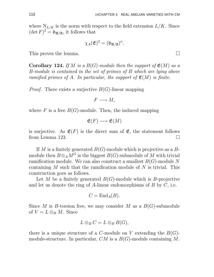where  $N_{L/K}$  is the norm with respect to the field extension  $L/K$ . Since  $(\det F)^2 = \mathfrak{d}_{\mathfrak{B}/\mathfrak{A}}$ , it follows that

$$
\chi_A(\mathfrak{E})^2=(\mathfrak{d}_{\mathfrak{B}/\mathfrak{A}})^n.
$$

This proves the lemma.

**Corollary 124.** If M is a  $B(G)$ -module then the support of  $\mathfrak{E}(M)$  as a B-module is contained in the set of primes of B which are lying above ramified primes of A. In particular, the support of  $\mathfrak{E}(M)$  is finite.

*Proof.* There exists a surjective  $B(G)$ -linear mapping

$$
F\longrightarrow M,
$$

where  $F$  is a free  $B(G)$ -module. Then, the induced mapping

$$
\mathfrak{E}(F) \longrightarrow \mathfrak{E}(M)
$$

is surjective. As  $\mathfrak{E}(F)$  is the direct sum of  $\mathfrak{E}$ , the statement follows from Lemma 123.  $\Box$ 

If M is a finitely generated  $B(G)$ -module which is projective as a  $B$ module then  $B \otimes_A M^G$  is the biggest  $B(G)$ -submodule of M with trivial ramification module. We can also construct a smallest  $B(G)$ -module N containing M such that the ramification module of  $N$  is trivial. This construction goes as follows.

Let M be a finitely generated  $B(G)$ -module which is B-projective and let us denote the ring of A-linear endomorphisms of  $B$  by  $C$ , i.e.

$$
C = \mathrm{End}_A(B).
$$

Since M is B-torsion free, we may consider M as a  $B(G)$ -submodule of  $V = L \otimes_B M$ . Since

$$
L\otimes_B C=L\otimes_B B(G),
$$

there is a unique structure of a C-module on V extending the  $B(G)$ module-structure. In particular,  $CM$  is a  $B(G)$ -module containing M.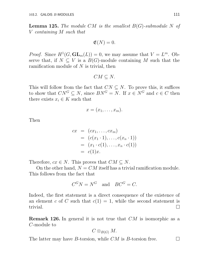**Lemma 125.** The module CM is the smallest  $B(G)$ -submodule N of V containing M such that

$$
\mathfrak{E}(N)=0.
$$

*Proof.* Since  $H^1(G, GL_m(L)) = 0$ , we may assume that  $V = L^m$ . Observe that, if  $N \subseteq V$  is a  $B(G)$ -module containing M such that the ramification module of  $N$  is trivial, then

 $CM \subseteq N$ .

This will follow from the fact that  $CN \subseteq N$ . To prove this, it suffices to show that  $CN^G \subseteq N$ , since  $BN^G = N$ . If  $x \in N^G$  and  $c \in C$  then there exists  $x_i \in K$  such that

$$
x=(x_1,\ldots,x_m).
$$

Then

$$
cx = (cx_1, ..., cx_m)
$$
  
=  $(c(x_1 \cdot 1), ..., c(x_n \cdot 1))$   
=  $(x_1 \cdot c(1), ..., x_n \cdot c(1))$   
=  $c(1)x$ .

Therefore,  $cx \in N$ . This proves that  $CM \subseteq N$ .

On the other hand,  $N = CM$  itself has a trivial ramification module. This follows from the fact that

$$
C^GN = N^G \quad \text{and} \quad BC^G = C.
$$

Indeed, the first statement is a direct consequence of the existence of an element c of C such that  $c(1) = 1$ , while the second statement is trivial.  $\Box$ 

**Remark 126.** In general it is not true that CM is isomorphic as a C-module to

$$
C\otimes_{B(G)} M.
$$

The latter may have B-torsion, while  $CM$  is B-torsion free.  $\Box$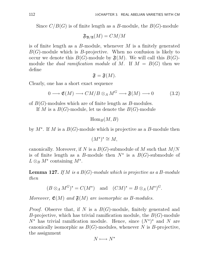Since  $C/B(G)$  is of finite length as a B-module, the  $B(G)$ -module

$$
\mathfrak{F}_{\mathfrak{B}/\mathfrak{A}}(M)=CM/M
$$

is of finite length as a B-module, whenever  $M$  is a finitely generated  $B(G)$ -module which is B-projective. When no confusion is likely to occur we denote this  $B(G)$ -module by  $\mathfrak{F}(M)$ . We will call this  $B(G)$ module the *dual ramification module* of M. If  $M = B(G)$  then we define

$$
\mathfrak{F}=\mathfrak{F}(M).
$$

Clearly, one has a short exact sequence

$$
0 \longrightarrow \mathfrak{E}(M) \longrightarrow CM/B \otimes_A M^G \longrightarrow \mathfrak{F}(M) \longrightarrow 0 \tag{3.2}
$$

of  $B(G)$ -modules which are of finite length as  $B$ -modules.

If M is a  $B(G)$ -module, let us denote the  $B(G)$ -module

```
\operatorname{Hom}_B(M, B)
```
by  $M^*$ . If M is a  $B(G)$ -module which is projective as a B-module then

$$
(M^{\star})^{\star} \cong M,
$$

canonically. Moreover, if N is a  $B(G)$ -submodule of M such that  $M/N$ is of finite length as a B-module then  $N^*$  is a  $B(G)$ -submodule of  $L \otimes_B M^*$  containing  $M^*$ .

**Lemma 127.** If M is a  $B(G)$ -module which is projective as a B-module then

$$
(B \otimes_A M^G)^* = C(M^*)
$$
 and  $(CM)^* = B \otimes_A (M^*)^G$ .

Moreover,  $\mathfrak{E}(M)$  and  $\mathfrak{F}(M)$  are isomorphic as B-modules.

*Proof.* Observe that, if N is a  $B(G)$ -module, finitely generated and B-projective, which has trivial ramification module, the  $B(G)$ -module  $N^*$  has trivial ramification module. Hence, since  $(N^*)^*$  and N are canonically isomorphic as  $B(G)$ -modules, whenever N is B-projective, the assignment

$$
N\longmapsto N^{\star}
$$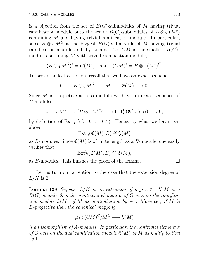is a bijection from the set of  $B(G)$ -submodules of M having trivial ramification module onto the set of  $B(G)$ -submodules of  $L \otimes_B (M^*)$ containing M and having trivial ramification module. In particular, since  $B \otimes_A M^G$  is the biggest  $B(G)$ -submodule of M having trivial ramification module and, by Lemma 125,  $CM$  is the smallest  $B(G)$ module containing  $M$  with trivial ramification module,

$$
(B \otimes_A M^G)^* = C(M^*)
$$
 and  $(CM)^* = B \otimes_A (M^*)^G$ .

To prove the last assertion, recall that we have an exact sequence

$$
0 \longrightarrow B \otimes_A M^G \longrightarrow M \longrightarrow \mathfrak{E}(M) \longrightarrow 0.
$$

Since M is projective as a B-module we have an exact sequence of B-modules

$$
0 \longrightarrow M^{\star} \longrightarrow (B \otimes_A M^G)^{\star} \longrightarrow \text{Ext}^1_B(\mathfrak{E}(M), B) \longrightarrow 0,
$$

by definition of  $\text{Ext}_{B}^{1}$  (cf. [9, p. 107]). Hence, by what we have seen above,

$$
\operatorname{Ext}^1_B(\mathfrak{E}(M),B)\cong \mathfrak{F}(M)
$$

as B-modules. Since  $\mathfrak{E}(M)$  is of finite length as a B-module, one easily verifies that

$$
\text{Ext}^1_B(\mathfrak{E}(M),B)\cong \mathfrak{E}(M),
$$

as B-modules. This finishes the proof of the lemma.  $\Box$ 

Let us turn our attention to the case that the extension degree of  $L/K$  is 2.

**Lemma 128.** Suppose  $L/K$  is an extension of degree 2. If M is a  $B(G)$ -module then the nontrivial element  $\sigma$  of G acts on the ramification module  $\mathfrak{E}(M)$  of M as multiplication by  $-1$ . Moreover, if M is B-projective then the canonical mapping

$$
\mu_M \colon (CM)^G / M^G \longrightarrow \mathfrak{F}(M)
$$

is an isomorphism of A-modules. In particular, the nontrivial element  $\sigma$ of G acts on the dual ramification module  $\mathfrak{F}(M)$  of M as multiplication by 1.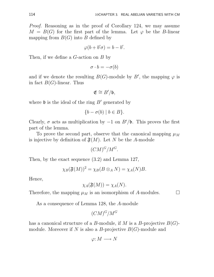Proof. Reasoning as in the proof of Corollary 124, we may assume  $M = B(G)$  for the first part of the lemma. Let  $\varphi$  be the B-linear mapping from  $B(G)$  into B defined by

$$
\varphi(b+b'\sigma) = b - b'.
$$

Then, if we define a G-action on B by

 $\sigma \cdot b = -\sigma(b)$ 

and if we denote the resulting  $B(G)$ -module by B', the mapping  $\varphi$  is in fact  $B(G)$ -linear. Thus

$$
\mathfrak{E}\cong B'/\mathfrak{b},
$$

where  $\mathfrak b$  is the ideal of the ring  $B'$  generated by

$$
\{b - \sigma(b) \mid b \in B\}.
$$

Clearly,  $\sigma$  acts as multiplication by  $-1$  on  $B'/\mathfrak{b}$ . This proves the first part of the lemma.

To prove the second part, observe that the canonical mapping  $\mu_M$ is injective by definition of  $\mathfrak{F}(M)$ . Let N be the A-module

$$
(CM)^G/M^G.
$$

Then, by the exact sequence (3.2) and Lemma 127,

$$
\chi_B(\mathfrak{F}(M))^2 = \chi_B(B \otimes_A N) = \chi_A(N)B.
$$

Hence,

$$
\chi_A(\mathfrak{F}(M)) = \chi_A(N).
$$

Therefore, the mapping  $\mu_M$  is an isomorphism of A-modules.  $\Box$ 

As a consequence of Lemma 128, the A-module

$$
(CM)^G/M^G
$$

has a canonical structure of a B-module, if M is a B-projective  $B(G)$ module. Moreover if N is also a B-projective  $B(G)$ -module and

$$
\varphi\hbox{\rm :}\ M\longrightarrow N
$$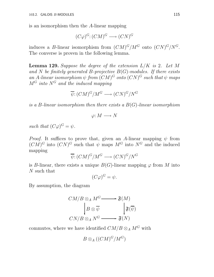is an isomorphism then the A-linear mapping

$$
(C\varphi)^G \colon (CM)^G \longrightarrow (CN)^G
$$

induces a B-linear isomorphism from  $(CM)^G/M^G$  onto  $(CN)^G/N^G$ . The converse is proven in the following lemma.

**Lemma 129.** Suppose the degree of the extension  $L/K$  is 2. Let M and N be finitely generated B-projective  $B(G)$ -modules. If there exists an A-linear isomorphism  $\psi$  from  $(CM)^G$  onto  $(CN)^G$  such that  $\psi$  maps  $M^G$  into  $N^G$  and the induced mapping

$$
\overline{\psi} : (CM)^G / M^G \longrightarrow (CN)^G / N^G
$$

is a B-linear isomorphism then there exists a  $B(G)$ -linear isomorphism

$$
\varphi\hbox{\rm :}\ M\longrightarrow N
$$

such that  $(C\varphi)^G = \psi$ .

*Proof.* It suffices to prove that, given an A-linear mapping  $\psi$  from  $(CM)^G$  into  $(CN)^G$  such that  $\psi$  maps  $M^G$  into  $N^G$  and the induced mapping

$$
\overline{\psi} \colon (CM)^G / M^G \longrightarrow (CN)^G / N^G
$$

is B-linear, there exists a unique  $B(G)$ -linear mapping  $\varphi$  from M into N such that

$$
(C\varphi)^G = \psi.
$$

By assumption, the diagram

$$
CM/B \otimes_A M^G \longrightarrow \mathfrak{F}(M)
$$
  
\n
$$
\downarrow B \otimes \overline{\psi} \qquad \qquad \downarrow \mathfrak{F}(\overline{\psi})
$$
  
\n
$$
CN/B \otimes_A N^G \longrightarrow \mathfrak{F}(N)
$$

commutes, where we have identified  $CM/B \otimes_A M^G$  with

$$
B\otimes_A((CM)^G/M^G)
$$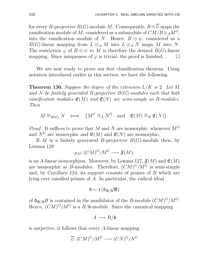for every B-projective  $B(G)$ -module M. Consequently,  $B \otimes \overline{\psi}$  maps the ramification module of M, considered as a submodule of  $CM/B\otimes_A M^G$ , into the ramification module of N. Hence,  $B \otimes \psi$ , considered as a  $B(G)$ -linear mapping from  $L \otimes_A M$  into  $L \otimes_A N$  maps M into N. The restriction  $\varphi$  of  $B \otimes \psi$  to M is therefore the desired  $B(G)$ -linear<br>mapping. Since uniqueness of  $\varphi$  is trivial, the proof is finished. mapping. Since uniqueness of  $\varphi$  is trivial, the proof is finished.

We are now ready to prove our first classification theorem. Using notation introduced earlier in this section, we have the following.

**Theorem 130.** Suppose the degree of the extension  $L/K$  is 2. Let M and N be finitely generated B-projective  $B(G)$ -modules such that both ramification modules  $\mathfrak{E}(M)$  and  $\mathfrak{E}(N)$  are semi-simple as B-modules. Then

$$
M \cong_{B(G)} N \iff \left(M^G \cong_A N^G \text{ and } \mathfrak{E}(M) \cong_B \mathfrak{E}(N)\right).
$$

*Proof.* It suffices to prove that M and N are isomorphic, whenever  $M<sup>G</sup>$ and  $N^G$  are isomorphic and  $\mathfrak{E}(M)$  and  $\mathfrak{E}(N)$  are isomorphic.

If M is a finitely generated B-projective  $B(G)$ -module then, by Lemma 128

$$
\mu_M: (CM)^G/M^G \longrightarrow \mathfrak{F}(M),
$$

is an A-linear isomorphism. Moreover, by Lemma 127,  $\mathfrak{F}(M)$  and  $\mathfrak{E}(M)$ are isomorphic as B-modules. Therefore,  $(CM)^G/M^G$  is semi-simple and, by Corollary 124, its support consists of primes of B which are lying over ramified primes of A. In particular, the radical ideal

$$
\mathfrak{b}=\mathfrak{r}\left(\mathfrak{d}_{\mathfrak{B}/\mathfrak{A}}\mathfrak{B}\right)
$$

of  $\mathfrak{d}_{\mathfrak{B}/\mathfrak{A}}B$  is contained in the annihilator of the B-module  $(CM)^G/M^G$ . Hence,  $(CM)^G/M^G$  is a  $B/\mathfrak{b}$ -module. Since the canonical mapping

$$
A \longrightarrow B/\mathfrak{b}
$$

is surjective, it follows that every A-linear mapping

$$
\overline{\psi} \colon (CM)^G / M^G \longrightarrow (CN)^G / N^G
$$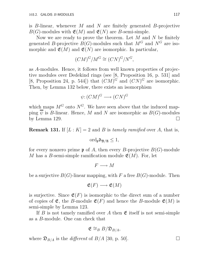is B-linear, whenever M and N are finitely generated B-projective  $B(G)$ -modules with  $\mathfrak{E}(M)$  and  $\mathfrak{E}(N)$  are B-semi-simple.

Now we are ready to prove the theorem. Let  $M$  and  $N$  be finitely generated B-projective  $B(G)$ -modules such that  $M^G$  and  $N^G$  are isomorphic and  $\mathfrak{E}(M)$  and  $\mathfrak{E}(N)$  are isomorphic. In particular,

$$
(CM)^G/M^G \cong (CN)^G/N^G,
$$

as A-modules. Hence, it follows from well known properties of projective modules over Dedekind rings (see [8, Proposition 16, p. 531] and [8, Proposition 24, p. 544]) that  $(CM)^G$  and  $(CN)^G$  are isomorphic. Then, by Lemma 132 below, there exists an isomorphism

$$
\psi: (CM)^G \longrightarrow (CN)^G
$$

which maps  $M^G$  onto  $N^G$ . We have seen above that the induced mapping  $\overline{\psi}$  is *B*-linear. Hence, *M* and *N* are isomorphic as *B(G)*-modules by Lemma 129.  $\Box$ 

**Remark 131.** If  $[L: K] = 2$  and B is tamely ramified over A, that is,

$$
\mathrm{ord}_{\mathfrak{p}}\mathfrak{d}_{\mathfrak{B}/\mathfrak{A}}\leq 1,
$$

for every nonzero prime  $\mathfrak p$  of A, then every B-projective  $B(G)$ -module M has a B-semi-simple ramification module  $\mathfrak{E}(M)$ . For, let

$$
F \longrightarrow M
$$

be a surjective  $B(G)$ -linear mapping, with F a free  $B(G)$ -module. Then

$$
\mathfrak{E}(F) \longrightarrow \mathfrak{E}(M)
$$

is surjective. Since  $\mathfrak{E}(F)$  is isomorphic to the direct sum of a number of copies of  $\mathfrak{E}$ , the B-module  $\mathfrak{E}(F)$  and hence the B-module  $\mathfrak{E}(M)$  is semi-simple by Lemma 123.

If B is not tamely ramified over A then  $\mathfrak E$  itself is not semi-simple as a B-module. One can check that

$$
\mathfrak{E} \cong_B B/\mathfrak{D}_{B/A},
$$

where  $\mathfrak{D}_{B/A}$  is the *different* of  $B/A$  [30, p. 50].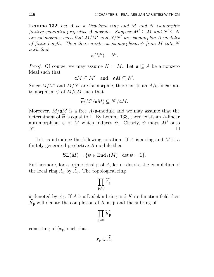Lemma 132. Let A be a Dedekind ring and M and N isomorphic finitely generated projective A-modules. Suppose  $M' \subseteq M$  and  $N' \subseteq N$ are submodules such that  $M/M'$  and  $N/N'$  are isomorphic A-modules of finite length. Then there exists an isomorphism  $\psi$  from M into N such that

$$
\psi(M') = N'.
$$

*Proof.* Of course, we may assume  $N = M$ . Let  $\mathfrak{a} \subseteq A$  be a nonzero ideal such that

$$
\mathfrak{a}M\subseteq M'\quad\text{and}\quad \mathfrak{a}M\subseteq N'.
$$

Since  $M/M'$  and  $M/N'$  are isomorphic, there exists an  $A/\mathfrak{a}$ -linear automorphism  $\overline{\psi}$  of  $M/\mathfrak{a}M$  such that

$$
\overline{\psi}(M'/\mathfrak{a} M) \subseteq N'/\mathfrak{a} M.
$$

Moreover,  $M/\mathfrak{a}M$  is a free  $A/\mathfrak{a}$ -module and we may assume that the determinant of  $\psi$  is equal to 1. By Lemma 133, there exists an A-linear automorphism  $\psi$  of M which induces  $\overline{\psi}$ . Clearly,  $\psi$  maps M' onto  $N^{\prime}$ . . The contract of the contract of the contract of the contract of the contract of  $\Box$ 

Let us introduce the following notation. If A is a ring and M is a finitely generated projective A-module then

$$
SL(M) = \{ \psi \in End_A(M) \mid \det \psi = 1 \}.
$$

Furthermore, for a prime ideal  $\mathfrak p$  of A, let us denote the completion of the local ring  $A_{\mathfrak{p}}$  by  $\widehat{A}_{\mathfrak{p}}$ . The topological ring

$$
\prod_{\mathfrak{p}\neq 0} \widehat{A_{\mathfrak{p}}}
$$

is denoted by  $\mathcal{A}_0$ . If A is a Dedekind ring and K its function field then  $\widehat{K}_{\mathfrak{p}}$  will denote the completion of K at p and the subring of

$$
\prod_{{\mathfrak{p}}\neq 0}\widehat{K_{\mathfrak{p}}}
$$

consisting of  $(x_p)$  such that

$$
x_{\mathfrak{p}} \in \widehat{A_{\mathfrak{p}}}
$$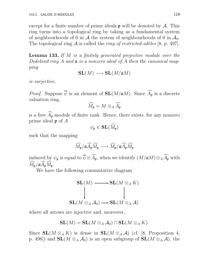except for a finite number of prime ideals  $\mathfrak p$  will be denoted by A. This ring turns into a topological ring by taking as a fundamental system of neighbourhoods of 0 in A the system of neighbourhoods of 0 in  $\mathcal{A}_0$ . The topological ring A is called the *ring of restricted adèles* [8, p. 497].

Lemma 133. If M is a finitely generated projective module over the Dedekind ring A and  $\mathfrak a$  is a nonzero ideal of A then the canonical mapping

$$
\mathbf{SL}(M)\longrightarrow \mathbf{SL}(M/\mathfrak{a} M)
$$

is surjective.

*Proof.* Suppose  $\overline{\psi}$  is an element of  $SL(M/aM)$ . Since  $\widehat{A}_{\mathfrak{p}}$  is a discrete valuation ring,

$$
\widehat{M}_{\mathfrak{p}} = M \otimes_A \widehat{A}_{\mathfrak{p}}
$$

is a free  $\widehat{A}_{\mathfrak{p}}$ -module of finite rank. Hence, there exists, for any nonzero prime ideal  $\mathfrak p$  of  $A$ 

$$
\psi_{\mathfrak{p}}\in \mathbf{SL}(\widehat{M}_{\mathfrak{p}})
$$

such that the mapping

$$
\widehat{M}_{\mathfrak{p}}/\mathfrak{a}\widehat{A_{\mathfrak{p}}}\widehat{M_{\mathfrak{p}}}\longrightarrow \widehat{M_{\mathfrak{p}}}/\mathfrak{a}\widehat{A_{\mathfrak{p}}}\widehat{M_{\mathfrak{p}}}
$$

induced by  $\psi_{\frak{p}}$  is equal to  $\overline{\psi}\otimes \widehat{A_{\frak{p}}}$ , when we identify  $(M/\frak{a} M)\otimes _A\widehat{A_{\frak{p}}}$  with  $M_{\mathfrak{p}}/\mathfrak{a}A_{\mathfrak{p}}M_{\mathfrak{p}}.$ 

We have the following commutative diagram

$$
\mathbf{SL}(M) \longrightarrow \mathbf{SL}(M \otimes_A K)
$$
  
\n
$$
\downarrow \qquad \qquad \downarrow
$$
  
\n
$$
\mathbf{SL}(M \otimes_A \mathcal{A}_0) \longrightarrow \mathbf{SL}(M \otimes_A \mathcal{A})
$$

where all arrows are injective and, moreover,

$$
\mathbf{SL}(M) = \mathbf{SL}(M \otimes_A \mathcal{A}_0) \cap \mathbf{SL}(M \otimes_A K).
$$

Since  $SL(M \otimes_A K)$  is dense in  $SL(M \otimes_A \mathcal{A})$  (cf. [8, Proposition 4, p. 498]) and  $SL(M \otimes_A \mathcal{A}_0)$  is an open subgroup of  $SL(M \otimes_A \mathcal{A})$ , the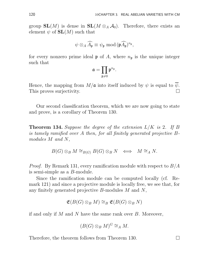group  $SL(M)$  is dense in  $SL(M \otimes_A \mathcal{A}_0)$ . Therefore, there exists an element  $\psi$  of  $SL(M)$  such that

$$
\psi\otimes_A \widehat{A_{\mathfrak{p}}} \equiv \psi_{\mathfrak{p}} \text{ mod } (\mathfrak{p} \widehat{A_{\mathfrak{p}}})^{n_{\mathfrak{p}}},
$$

for every nonzero prime ideal  $\mathfrak p$  of A, where  $n_{\mathfrak p}$  is the unique integer such that

$$
\mathfrak{a}=\prod_{\mathfrak{p}\neq 0}\mathfrak{p}^{n_{\mathfrak{p}}}.
$$

Hence, the mapping from  $M/\mathfrak{a}$  into itself induced by  $\psi$  is equal to  $\psi$ . This proves surjectivity.

Our second classification theorem, which we are now going to state and prove, is a corollary of Theorem 130.

**Theorem 134.** Suppose the degree of the extension  $L/K$  is 2. If B is tamely ramified over A then, for all finitely generated projective Bmodules M and N,

$$
B(G) \otimes_B M \cong_{B(G)} B(G) \otimes_B N \iff M \cong_A N.
$$

*Proof.* By Remark 131, every ramification module with respect to  $B/A$ is semi-simple as a B-module.

Since the ramification module can be computed locally (cf. Remark 121) and since a projective module is locally free, we see that, for any finitely generated projective B-modules M and N,

$$
\mathfrak{E}(B(G)\otimes_B M)\cong_B \mathfrak{E}(B(G)\otimes_B N)
$$

if and only if  $M$  and  $N$  have the same rank over  $B$ . Moreover,

$$
(B(G)\otimes_B M)^G\cong_A M.
$$

Therefore, the theorem follows from Theorem 130.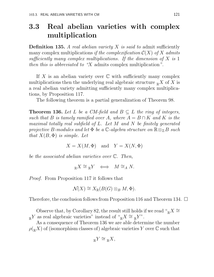### 3.3 Real abelian varieties with complex multiplication

**Definition 135.** A real abelian variety  $X$  is said to admit sufficiently many complex multiplications if the complexification  $\mathcal{C}(X)$  of X admits sufficiently many complex multiplications. If the dimension of  $X$  is 1 then this is abbreviated to "X admits complex multiplication".

If X is an abelian variety over  $\mathbb C$  with sufficiently many complex multiplications then the underlying real algebraic structure  $\mathbb{R}^X$  of X is a real abelian variety admitting sufficiently many complex multiplications, by Proposition 117.

The following theorem is a partial generalization of Theorem 98.

**Theorem 136.** Let L be a CM-field and  $B \subseteq L$  the ring of integers, such that B is tamely ramified over A, where  $A = B \cap K$  and K is the maximal totally real subfield of  $L$ . Let  $M$  and  $N$  be finitely generated projective B-modules and let  $\Phi$  be a  $\mathbb{C}\text{-}algebra structure on \mathbb{R}\otimes_{\mathbb{Z}}B$  such that  $X(B, \Phi)$  is simple. Let

$$
X = X(M, \Phi) \quad \text{and} \quad Y = X(N, \Phi)
$$

be the associated abelian varieties over C. Then,

$$
{}_{\mathbb{R}}X \cong {}_{\mathbb{R}}Y \iff M \cong_A N.
$$

Proof. From Proposition 117 it follows that

$$
\mathcal{N}(X) \cong X_{\mathbb{R}}(B(G) \otimes_B M, \Phi).
$$

Therefore, the conclusion follows from Proposition 116 and Theorem 134.  $\Box$ 

Observe that, by Corollary 82, the result still holds if we read " $K \cong$  $R_{\mathbb{R}}$ Y as real algebraic varieties" instead of " $R X \cong R Y$ ".

As a consequence of Theorem 136 we are able determine the number  $\rho({}_\mathbb{R} X)$  of (isomorphism classes of) algebraic varieties Y over C such that

$$
{}_{\mathbb{R}}Y\cong{}_{\mathbb{R}}X,
$$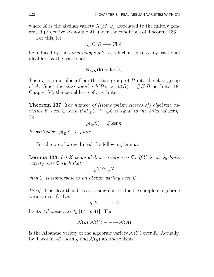where X is the abelian variety  $X(M, \Phi)$  associated to the finitely generated projective B-module M under the conditions of Theorem 136.

For this, let

$$
\eta: \mathbf{Cl} \, B \longrightarrow \mathbf{Cl} \, A
$$

be induced by the *norm mapping*  $N_{L/K}$  which assigns to any fractional ideal  $\mathfrak b$  of  $B$  the fractional

$$
N_{L/K}(\mathfrak{b})=\mathfrak{b}\sigma(\mathfrak{b}).
$$

Then  $\eta$  is a morphism from the class group of B into the class group of A. Since the *class number*  $h(B)$ , i.e.  $h(B) = #CIB$ , is finite [18, Chapter V, the kernel ker  $\eta$  of  $\eta$  is finite.

**Theorem 137.** The number of (isomorphism classes of) algebraic varieties Y over  $\mathbb C$  such that  $\mathbb R Y \cong \mathbb R X$  is equal to the order of ker  $\eta$ , i.e.

$$
\rho({}_\mathbb{R} X) = \# \ker \eta.
$$

In particular,  $\rho({}_{{\mathbb R}}X)$  is finite.

For the proof we will need the following lemma.

**Lemma 138.** Let X be an abelian variety over  $\mathbb{C}$ . If Y is an algebraic variety over C such that

$$
{}_{\mathbb{R}}Y\cong{}_{\mathbb{R}}X
$$

then Y is isomorphic to an abelian variety over  $\mathbb{C}$ .

*Proof.* It is clear that Y is a nonsingular irreducible complete algebraic variety over C. Let

$$
g: Y \longrightarrow A
$$

be its Albanese variety [17, p. 41]. Then

$$
\mathcal{N}(g)\colon \mathcal{N}(Y)\, \textcolor{red}{\mathcal{N}(A)}
$$

is the Albanese variety of the algebraic variety  $\mathcal{N}(Y)$  over R. Actually, by Theorem 42, both g and  $\mathcal{N}(g)$  are morphisms.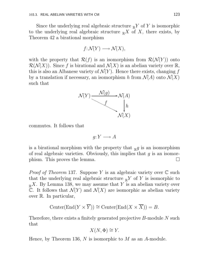Since the underlying real algebraic structure  $\mathbb{R}^Y$  of Y is isomorphic to the underlying real algebraic structure  $\mathbb{R}^X$  of X, there exists, by Theorem 42 a birational morphism

$$
f\colon \mathcal{N}(Y)\longrightarrow \mathcal{N}(X),
$$

with the property that  $\mathcal{R}(f)$  is an isomorphism from  $\mathcal{R}(\mathcal{N}(Y))$  onto  $\mathcal{R}(\mathcal{N}(X))$ . Since f is birational and  $\mathcal{N}(X)$  is an abelian variety over  $\mathbb{R}$ , this is also an Albanese variety of  $\mathcal{N}(Y)$ . Hence there exists, changing f by a translation if necessary, an isomorphism h from  $\mathcal{N}(A)$  onto  $\mathcal{N}(X)$ such that



commutes. It follows that

$$
g: Y \longrightarrow A
$$

is a birational morphism with the property that  $_{\mathbb{R}}g$  is an isomorphism of real algebraic varieties. Obviously, this implies that  $q$  is an isomorphism. This proves the lemma.  $\square$ 

*Proof of Theorem* 137. Suppose Y is an algebraic variety over  $\mathbb C$  such that the underlying real algebraic structure  $\mathbb{R}^Y$  of Y is isomorphic to  $R_{\mathbb{R}}X$ . By Lemma 138, we may assume that Y is an abelian variety over C. It follows that  $\mathcal{N}(Y)$  and  $\mathcal{N}(X)$  are isomorphic as abelian variety over R. In particular,

$$
Center(End(Y \times \overline{Y})) \cong Center(End(X \times \overline{X})) = B.
$$

Therefore, there exists a finitely generated projective B-module N such that

$$
X(N, \Phi) \cong Y.
$$

Hence, by Theorem 136,  $N$  is isomorphic to  $M$  as an  $A$ -module.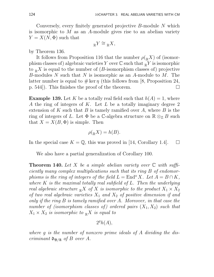Conversely, every finitely generated projective B-module N which is isomorphic to  $M$  as an  $A$ -module gives rise to an abelian variety  $Y = X(N, \Phi)$  such that

$$
{}_{\mathbb{R}}Y \cong {}_{\mathbb{R}}X,
$$

by Theorem 136.

It follows from Proposition 116 that the number  $\rho({}_R X)$  of (isomorphism classes of) algebraic varieties Y over  $\mathbb C$  such that  $\mathbb R$  Y is isomorphic to  $\mathbb{R}^X$  is equal to the number of (*B*-isomorphism classes of) projective B-modules N such that N is isomorphic as an A-module to M. The latter number is equal to  $\#\ker \eta$  (this follows from [8, Proposition 24, p. 544]). This finishes the proof of the theorem.  $\Box$ 

**Example 139.** Let K be a totally real field such that  $h(A) = 1$ , where A the ring of integers of K. Let L be a totally imaginary degree 2 extension of K such that B is tamely ramified over A, where B is the ring of integers of L. Let  $\Phi$  be a C-algebra structure on  $\mathbb{R} \otimes_{\mathbb{Z}} B$  such that  $X = X(B, \Phi)$  is simple. Then

$$
\rho({}_{\mathbb{R}}X) = h(B).
$$

In the special case  $K = \mathbb{Q}$ , this was proved in [14, Corollary 1.4].  $\Box$ 

We also have a partial generalization of Corollary 100.

**Theorem 140.** Let X be a simple abelian variety over  $\mathbb C$  with sufficiently many complex multiplications such that its ring B of endomorphisms is the ring of integers of the field  $L =$  End<sup>o</sup> X. Let  $A = B \cap K$ , where  $K$  is the maximal totally real subfield of  $L$ . Then the underlying real algebraic structure  $\mathbb{R}^X$  of X is isomorphic to the product  $X_1 \times X_2$ of two real algebraic varieties  $X_1$  and  $X_2$  of positive dimension if and only if the ring B is tamely ramified over A. Moreover, in that case the number of (isomorphism classes of) ordered pairs  $(X_1, X_2)$  such that  $X_1 \times X_2$  is isomorphic to  $\mathbb{R}^X$  is equal to

$$
2^gh(A),
$$

where g is the number of nonzero prime ideals of A dividing the discriminant  $\mathfrak{d}_{\mathfrak{B}/\mathfrak{A}}$  of B over A.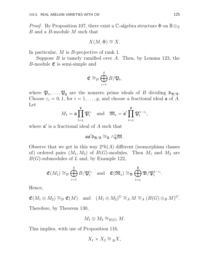*Proof.* By Proposition 107, there exist a  $\mathbb{C}\text{-algebra structure } \Phi$  on  $\mathbb{R} \otimes_{\mathbb{Z}}$ B and a B-module M such that

$$
X(M, \Phi) \cong X.
$$

In particular, M is B-projective of rank 1.

Suppose  $B$  is tamely ramified over  $A$ . Then, by Lemma 123, the B-module  $\mathfrak{E}$  is semi-simple and

$$
\mathfrak{E} \cong_B \bigoplus_{i=1}^g B/\mathfrak{P}_i,
$$

where  $\mathfrak{P}_1, \ldots, \mathfrak{P}_g$  are the nonzero prime ideals of B dividing  $\mathfrak{d}_{\mathfrak{B}/\mathfrak{A}}$ . Choose  $\varepsilon_i = 0, 1$ , for  $i = 1, ..., g$ , and choose a fractional ideal  $\mathfrak a$  of A. Let

$$
M_1=\mathfrak{a}\prod_{i=1}^{\mathfrak{g}}\mathfrak{P}_i^{\varepsilon_i} \quad \text{and} \quad \mathfrak{M}_2=\mathfrak{a}'\prod_{i=1}^{\mathfrak{g}}\mathfrak{P}_i^{1-\varepsilon_i},
$$

where  $\mathfrak{a}'$  is a fractional ideal of A such that

 $\mathfrak{a}\mathfrak{a}'\mathfrak{d}_{\mathfrak{B}/\mathfrak{A}} \cong_{\mathfrak{A}} \wedge^2_{\mathfrak{A}} \mathfrak{M}.$ 

Observe that we get in this way  $2<sup>g</sup>h(A)$  different (isomorphism classes of) ordered pairs  $(M_1, M_2)$  of  $B(G)$ -modules. Then  $M_1$  and  $M_2$  are  $B(G)$ -submodules of L and, by Example 122,

$$
\mathfrak{E}(M_1) \cong_B \bigoplus_{i=1}^g B/\mathfrak{P}_i^{\varepsilon_i} \quad \text{and} \quad \mathfrak{E}(\mathfrak{M}_2) \cong_{\mathfrak{B}} \bigoplus_{i=1}^{\mathfrak{g}} \mathfrak{B}/\mathfrak{P}_i^{1-\varepsilon_i}.
$$

Hence,

$$
\mathfrak{E}(M_1 \oplus M_2) \cong_B \mathfrak{E}(M) \quad \text{and} \quad (M_1 \oplus M_2)^G \cong_A M \cong_A (B(G) \otimes_B M)^G.
$$

Therefore, by Theorem 130,

$$
M_1 \oplus M_2 \cong_{B(G)} M.
$$

This implies, with use of Proposition 116,

$$
X_1 \times X_2 \cong {}_{\mathbb{R}}X,
$$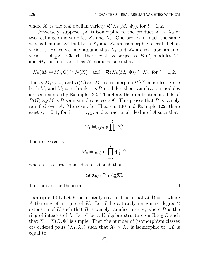where  $X_i$  is the real abelian variety  $\mathcal{R}(X_{\mathbb{R}}(M_i, \Phi))$ , for  $i = 1, 2$ .

Conversely, suppose  $\mathbb{R}^X$  is isomorphic to the product  $X_1 \times X_2$  of two real algebraic varieties  $X_1$  and  $X_2$ . One proves in much the same way as Lemma 138 that both  $X_1$  and  $X_2$  are isomorphic to real abelian varieties. Hence we may assume that  $X_1$  and  $X_2$  are real abelian subvarieties of  $_{\mathbb{R}}X$ . Clearly, there exists B-projective  $B(G)$ -modules  $M_1$ and  $M_2$ , both of rank 1 as B-modules, such that

$$
X_{\mathbb{R}}(M_1 \oplus M_2, \Phi) \cong \mathcal{N}(X)
$$
 and  $\mathcal{R}(X_{\mathbb{R}}(M_i, \Phi)) \cong X_i$ , for  $i = 1, 2$ .

Hence,  $M_1 \oplus M_2$  and  $B(G) \otimes_B M$  are isomorphic  $B(G)$ -modules. Since both  $M_1$  and  $M_2$  are of rank 1 as B-modules, their ramification modules are semi-simple by Example 122. Therefore, the ramification module of  $B(G) \otimes_B M$  is B-semi-simple and so is  $\mathfrak{E}$ . This proves that B is tamely ramified over A. Moreover, by Theorem 130 and Example 122, there exist  $\varepsilon_i = 0, 1$ , for  $i = 1, \ldots, g$ , and a fractional ideal  $\mathfrak a$  of A such that

$$
M_1 \cong_{B(G)} \mathfrak{a} \prod_{\mathfrak{i}=1}^{\mathfrak{g}} \mathfrak{P}^{\varepsilon_\mathfrak{i}}_\mathfrak{i}.
$$

Then necessarily

$$
M_2 \cong_{B(G)} \mathfrak{a}' \prod_{i=1}^{\mathfrak{g}} \mathfrak{P}_i^{1-\varepsilon_i},
$$

where  $\mathfrak{a}'$  is a fractional ideal of A such that

$$
\mathfrak{a} \mathfrak{a}' \mathfrak{d}_{\mathfrak{B}/\mathfrak{A}} \cong_{\mathfrak{A}} \wedge^2_{\mathfrak{A}} \mathfrak{M}.
$$

This proves the theorem.

**Example 141.** Let K be a totally real field such that  $h(A) = 1$ , where A the ring of integers of K. Let L be a totally imaginary degree 2 extension of K such that B is tamely ramified over A, where B is the ring of integers of L. Let  $\Phi$  be a C-algebra structure on  $\mathbb{R} \otimes_{\mathbb{Z}} B$  such that  $X = X(B, \Phi)$  is simple. Then the number of (isomorphism classes of) ordered pairs  $(X_1, X_2)$  such that  $X_1 \times X_2$  is isomorphic to  $\mathbb{R}^X$  is equal to

$$
2^g,
$$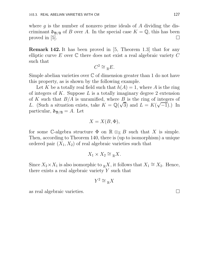where  $g$  is the number of nonzero prime ideals of  $A$  dividing the discriminant  $\mathfrak{d}_{\mathfrak{B}/\mathfrak{A}}$  of B over A. In the special case  $K = \mathbb{Q}$ , this has been proved in [5].  $\Box$ 

Remark 142. It has been proved in [5, Theorem 1.3] that for any elliptic curve E over  $\mathbb C$  there does not exist a real algebraic variety  $C$ such that

$$
C^2 \cong {}_{\mathbb{R}}E.
$$

Simple abelian varieties over  $\mathbb C$  of dimension greater than 1 do not have this property, as is shown by the following example.

Let K be a totally real field such that  $h(A) = 1$ , where A is the ring of integers of K. Suppose L is a totally imaginary degree 2 extension of K such that  $B/A$  is unramified, where B is the ring of integers of L. (Such a situation exists, take  $K = \mathbb{Q}(\sqrt{3})$  and  $L = K(\sqrt{-1})$ .) In particular,  $\mathfrak{d}_{\mathfrak{B}/\mathfrak{A}} = A$ . Let

$$
X = X(B, \Phi),
$$

for some C-algebra structure  $\Phi$  on  $\mathbb{R} \otimes_{\mathbb{Z}} B$  such that X is simple. Then, according to Theorem 140, there is (up to isomorphism) a unique ordered pair  $(X_1, X_2)$  of real algebraic varieties such that

$$
X_1 \times X_2 \cong_{\mathbb{R}} X.
$$

Since  $X_2 \times X_1$  is also isomorphic to  $\mathbb{R}^X$ , it follows that  $X_1 \cong X_2$ . Hence, there exists a real algebraic variety  $Y$  such that

$$
Y^2\cong{}_{\mathbb{R}}X
$$

as real algebraic varieties.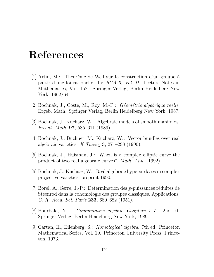### References

- [1] Artin, M.: Théorème de Weil sur la construction d'un groupe à partir d'une loi rationelle. In: SGA 3, Vol. II. Lecture Notes in Mathematics, Vol. 152. Springer Verlag, Berlin Heidelberg New York, 1962/64.
- $[2]$  Bochnak, J., Coste, M., Roy, M.-F.: *Géométrie algébrique réelle.* Ergeb. Math. Springer Verlag, Berlin Heidelberg New York, 1987.
- [3] Bochnak, J., Kucharz, W.: Algebraic models of smooth manifolds. Invent. Math. 97, 585–611 (1989).
- [4] Bochnak, J., Buchner, M., Kucharz, W.: Vector bundles over real algebraic varieties.  $K$ -Theory 3, 271–298 (1990).
- [5] Bochnak, J., Huisman, J.: When is a complex elliptic curve the product of two real algebraic curves? Math. Ann. (1992).
- [6] Bochnak, J., Kucharz, W.: Real algebraic hypersurfaces in complex projective varieties, preprint 1990.
- $[7]$  Borel, A., Serre, J.-P.: Détermination des *p*-puissances réduites de Steenrod dans la cohomologie des groupes classiques. Applications. C. R. Acad. Sci. Paris 233, 680–682 (1951).
- [8] Bourbaki, N.: Commutative algebra. Chapters 1–7. 2nd ed. Springer Verlag, Berlin Heidelberg New York, 1989.
- [9] Cartan, H., Eilenberg, S.: Homological algebra. 7th ed. Princeton Mathematical Series, Vol. 19. Princeton University Press, Princeton, 1973.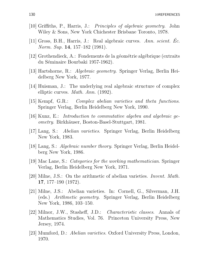- [10] Griffiths, P., Harris, J.: Principles of algebraic geometry. John Wiley & Sons, New York Chichester Brisbane Toronto, 1978.
- [11] Gross, B.H., Harris, J.: Real algebraic curves. Ann. scient. Ec. Norm. Sup. 14, 157–182 (1981).
- $[12]$  Grothendieck, A.: Fondements de la géométrie algébrique (extraits) du Séminaire Bourbaki 1957-1962).
- [13] Hartshorne, R.: Algebraic geometry. Springer Verlag, Berlin Heidelberg New York, 1977.
- [14] Huisman, J.: The underlying real algebraic structure of complex elliptic curves. Math. Ann. (1992).
- [15] Kempf, G.R.: Complex abelian varieties and theta functions. Springer Verlag, Berlin Heidelberg New York, 1990.
- $|16|$  Kunz, E.: Introduction to commutative algebra and algebraic geometry. Birkhäuser, Boston-Basel-Stuttgart, 1981.
- [17] Lang, S.: Abelian varieties. Springer Verlag, Berlin Heidelberg New York, 1983.
- [18] Lang, S.: Algebraic number theory. Springer Verlag, Berlin Heidelberg New York, 1986.
- [19] Mac Lane, S.: Categories for the working mathematician. Springer Verlag, Berlin Heidelberg New York, 1971.
- [20] Milne, J.S.: On the arithmetic of abelian varieties. Invent. Math. 17, 177–190 (1972).
- [21] Milne, J.S.: Abelian varieties. In: Cornell, G., Silverman, J.H. (eds.) Arithmetic geometry. Springer Verlag, Berlin Heidelberg New York, 1986, 103–150.
- [22] Milnor, J.W., Stasheff, J.D.: Characteristic classes. Annals of Mathematics Studies, Vol. 76. Princeton University Press, New Jersey, 1974.
- [23] Mumford, D.: Abelian varieties. Oxford University Press, London, 1970.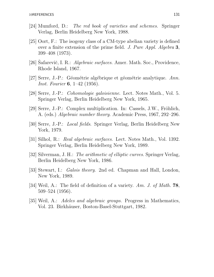- [24] Mumford, D.: The red book of varieties and schemes. Springer Verlag, Berlin Heidelberg New York, 1988.
- [25] Oort, F.: The isogeny class of a CM-type abelian variety is defined over a finite extension of the prime field. J. Pure Appl. Algebra 3, 399–408 (1973).
- [26] Safarevič, I. R.: *Algebraic surfaces*. Amer. Math. Soc., Providence, Rhode Island, 1967.
- [27] Serre, J.-P.: Géométrie algébrique et géométrie analytique. Ann. Inst. Fourier 6, 1–42 (1956).
- [28] Serre, J.-P.: Cohomologie galoisienne. Lect. Notes Math., Vol. 5. Springer Verlag, Berlin Heidelberg New York, 1965.
- $[29]$  Serre, J.-P.: Complex multiplication. In: Cassels, J.W., Fröhlich, A. (eds.) Algebraic number theory. Academic Press, 1967, 292–296.
- [30] Serre, J.-P.: Local fields. Springer Verlag, Berlin Heidelberg New York, 1979.
- [31] Silhol, R.: Real algebraic surfaces. Lect. Notes Math., Vol. 1392. Springer Verlag, Berlin Heidelberg New York, 1989.
- [32] Silverman, J. H.: The arithmetic of elliptic curves. Springer Verlag, Berlin Heidelberg New York, 1986.
- [33] Stewart, I.: *Galois theory.* 2nd ed. Chapman and Hall, London, New York, 1989.
- [34] Weil, A.: The field of definition of a variety. Am. J. of Math.  $78$ , 509–524 (1956).
- [35] Weil, A.: Adeles and algebraic groups. Progress in Mathematics, Vol. 23. Birkhäuser, Boston-Basel-Stuttgart, 1982.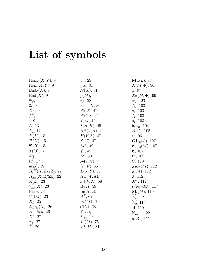# List of symbols

| $\text{Hom}_{\mathcal{C}}(X,Y), 9$            | $\sigma_n$ , 29                 | $\mathbf{M}_m(L)$ , 93                                                    |
|-----------------------------------------------|---------------------------------|---------------------------------------------------------------------------|
| Hom(X, Y), 9                                  | $R\llbracket X, 31 \rrbracket$  | $X(M,\Phi)$ , 96                                                          |
| $\text{End}_{\mathcal{C}}(X), 9$              | $\mathcal{N}(X), 31$            | $\varphi$ , 97                                                            |
| $\text{End}(X), 9$                            | $\rho(M)$ , 34                  | $X_{\mathbb{R}}(M,\Phi)$ , 99                                             |
| $\cong_{\mathcal{C}}$ , 9                     | $\tau_P$ , 38                   | $e_{\mathfrak{B}}$ , 103                                                  |
| $\cong, 9$                                    | $\text{End}^{\text{o}} X$ , 39  | $f_{\mathfrak{P}}, 103$                                                   |
| $X^G$ , 9                                     | $Pic X$ , 41                    | $e_{\mathfrak{p}}, 103$                                                   |
| $f^*, 9$                                      | $Pic^{o} X$ , 41                | $f_{\rm p}$ , 103                                                         |
| $\upharpoonright, 9$                          | $T_0M, 42$                      | $g_{\mathfrak{p}}, 103$                                                   |
| $\Delta$ , 13                                 | $L(\alpha, H)$ , 45             | $\mathfrak{d}_{\mathfrak{B}/\mathfrak{A}}, 104$                           |
| $X_s$ , 14                                    | $AH(V,\Lambda), 46$             | B(G), 105                                                                 |
| $X(L)$ , 15                                   | $\mathcal{H}(V,\Lambda)$ , 47   | $\iota$ , 106                                                             |
| $\mathcal{R}(X)$ , 15                         | $\mathcal{L}(\mathbb{C}), 47$   | $\mathbf{GL}_m(L), 107$                                                   |
| $\mathfrak{V}\left( \mathfrak{I}\right)$ , 15 | $M^{\sigma}$ , 49               | $\mathfrak{E}_{\mathfrak{B}/\mathfrak{A}}(M)$ , 107                       |
| $\mathfrak{I}(\mathfrak{V}), 15$              | $f^{\sigma}$ , 49               | E, 107                                                                    |
| $\mathbb{A}_{A}^{n}$ , 17                     | $\Lambda^{\sigma}$ , 50         | $\mathrm{tr}$ , 109                                                       |
| $\mathbb{P}^n_A$ , 17                         | $\mathcal{M}_{\mathbb{R}}$ , 53 | C, 110                                                                    |
| g(D), 19                                      | $(\alpha, F)$ , 55              | $\mathfrak{F}_{\mathfrak{B}/\mathfrak{A}}(M), 112$                        |
| $H_i^{alg}(X,\mathbb{Z}/2\mathbb{Z}), 22$     | $L(\alpha, F)$ , 55             | $\mathfrak{F}(M)$ , 112                                                   |
| $H^i_{alg}(X,\mathbb{Z}/2\mathbb{Z}), 22$     | $AH(W,\Lambda), 55$             | $\mathfrak{F}, 112$                                                       |
| $\mathcal{R}(\mathcal{L}), 23$                | $\mathcal{F}(W,\Lambda)$ , 58   | $M^{\star}$ , 112                                                         |
| $V_{alg}^1(X)$ , 23                           | Re H, 59                        | $\mathfrak{r}(\mathfrak{d}_{\mathfrak{B}/\mathfrak{A}}\mathfrak{B}), 117$ |
| Pic $S$ , 23                                  | $\text{Im} H$ , 59              | $\mathbf{SL}(M)$ , 119                                                    |
| $V^1(M)$ , 23                                 | $A^T$ , 62                      | $A_{\mathfrak{p}}, 119$                                                   |
| $X_L$ , 25                                    | $S_k(M)$ , 64                   | $K_{\mathfrak{p}}, 119$                                                   |
| $\mathcal{N}_{L/K}(X)$ , 26                   | $\mathcal{C}(G)$ , 68           | $\mathcal{A}, 119$                                                        |
| $K-Sch, 26$                                   | $\mathcal{L}(D), 69$            | $N_{L/K}$ , 122                                                           |
| $X^{\sigma}$ , 27                             | $\mathcal{K}_E$ , 69            | h(B), 122                                                                 |
| $\varphi_\sigma,\,27$                         | $T_k(M)$ , 75                   |                                                                           |
| $\overline{X}$ , 29                           | $V^1(M)$ , 81                   |                                                                           |
|                                               |                                 |                                                                           |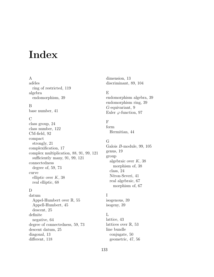### Index

#### A

adèles ring of restricted, 119 algebra endomorphism, 39

#### B

base number, 41

#### C

class group, 24 class number, 122 CM-field, 92 compact strongly, 21 complexification, 17 complex multiplication, 88, 91, 99, 121 sufficiently many, 91, 99, 121 connectedness degree of, 59, 73 curve elliptic over  $K$ , 38 real elliptic, 68

#### D

datum Appel-Humbert over R, 55 Appell-Humbert, 45 descent, 25 definite negative, 64 degree of connectedness, 59, 73 descent datum, 25 diagonal, 13 different, 118

dimension, 13 discriminant, 89, 104

#### E

endomorphism algebra, 39 endomorphism ring, 39 G-equivariant, 9 Euler  $\varphi$ -function, 97

#### F

form Hermitian, 44

#### G

Galois B-module, 99, 105 genus, 19 group algebraic over  $K$ , 38 morphism of, 38 class, 24 Néron-Severi, 41 real algebraic, 67 morphism of, 67

#### I

isogenous, 39 isogeny, 39

#### L

lattice, 43 lattices over  $\mathbb{R}$ , 53 line bundle conjugate, 50 geometric, 47, 56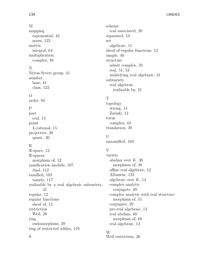#### M

mapping exponential, 42 norm, 122 matrix integral, 64 multiplication complex, 88

#### N

Néron-Severi group, 41 number base, 41 class, 122

#### O

order, 94

#### P

part real, 15 point L-rational, 15 projective, 20 quasi-, 20

#### R

S

R-space, 12 R-spaces morphism of, 12 ramification module, 107 dual, 112 ramified, 103 tamely, 117 realizable by a real algebraic subvariety, 21 regular, 12 regular functions sheaf of, 12 restriction Weil, 26 ring endomorphism, 39 ring of restricted adèles, 119

scheme real associated, 20 separated, 13 set algebraic, 11 sheaf of regular functions, 12 simple, 40 structure admit complex, 33 real, 51, 53 underlying real algebraic, 31 subvariety real algebraic realizable by, 21

#### T

topology strong, 14 Zariski, 12 torus complex, 43 translation, 38

### U

unramified, 103

### V

variety abelian over  $K$ , 38 morphism of, 38 affine real algebraic, 12 Albanese, 123 algebraic over  $K$ , 14 complex analytic conjugate, 49 complex analytic with real structure morphism of, 51 conjugate, 29 pre-real algebraic, 13 real abelian, 68 morphism of, 68 real algebraic, 13

#### W

Weil restriction, 26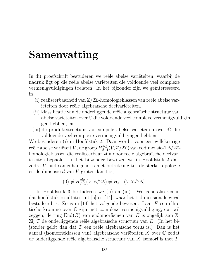## Samenvatting

In dit proefschrift bestuderen we reële abelse variëteiten, waarbij de nadruk ligt op die reële abelse variëteiten die voldoende veel complexe vermenigvuldigingen toelaten. In het bijzonder zijn we geïnteresseerd in

- (i) realiseerbaarheid van  $\mathbb{Z}/2\mathbb{Z}$ -homologieklassen van reële abelse variëteiten door reële algebraïsche deelvariëteiten,
- (ii) klassificatie van de onderliggende reële algebraïsche structuur van abelse variëteiten over  $\mathbb C$  die voldoende veel complexe vermenigvuldigingen hebben, en
- (iii) de produktstructuur van simpele abelse variëteiten over  $\mathbb C$  die voldoende veel complexe vermenigvuldigingen hebben.

We bestuderen (i) in Hoofdstuk 2. Daar wordt, voor een willekeurige reële abelse variëteit  $V$ , de groep  $H_{d-}^{alg}$  $\frac{deg}{d-1}(V, \mathbb{Z}/2\mathbb{Z})$  van codimensie-1  $\mathbb{Z}/2\mathbb{Z}$ homologieklassen die realiseerbaar zijn door reële algebraïsche deelvariëteiten bepaald. In het bijzonder bewijzen we in Hoofdstuk 2 dat, zodra V niet samenhangend is met betrekking tot de sterke topologie en de dimensie d van V groter dan 1 is,

$$
(0) \neq H_{d-1}^{alg}(V, \mathbb{Z}/2\mathbb{Z}) \neq H_{d-1}(V, \mathbb{Z}/2\mathbb{Z}).
$$

In Hoofdstuk 3 bestuderen we (ii) en (iii). We generaliseren in dat hoofdstuk resultaten uit [5] en [14], waar het 1-dimensionale geval bestudeerd is. Zo is in [14] het volgende bewezen. Laat  $E$  een elliptische kromme over C zijn met complexe vermenigvuldiging, dat wil zeggen, de ring  $End(E)$  van endomorfismen van E is ongelijk aan  $\mathbb{Z}$ . Zij T de onderliggende reële algebraïsche structuur van  $E$ . (In het bijzonder geldt dan dat  $T$  een reële algebraïsche torus is.) Dan is het aantal (isomorfieklassen van) algebraïsche variëteiten X over  $\mathbb C$  zodat de onderliggende reële algebraïsche structuur van  $X$  isomorf is met  $T$ ,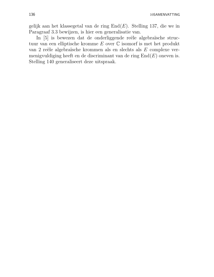gelijk aan het klassegetal van de ring  $End(E)$ . Stelling 137, die we in Paragraaf 3.3 bewijzen, is hier een generalisatie van.

In [5] is bewezen dat de onderliggende reële algebraïsche structuur van een elliptische kromme E over C isomorf is met het produkt van 2 reële algebraïsche krommen als en slechts als  $E$  complexe vermenigvuldiging heeft en de discriminant van de ring  $End(E)$  oneven is. Stelling 140 generaliseert deze uitspraak.